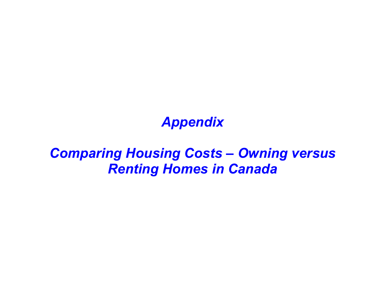## Appendix

## Comparing Housing Costs – Owning versus Renting Homes in Canada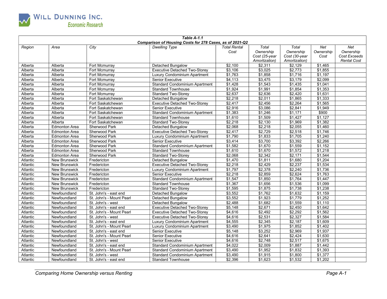

| Table A-1.1 |                      |                          |                                                          |                     |                 |               |           |                    |  |
|-------------|----------------------|--------------------------|----------------------------------------------------------|---------------------|-----------------|---------------|-----------|--------------------|--|
|             |                      |                          | Comparison of Housing Costs for 278 Cases, as of 2021-Q2 |                     |                 |               |           |                    |  |
| Region      | Area                 | City                     | <b>Dwelling Type</b>                                     | <b>Total Rental</b> | Total           | Total         | Net       | Net                |  |
|             |                      |                          |                                                          | Cost                | Ownership       | Ownership     | Ownership | Ownership          |  |
|             |                      |                          |                                                          |                     | Cost (25-year   | Cost (30-year | Cost      | Cost Exceeds       |  |
|             |                      |                          |                                                          |                     | Amortization)   | Amortization) |           | <b>Rental Cost</b> |  |
| Alberta     | Alberta              | Fort Mcmurray            | Detached Bungalow                                        | $\sqrt{$2,100}$     | \$2,311         | \$2,129       | \$1,465   |                    |  |
| Alberta     | Alberta              | Fort Mcmurray            | <b>Executive Detached Two-Storey</b>                     | \$3,106             | \$3,025         | \$2,773       | \$1,855   |                    |  |
| Alberta     | Alberta              | Fort Mcmurray            | Luxury Condominium Apartment                             | \$1,763             | \$1,858         | \$1,716       | \$1,197   |                    |  |
| Alberta     | Alberta              | Fort Mcmurray            | <b>Senior Executive</b>                                  | \$4,113             | $\sqrt{$3,475}$ | \$3,179       | \$2,099   |                    |  |
| Alberta     | Alberta              | Fort Mcmurray            | <b>Standard Condominium Apartment</b>                    | \$1,428             | \$1,543         | \$1,435       | \$1,041   |                    |  |
| Alberta     | Alberta              | Fort Mcmurray            | <b>Standard Townhouse</b>                                | \$1.924             | \$1.991         | \$1.854       | \$1,353   |                    |  |
| Alberta     | Alberta              | Fort Mcmurray            | <b>Standard Two-Storey</b>                               | \$2,637             | \$2,636         | \$2,420       | \$1,631   |                    |  |
| Alberta     | Alberta              | Fort Saskatchewan        | Detached Bungalow                                        | \$2,218             | \$2,011         | \$1,865       | \$1,333   |                    |  |
| Alberta     | Alberta              | Fort Saskatchewan        | <b>Executive Detached Two-Storev</b>                     | \$2,417             | \$2,456         | \$2,264       | \$1,565   |                    |  |
| Alberta     | Alberta              | Fort Saskatchewan        | <b>Senior Executive</b>                                  | \$2,916             | \$3,086         | \$2,841       | \$1,949   |                    |  |
| Alberta     | Alberta              | Fort Saskatchewan        | <b>Standard Condominium Apartment</b>                    | \$1,383             | \$1,246         | \$1,171       | \$900     |                    |  |
| Alberta     | Alberta              | Fort Saskatchewan        | <b>Standard Townhouse</b>                                | \$1,610             | \$1,509         | \$1,427       | \$1,127   |                    |  |
| Alberta     | Alberta              | Fort Saskatchewan        | <b>Standard Two-Storey</b>                               | \$2,218             | \$2,130         | \$1,969       | \$1,382   |                    |  |
| Alberta     | <b>Edmonton Area</b> | Sherwood Park            | Detached Bungalow                                        | \$2,068             | \$2,218         | \$2,055       | \$1,460   |                    |  |
| Alberta     | <b>Edmonton Area</b> | <b>Sherwood Park</b>     | <b>Executive Detached Two-Storey</b>                     | \$2,417             | \$2.729         | \$2,518       | \$1,746   |                    |  |
| Alberta     | <b>Edmonton Area</b> | Sherwood Park            | Luxury Condominium Apartment                             | \$1,790             | \$1,833         | \$1,705       | \$1,240   |                    |  |
| Alberta     | <b>Edmonton Area</b> | Sherwood Park            | Senior Executive                                         | \$3,414             | \$3,700         | \$3,392       | \$2,266   |                    |  |
| Alberta     | <b>Edmonton Area</b> | <b>Sherwood Park</b>     | <b>Standard Condominium Apartment</b>                    | \$1,582             | \$1,670         | \$1,559       | \$1,152   |                    |  |
| Alberta     | <b>Edmonton Area</b> | <b>Sherwood Park</b>     | <b>Standard Townhouse</b>                                | \$1,610             | \$1,670         | \$1,572       | \$1,218   |                    |  |
| Alberta     | <b>Edmonton Area</b> | Sherwood Park            | <b>Standard Two-Storey</b>                               | \$2,068             | \$2,342         | \$2,171       | \$1,544   |                    |  |
| Atlantic    | <b>New Brunswick</b> | Fredericton              | Detached Bungalow                                        | \$1,470             | \$1,811         | \$1,680       | \$1,204   |                    |  |
| Atlantic    | <b>New Brunswick</b> | Fredericton              | <b>Executive Detached Two-Storey</b>                     | \$2,218             | \$2,429         | \$2,237       | \$1,534   |                    |  |
| Atlantic    | <b>New Brunswick</b> | Fredericton              | Luxury Condominium Apartment                             | \$1,797             | \$2,378         | \$2,240       | \$1,736   |                    |  |
| Atlantic    | <b>New Brunswick</b> | Fredericton              | <b>Senior Executive</b>                                  | \$2,218             | \$2.859         | \$2.624       | \$1,763   |                    |  |
| Atlantic    | <b>New Brunswick</b> | Fredericton              | <b>Standard Condominium Apartment</b>                    | \$1,547             | \$1,850         | \$1,764       | \$1,447   |                    |  |
| Atlantic    | <b>New Brunswick</b> | Fredericton              | <b>Standard Townhouse</b>                                | \$1,367             | \$1,656         | \$1,536       | \$1,099   |                    |  |
| Atlantic    | <b>New Brunswick</b> | Fredericton              | <b>Standard Two-Storey</b>                               | \$1,595             | \$1,875         | \$1,738       | \$1,238   |                    |  |
| Atlantic    | Newfoundland         | St. John's - east end    | Detached Bungalow                                        | \$3,552             | \$1,762         | \$1,632       | \$1,159   |                    |  |
| Atlantic    | Newfoundland         | St. John's - Mount Pearl | Detached Bungalow                                        | \$3,552             | \$1,923         | \$1,779       | \$1,252   |                    |  |
| Atlantic    | Newfoundland         | St. John's - west        | Detached Bungalow                                        | \$2,488             | \$1,682         | \$1,559       | \$1,110   |                    |  |
| Atlantic    | Newfoundland         | St. John's - east end    | <b>Executive Detached Two-Storey</b>                     | \$5,148             | \$2,671         | \$2,450       | \$1,642   |                    |  |
| Atlantic    | Newfoundland         | St. John's - Mount Pearl | <b>Executive Detached Two-Storey</b>                     | \$4,616             | \$2,492         | \$2,292       | \$1,562   |                    |  |
| Atlantic    | Newfoundland         | St. John's - west        | <b>Executive Detached Two-Storey</b>                     | \$4.616             | \$2.531         | \$2.327       | \$1,584   |                    |  |
| Atlantic    | Newfoundland         | St. John's - east end    | Luxury Condominium Apartment                             | \$4,555             | \$2,345         | \$2,187       | \$1,609   |                    |  |
| Atlantic    | Newfoundland         | St. John's - Mount Pearl | Luxury Condominium Apartment                             | \$3,490             | \$1,975         | \$1,852       | \$1,402   |                    |  |
| Atlantic    | Newfoundland         | St. John's - east end    | <b>Senior Executive</b>                                  | \$5,148             | \$3,252         | \$2,969       | \$1,937   |                    |  |
| Atlantic    | Newfoundland         | St. John's - Mount Pearl | <b>Senior Executive</b>                                  | \$4,616             | \$2,641         | \$2,424       | \$1,630   |                    |  |
| Atlantic    | Newfoundland         | St. John's - west        | <b>Senior Executive</b>                                  | \$4,616             | \$2,748         | \$2,517       | \$1,675   |                    |  |
| Atlantic    | Newfoundland         | St. John's - east end    | <b>Standard Condominium Apartment</b>                    | \$4,022             | \$2,009         | \$1,887       | \$1,442   |                    |  |
| Atlantic    | Newfoundland         | St. John's - Mount Pearl | <b>Standard Condominium Apartment</b>                    | \$3,490             | \$1,952         | \$1,832       | \$1,393   |                    |  |
| Atlantic    | Newfoundland         | St. John's - west        | <b>Standard Condominium Apartment</b>                    | \$3,490             | \$1,915         | \$1,800       | \$1,377   |                    |  |
| Atlantic    | Newfoundland         | St. John's - east end    | <b>Standard Townhouse</b>                                | \$2,396             | \$1,623         | \$1,532       | \$1,202   |                    |  |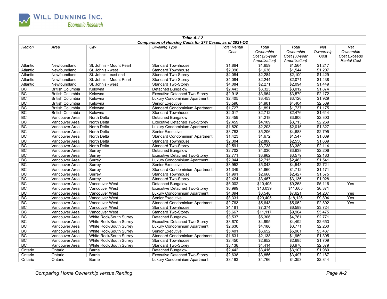

| Table A-1.2 |                         |                          |                                                                 |                     |                |               |           |                    |
|-------------|-------------------------|--------------------------|-----------------------------------------------------------------|---------------------|----------------|---------------|-----------|--------------------|
|             |                         |                          | <b>Comparison of Housing Costs for 278 Cases, as of 2021-Q2</b> |                     |                |               |           |                    |
| Region      | Area                    | City                     | <b>Dwelling Type</b>                                            | <b>Total Rental</b> | Total          | Total         | Net       | Net                |
|             |                         |                          |                                                                 | Cost                | Ownership      | Ownership     | Ownership | Ownership          |
|             |                         |                          |                                                                 |                     | Cost (25-year  | Cost (30-year | Cost      | Cost Exceeds       |
|             |                         |                          |                                                                 | \$1,864             | Amortization)  | Amortization) | \$1,217   | <b>Rental Cost</b> |
| Atlantic    | Newfoundland            | St. John's - Mount Pearl | <b>Standard Townhouse</b>                                       |                     | \$1,659        | \$1,564       |           |                    |
| Atlantic    | Newfoundland            | St. John's - west        | <b>Standard Townhouse</b>                                       | \$2,396             | \$1,636        | \$1,544       | \$1,207   |                    |
| Atlantic    | Newfoundland            | St. John's - east end    | <b>Standard Two-Storey</b>                                      | \$4,084             | \$2,284        | \$2,100       | \$1,429   |                    |
| Atlantic    | Newfoundland            | St. John's - Mount Pearl | <b>Standard Two-Storey</b>                                      | \$4,084             | \$2,244        | \$2,071       | \$1,438   |                    |
| Atlantic    | Newfoundland            | St. John's - west        | <b>Standard Two-Storey</b>                                      | \$4,084             | \$2,271        | \$2,094       | \$1,449   |                    |
| <b>BC</b>   | <b>British Columbia</b> | Kelowna                  | Detached Bungalow                                               | \$2,443             | \$3.323        | \$3.012       | \$1,874   |                    |
| BC          | <b>British Columbia</b> | Kelowna                  | <b>Executive Detached Two-Storey</b>                            | \$2,918             | \$3,964        | \$3,579       | \$2,172   |                    |
| <b>BC</b>   | <b>British Columbia</b> | Kelowna                  | Luxury Condominium Apartment                                    | \$2,405             | \$3,453        | \$3,126       | \$1,929   |                    |
| <b>BC</b>   | <b>British Columbia</b> | Kelowna                  | <b>Senior Executive</b>                                         | \$3,596             | \$4,901        | \$4,404       | \$2,589   |                    |
| <b>BC</b>   | <b>British Columbia</b> | Kelowna                  | Standard Condominium Apartment                                  | \$1,727             | \$1,891        | \$1,737       | \$1,175   |                    |
| <b>BC</b>   | <b>British Columbia</b> | Kelowna                  | <b>Standard Townhouse</b>                                       | \$2,017             | \$2,712        | \$2,476       | \$1,614   |                    |
| BC          | Vancouver Area          | North Delta              | Detached Bungalow                                               | \$2,459             | \$4,218        | \$3,806       | \$2,303   |                    |
| <b>BC</b>   | Vancouver Area          | North Delta              | <b>Executive Detached Two-Storey</b>                            | \$2,459             | \$4,109        | \$3,713       | \$2,269   |                    |
| BC          | Vancouver Area          | North Delta              | Luxury Condominium Apartment                                    | \$1,820             | \$2,203        | \$2,015       | \$1,327   |                    |
| <b>BC</b>   | Vancouver Area          | North Delta              | <b>Senior Executive</b>                                         | \$3,783             | \$5,206        | \$4,688       | \$2,795   |                    |
| <b>BC</b>   | Vancouver Area          | North Delta              | Standard Condominium Apartment                                  | \$1,423             | \$1,672        | \$1,547       | \$1,089   |                    |
| <b>BC</b>   | Vancouver Area          | North Delta              | <b>Standard Townhouse</b>                                       | \$2,304             | \$2,800        | \$2,550       | \$1,639   |                    |
| <b>BC</b>   | Vancouver Area          | North Delta              | <b>Standard Two-Storey</b>                                      | \$2,591             | \$3,738        | \$3,389       | \$2,114   |                    |
| <b>BC</b>   | Vancouver Area          | Surrey                   | <b>Detached Bungalow</b>                                        | \$2,702             | \$4,030        | \$3,638       | \$2,206   |                    |
| <b>BC</b>   | Vancouver Area          | Surrey                   | <b>Executive Detached Two-Storey</b>                            | \$2,771             | \$3,962        | \$3,579       | \$2,183   |                    |
| <b>BC</b>   | Vancouver Area          | Surrey                   | Luxury Condominium Apartment                                    | \$2,044             | \$2,715        | \$2,463       | \$1,541   |                    |
| BC          | Vancouver Area          | Surrey                   | Senior Executive                                                | \$3,952             | \$5,043        | \$4,543       | \$2,721   |                    |
| BC          | Vancouver Area          | Surrey                   | Standard Condominium Apartment                                  | \$1,349             | \$1,860        | \$1,712       | \$1,171   |                    |
| <b>BC</b>   | Vancouver Area          | Surrev                   | <b>Standard Townhouse</b>                                       | \$1.991             | \$2.660        | \$2.427       | \$1,575   |                    |
| BC          | Vancouver Area          | Surrev                   | <b>Standard Two-Storey</b>                                      | \$2,424             | \$3,467        | \$3,136       | \$1,928   |                    |
| BC          | Vancouver Area          | Vancouver West           | <b>Detached Bungalow</b>                                        | \$5.002             | \$10,405       | \$9,268       | \$5,116   | Yes                |
| <b>BC</b>   | Vancouver Area          | <b>Vancouver West</b>    | <b>Executive Detached Two-Storey</b>                            | \$6,999             | \$13,039       | \$11,605      | \$6,371   |                    |
| <b>BC</b>   | Vancouver Area          | <b>Vancouver West</b>    | Luxury Condominium Apartment                                    | \$4,094             | \$8,548        | \$7,621       | \$4,237   | Yes                |
| <b>BC</b>   | Vancouver Area          | <b>Vancouver West</b>    | <b>Senior Executive</b>                                         | \$8,331             | \$20,405       | \$18,126      | \$9,804   | Yes                |
| <b>BC</b>   | Vancouver Area          | Vancouver West           | <b>Standard Condominium Apartment</b>                           | \$2,763             | \$5,643        | \$5,052       | \$2,892   | Yes                |
| BC          | Vancouver Area          | Vancouver West           | <b>Standard Townhouse</b>                                       | \$4,181             | \$7,374        | \$6,589       | \$3,724   |                    |
| <b>BC</b>   | Vancouver Area          | Vancouver West           | <b>Standard Two-Storey</b>                                      | \$5,667             | \$11,117       | \$9,904       | \$5,475   |                    |
| <b>BC</b>   | Vancouver Area          | White Rock/South Surrey  | <b>Detached Bungalow</b>                                        | \$3,537             | \$5,306        | \$4,761       | \$2,771   |                    |
| <b>BC</b>   | Vancouver Area          | White Rock/South Surrey  | <b>Executive Detached Two-Storey</b>                            | \$3,670             | $\sqrt{4,995}$ | \$4,492       | \$2,653   |                    |
| <b>BC</b>   | Vancouver Area          | White Rock/South Surrey  | Luxury Condominium Apartment                                    | \$2,630             | \$4,186        | \$3,771       | \$2,260   |                    |
| <b>BC</b>   | Vancouver Area          | White Rock/South Surrey  | <b>Senior Executive</b>                                         | \$5,401             | \$6,652        | \$5,961       | \$3,437   |                    |
| <b>BC</b>   | Vancouver Area          | White Rock/South Surrey  | <b>Standard Condominium Apartment</b>                           | \$1,631             | \$2,138        | \$1,959       | \$1,305   |                    |
| <b>BC</b>   | Vancouver Area          | White Rock/South Surrey  | <b>Standard Townhouse</b>                                       | $\sqrt{$2,450}$     | \$2,952        | \$2,685       | \$1,709   |                    |
| <b>BC</b>   | Vancouver Area          | White Rock/South Surrey  | <b>Standard Two-Storey</b>                                      | \$3,138             | \$4,414        | \$3,976       | \$2,379   |                    |
| Ontario     | Ontario                 | Barrie                   | <b>Detached Bungalow</b>                                        | \$2,442             | \$3,416        | \$3,107       | \$1,980   |                    |
| Ontario     | Ontario                 | Barrie                   | <b>Executive Detached Two-Storey</b>                            | \$2,638             | \$3,856        | \$3,497       | \$2,187   |                    |
| Ontario     | Ontario                 | Barrie                   | Luxury Condominium Apartment                                    | \$3,193             | \$4,766        | \$4,353       | \$2,844   |                    |
|             |                         |                          |                                                                 |                     |                |               |           |                    |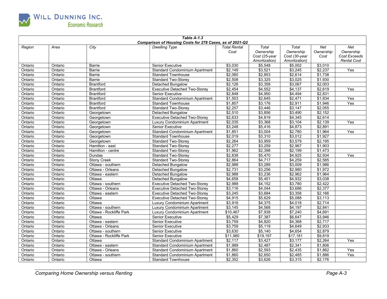

| Comparison of Housing Costs for 278 Cases, as of 2021-Q2<br><b>Total Rental</b><br>Total<br>Total<br>Region<br>City<br><b>Dwelling Type</b><br>Net<br>Net<br>Area<br>Cost<br>Ownership<br>Ownership<br>Ownership<br>Ownership<br>Cost Exceeds<br>Cost (25-year<br>Cost (30-year<br>Cost<br>Amortization)<br>Amortization)<br><b>Rental Cost</b><br>\$3,010<br><b>Senior Executive</b><br>\$3,030<br>\$5,548<br>\$5,002<br>Ontario<br>Ontario<br>Barrie<br>\$2,149<br>\$3,521<br>\$3,245<br>\$2,237<br>Yes<br>Ontario<br>Ontario<br>Barrie<br><b>Standard Condominium Apartment</b><br>\$2,060<br>\$2,614<br>\$1,738<br>\$2,853<br>Ontario<br>Ontario<br>Barrie<br><b>Standard Townhouse</b><br>\$2,508<br>\$3,025<br>\$1,930<br>\$3,325<br>Ontario<br>Ontario<br>Barrie<br><b>Standard Two-Storey</b><br>\$2,126<br>\$3,358<br>\$3,067<br>\$2,003<br>Ontario<br>Ontario<br><b>Brantford</b><br><b>Detached Bungalow</b><br>\$2,454<br>\$4,552<br>\$4,137<br>\$2,619<br>Yes<br>Ontario<br>Ontario<br><b>Brantford</b><br><b>Executive Detached Two-Storey</b><br>\$2,848<br><b>Senior Executive</b><br>\$4,950<br>\$4,494<br>\$2,831<br>Ontario<br>Ontario<br><b>Brantford</b><br>\$1,503<br>\$2,471<br>\$1,834<br><b>Brantford</b><br>\$2,645<br>Yes<br>Ontario<br>Ontario<br><b>Standard Condominium Apartment</b><br>\$1,807<br>\$3,176<br>\$2,911<br>\$1,946<br>Ontario<br>Ontario<br><b>Brantford</b><br><b>Standard Townhouse</b><br>Yes<br>\$2,257<br>$\sqrt{$3,446}$<br>\$3,147<br>\$2,055<br>Ontario<br>Ontario<br><b>Brantford</b><br><b>Standard Two-Storey</b><br>Detached Bungalow<br>\$2,510<br>\$3,856<br>\$3,490<br>\$2,152<br>Ontario<br>Ontario<br>Georgetown<br>\$2,633<br>\$4,345<br>\$2,614<br><b>Executive Detached Two-Storey</b><br>\$4,819<br>Ontario<br>Ontario<br>Georgetown<br>\$2,035<br>\$3,104<br>\$2,139<br>Ontario<br>\$3,368<br>Yes<br>Ontario<br>Georgetown<br>Luxury Condominium Apartment<br>\$3,248<br>\$4,873<br>\$2,891<br>Ontario<br>\$5,416<br>Ontario<br>Georgetown<br><b>Senior Executive</b><br>$\frac{1}{1,851}$<br>\$3,004<br>\$2,780<br>\$1,964<br>Ontario<br>Standard Condominium Apartment<br>Yes<br>Ontario<br>Georgetown<br>\$2,019<br>\$3,310<br>\$3,012<br>\$1,927<br>Ontario<br>Ontario<br>Georgetown<br><b>Standard Townhouse</b><br>\$2,264<br>\$3,579<br>\$2,195<br><b>Standard Two-Storey</b><br>\$3,959<br>Ontario<br>Ontario<br>Georgetown<br>32,967<br>\$2,277<br>\$3,259<br>\$1,903<br>Ontario<br>Ontario<br>Hamilton - east<br><b>Standard Two-Storey</b><br>\$1,962<br>\$2,199<br>\$1,473<br>Ontario<br>Ontario<br>\$2,398<br>Hamilton - centre<br><b>Standard Two-Storev</b><br>\$2,838<br>\$4,925<br>\$2,934<br>Ontario<br>Ontario<br>Dundas<br><b>Standard Two-Storey</b><br>\$5,470<br>Yes<br>\$4,259<br>\$2,585<br><b>Stony Creek</b><br><b>Standard Two-Storey</b><br>\$2,864<br>\$4,717<br>Ontario<br>Ontario<br>\$2,988<br>\$3,289<br>\$3,009<br>\$1,986<br>Ontario<br>Ontario<br>Ottawa - southern<br><b>Detached Bungalow</b><br>\$1,972<br>Ottawa - Orleans<br>\$2,731<br>\$3,256<br>\$2,980<br>Ontario<br>Ontario<br>Detached Bungalow<br>32,988<br>\$3,236<br>\$2,962<br>\$1,964<br>Ontario<br>Ottawa - eastern<br>Ontario<br><b>Detached Bungalow</b><br>\$4,658<br>\$5,451<br>\$4,932<br>\$3,038<br>Ontario<br>Ontario<br>Ottawa<br><b>Detached Bungalow</b><br>\$2,988<br>\$3,780<br>\$2,422<br>Ottawa - southern<br><b>Executive Detached Two-Storey</b><br>\$4,152<br>Ontario<br>Ontario<br>\$3,116<br>\$3,686<br>\$2,377<br>Ontario<br>Ontario<br>Ottawa - Orleans<br>\$4,044<br><b>Executive Detached Two-Storey</b><br>\$3,358<br>\$2,166<br>Ontario<br>Ontario<br>Ottawa - eastern<br>\$3,245<br>\$3,684<br><b>Executive Detached Two-Storey</b><br>\$4,915<br>\$5,629<br>\$5,088<br>\$3,113<br>Ontario<br>Ontario<br>Ottawa<br><b>Executive Detached Two-Storey</b><br>\$2,714<br>Ottawa<br>\$3,916<br>\$4,375<br>\$4,018<br>Ontario<br>Ontario<br>Luxury Condominium Apartment<br>\$2,841<br>\$3,145<br>\$4,568<br>\$4,197<br>Ontario<br>Ontario<br>Ottawa - southern<br>Luxury Condominium Apartment<br>\$4,691<br>Ottawa - Rockliffe Park<br>\$10,467<br>\$7,938<br>\$7,240<br>Ontario<br>Luxury Condominium Apartment<br>Ontario<br>\$5,429<br>\$6,647<br>\$3,946<br>Ontario<br>Ottawa<br>\$7,387<br>Ontario<br><b>Senior Executive</b><br>Ottawa - eastern<br>\$3,759<br>\$4,820<br>\$4,368<br>\$2,717<br>Ontario<br>Ontario<br><b>Senior Executive</b><br>\$2,933<br>\$3,759<br>\$5,119<br>\$4,649<br>Ontario<br>Ontario<br>Ottawa - Orleans<br><b>Senior Executive</b><br>\$3,630<br>\$5,140<br>\$4,654<br>\$2,879<br>Ontario<br>Ontario<br>Ottawa - southern<br><b>Senior Executive</b><br>\$9,819<br>Ottawa - Rockliffe Park<br>\$11,980<br>\$19,197<br>\$17,181<br>Ontario<br>Ontario<br><b>Senior Executive</b> | Table A-1.3 |         |        |                                       |         |         |         |         |     |  |
|-------------------------------------------------------------------------------------------------------------------------------------------------------------------------------------------------------------------------------------------------------------------------------------------------------------------------------------------------------------------------------------------------------------------------------------------------------------------------------------------------------------------------------------------------------------------------------------------------------------------------------------------------------------------------------------------------------------------------------------------------------------------------------------------------------------------------------------------------------------------------------------------------------------------------------------------------------------------------------------------------------------------------------------------------------------------------------------------------------------------------------------------------------------------------------------------------------------------------------------------------------------------------------------------------------------------------------------------------------------------------------------------------------------------------------------------------------------------------------------------------------------------------------------------------------------------------------------------------------------------------------------------------------------------------------------------------------------------------------------------------------------------------------------------------------------------------------------------------------------------------------------------------------------------------------------------------------------------------------------------------------------------------------------------------------------------------------------------------------------------------------------------------------------------------------------------------------------------------------------------------------------------------------------------------------------------------------------------------------------------------------------------------------------------------------------------------------------------------------------------------------------------------------------------------------------------------------------------------------------------------------------------------------------------------------------------------------------------------------------------------------------------------------------------------------------------------------------------------------------------------------------------------------------------------------------------------------------------------------------------------------------------------------------------------------------------------------------------------------------------------------------------------------------------------------------------------------------------------------------------------------------------------------------------------------------------------------------------------------------------------------------------------------------------------------------------------------------------------------------------------------------------------------------------------------------------------------------------------------------------------------------------------------------------------------------------------------------------------------------------------------------------------------------------------------------------------------------------------------------------------------------------------------------------------------------------------------------------------------------------------------------------------------------------------------------------------------------------------------------------------------------------------------------------------------------------------------------------------------------------------------------------------------------------------------------------------------------------------------------------------------------------------------------------------------------------------------------------------------------------------------------------------------------------------------------------------------------------------------------------------------------------------------------------------------------------------------------------------------------------------------------------------------------------------------------------|-------------|---------|--------|---------------------------------------|---------|---------|---------|---------|-----|--|
|                                                                                                                                                                                                                                                                                                                                                                                                                                                                                                                                                                                                                                                                                                                                                                                                                                                                                                                                                                                                                                                                                                                                                                                                                                                                                                                                                                                                                                                                                                                                                                                                                                                                                                                                                                                                                                                                                                                                                                                                                                                                                                                                                                                                                                                                                                                                                                                                                                                                                                                                                                                                                                                                                                                                                                                                                                                                                                                                                                                                                                                                                                                                                                                                                                                                                                                                                                                                                                                                                                                                                                                                                                                                                                                                                                                                                                                                                                                                                                                                                                                                                                                                                                                                                                                                                                                                                                                                                                                                                                                                                                                                                                                                                                                                                                                                                   |             |         |        |                                       |         |         |         |         |     |  |
|                                                                                                                                                                                                                                                                                                                                                                                                                                                                                                                                                                                                                                                                                                                                                                                                                                                                                                                                                                                                                                                                                                                                                                                                                                                                                                                                                                                                                                                                                                                                                                                                                                                                                                                                                                                                                                                                                                                                                                                                                                                                                                                                                                                                                                                                                                                                                                                                                                                                                                                                                                                                                                                                                                                                                                                                                                                                                                                                                                                                                                                                                                                                                                                                                                                                                                                                                                                                                                                                                                                                                                                                                                                                                                                                                                                                                                                                                                                                                                                                                                                                                                                                                                                                                                                                                                                                                                                                                                                                                                                                                                                                                                                                                                                                                                                                                   |             |         |        |                                       |         |         |         |         |     |  |
|                                                                                                                                                                                                                                                                                                                                                                                                                                                                                                                                                                                                                                                                                                                                                                                                                                                                                                                                                                                                                                                                                                                                                                                                                                                                                                                                                                                                                                                                                                                                                                                                                                                                                                                                                                                                                                                                                                                                                                                                                                                                                                                                                                                                                                                                                                                                                                                                                                                                                                                                                                                                                                                                                                                                                                                                                                                                                                                                                                                                                                                                                                                                                                                                                                                                                                                                                                                                                                                                                                                                                                                                                                                                                                                                                                                                                                                                                                                                                                                                                                                                                                                                                                                                                                                                                                                                                                                                                                                                                                                                                                                                                                                                                                                                                                                                                   |             |         |        |                                       |         |         |         |         |     |  |
|                                                                                                                                                                                                                                                                                                                                                                                                                                                                                                                                                                                                                                                                                                                                                                                                                                                                                                                                                                                                                                                                                                                                                                                                                                                                                                                                                                                                                                                                                                                                                                                                                                                                                                                                                                                                                                                                                                                                                                                                                                                                                                                                                                                                                                                                                                                                                                                                                                                                                                                                                                                                                                                                                                                                                                                                                                                                                                                                                                                                                                                                                                                                                                                                                                                                                                                                                                                                                                                                                                                                                                                                                                                                                                                                                                                                                                                                                                                                                                                                                                                                                                                                                                                                                                                                                                                                                                                                                                                                                                                                                                                                                                                                                                                                                                                                                   |             |         |        |                                       |         |         |         |         |     |  |
|                                                                                                                                                                                                                                                                                                                                                                                                                                                                                                                                                                                                                                                                                                                                                                                                                                                                                                                                                                                                                                                                                                                                                                                                                                                                                                                                                                                                                                                                                                                                                                                                                                                                                                                                                                                                                                                                                                                                                                                                                                                                                                                                                                                                                                                                                                                                                                                                                                                                                                                                                                                                                                                                                                                                                                                                                                                                                                                                                                                                                                                                                                                                                                                                                                                                                                                                                                                                                                                                                                                                                                                                                                                                                                                                                                                                                                                                                                                                                                                                                                                                                                                                                                                                                                                                                                                                                                                                                                                                                                                                                                                                                                                                                                                                                                                                                   |             |         |        |                                       |         |         |         |         |     |  |
|                                                                                                                                                                                                                                                                                                                                                                                                                                                                                                                                                                                                                                                                                                                                                                                                                                                                                                                                                                                                                                                                                                                                                                                                                                                                                                                                                                                                                                                                                                                                                                                                                                                                                                                                                                                                                                                                                                                                                                                                                                                                                                                                                                                                                                                                                                                                                                                                                                                                                                                                                                                                                                                                                                                                                                                                                                                                                                                                                                                                                                                                                                                                                                                                                                                                                                                                                                                                                                                                                                                                                                                                                                                                                                                                                                                                                                                                                                                                                                                                                                                                                                                                                                                                                                                                                                                                                                                                                                                                                                                                                                                                                                                                                                                                                                                                                   |             |         |        |                                       |         |         |         |         |     |  |
|                                                                                                                                                                                                                                                                                                                                                                                                                                                                                                                                                                                                                                                                                                                                                                                                                                                                                                                                                                                                                                                                                                                                                                                                                                                                                                                                                                                                                                                                                                                                                                                                                                                                                                                                                                                                                                                                                                                                                                                                                                                                                                                                                                                                                                                                                                                                                                                                                                                                                                                                                                                                                                                                                                                                                                                                                                                                                                                                                                                                                                                                                                                                                                                                                                                                                                                                                                                                                                                                                                                                                                                                                                                                                                                                                                                                                                                                                                                                                                                                                                                                                                                                                                                                                                                                                                                                                                                                                                                                                                                                                                                                                                                                                                                                                                                                                   |             |         |        |                                       |         |         |         |         |     |  |
|                                                                                                                                                                                                                                                                                                                                                                                                                                                                                                                                                                                                                                                                                                                                                                                                                                                                                                                                                                                                                                                                                                                                                                                                                                                                                                                                                                                                                                                                                                                                                                                                                                                                                                                                                                                                                                                                                                                                                                                                                                                                                                                                                                                                                                                                                                                                                                                                                                                                                                                                                                                                                                                                                                                                                                                                                                                                                                                                                                                                                                                                                                                                                                                                                                                                                                                                                                                                                                                                                                                                                                                                                                                                                                                                                                                                                                                                                                                                                                                                                                                                                                                                                                                                                                                                                                                                                                                                                                                                                                                                                                                                                                                                                                                                                                                                                   |             |         |        |                                       |         |         |         |         |     |  |
|                                                                                                                                                                                                                                                                                                                                                                                                                                                                                                                                                                                                                                                                                                                                                                                                                                                                                                                                                                                                                                                                                                                                                                                                                                                                                                                                                                                                                                                                                                                                                                                                                                                                                                                                                                                                                                                                                                                                                                                                                                                                                                                                                                                                                                                                                                                                                                                                                                                                                                                                                                                                                                                                                                                                                                                                                                                                                                                                                                                                                                                                                                                                                                                                                                                                                                                                                                                                                                                                                                                                                                                                                                                                                                                                                                                                                                                                                                                                                                                                                                                                                                                                                                                                                                                                                                                                                                                                                                                                                                                                                                                                                                                                                                                                                                                                                   |             |         |        |                                       |         |         |         |         |     |  |
|                                                                                                                                                                                                                                                                                                                                                                                                                                                                                                                                                                                                                                                                                                                                                                                                                                                                                                                                                                                                                                                                                                                                                                                                                                                                                                                                                                                                                                                                                                                                                                                                                                                                                                                                                                                                                                                                                                                                                                                                                                                                                                                                                                                                                                                                                                                                                                                                                                                                                                                                                                                                                                                                                                                                                                                                                                                                                                                                                                                                                                                                                                                                                                                                                                                                                                                                                                                                                                                                                                                                                                                                                                                                                                                                                                                                                                                                                                                                                                                                                                                                                                                                                                                                                                                                                                                                                                                                                                                                                                                                                                                                                                                                                                                                                                                                                   |             |         |        |                                       |         |         |         |         |     |  |
|                                                                                                                                                                                                                                                                                                                                                                                                                                                                                                                                                                                                                                                                                                                                                                                                                                                                                                                                                                                                                                                                                                                                                                                                                                                                                                                                                                                                                                                                                                                                                                                                                                                                                                                                                                                                                                                                                                                                                                                                                                                                                                                                                                                                                                                                                                                                                                                                                                                                                                                                                                                                                                                                                                                                                                                                                                                                                                                                                                                                                                                                                                                                                                                                                                                                                                                                                                                                                                                                                                                                                                                                                                                                                                                                                                                                                                                                                                                                                                                                                                                                                                                                                                                                                                                                                                                                                                                                                                                                                                                                                                                                                                                                                                                                                                                                                   |             |         |        |                                       |         |         |         |         |     |  |
|                                                                                                                                                                                                                                                                                                                                                                                                                                                                                                                                                                                                                                                                                                                                                                                                                                                                                                                                                                                                                                                                                                                                                                                                                                                                                                                                                                                                                                                                                                                                                                                                                                                                                                                                                                                                                                                                                                                                                                                                                                                                                                                                                                                                                                                                                                                                                                                                                                                                                                                                                                                                                                                                                                                                                                                                                                                                                                                                                                                                                                                                                                                                                                                                                                                                                                                                                                                                                                                                                                                                                                                                                                                                                                                                                                                                                                                                                                                                                                                                                                                                                                                                                                                                                                                                                                                                                                                                                                                                                                                                                                                                                                                                                                                                                                                                                   |             |         |        |                                       |         |         |         |         |     |  |
|                                                                                                                                                                                                                                                                                                                                                                                                                                                                                                                                                                                                                                                                                                                                                                                                                                                                                                                                                                                                                                                                                                                                                                                                                                                                                                                                                                                                                                                                                                                                                                                                                                                                                                                                                                                                                                                                                                                                                                                                                                                                                                                                                                                                                                                                                                                                                                                                                                                                                                                                                                                                                                                                                                                                                                                                                                                                                                                                                                                                                                                                                                                                                                                                                                                                                                                                                                                                                                                                                                                                                                                                                                                                                                                                                                                                                                                                                                                                                                                                                                                                                                                                                                                                                                                                                                                                                                                                                                                                                                                                                                                                                                                                                                                                                                                                                   |             |         |        |                                       |         |         |         |         |     |  |
|                                                                                                                                                                                                                                                                                                                                                                                                                                                                                                                                                                                                                                                                                                                                                                                                                                                                                                                                                                                                                                                                                                                                                                                                                                                                                                                                                                                                                                                                                                                                                                                                                                                                                                                                                                                                                                                                                                                                                                                                                                                                                                                                                                                                                                                                                                                                                                                                                                                                                                                                                                                                                                                                                                                                                                                                                                                                                                                                                                                                                                                                                                                                                                                                                                                                                                                                                                                                                                                                                                                                                                                                                                                                                                                                                                                                                                                                                                                                                                                                                                                                                                                                                                                                                                                                                                                                                                                                                                                                                                                                                                                                                                                                                                                                                                                                                   |             |         |        |                                       |         |         |         |         |     |  |
|                                                                                                                                                                                                                                                                                                                                                                                                                                                                                                                                                                                                                                                                                                                                                                                                                                                                                                                                                                                                                                                                                                                                                                                                                                                                                                                                                                                                                                                                                                                                                                                                                                                                                                                                                                                                                                                                                                                                                                                                                                                                                                                                                                                                                                                                                                                                                                                                                                                                                                                                                                                                                                                                                                                                                                                                                                                                                                                                                                                                                                                                                                                                                                                                                                                                                                                                                                                                                                                                                                                                                                                                                                                                                                                                                                                                                                                                                                                                                                                                                                                                                                                                                                                                                                                                                                                                                                                                                                                                                                                                                                                                                                                                                                                                                                                                                   |             |         |        |                                       |         |         |         |         |     |  |
|                                                                                                                                                                                                                                                                                                                                                                                                                                                                                                                                                                                                                                                                                                                                                                                                                                                                                                                                                                                                                                                                                                                                                                                                                                                                                                                                                                                                                                                                                                                                                                                                                                                                                                                                                                                                                                                                                                                                                                                                                                                                                                                                                                                                                                                                                                                                                                                                                                                                                                                                                                                                                                                                                                                                                                                                                                                                                                                                                                                                                                                                                                                                                                                                                                                                                                                                                                                                                                                                                                                                                                                                                                                                                                                                                                                                                                                                                                                                                                                                                                                                                                                                                                                                                                                                                                                                                                                                                                                                                                                                                                                                                                                                                                                                                                                                                   |             |         |        |                                       |         |         |         |         |     |  |
|                                                                                                                                                                                                                                                                                                                                                                                                                                                                                                                                                                                                                                                                                                                                                                                                                                                                                                                                                                                                                                                                                                                                                                                                                                                                                                                                                                                                                                                                                                                                                                                                                                                                                                                                                                                                                                                                                                                                                                                                                                                                                                                                                                                                                                                                                                                                                                                                                                                                                                                                                                                                                                                                                                                                                                                                                                                                                                                                                                                                                                                                                                                                                                                                                                                                                                                                                                                                                                                                                                                                                                                                                                                                                                                                                                                                                                                                                                                                                                                                                                                                                                                                                                                                                                                                                                                                                                                                                                                                                                                                                                                                                                                                                                                                                                                                                   |             |         |        |                                       |         |         |         |         |     |  |
|                                                                                                                                                                                                                                                                                                                                                                                                                                                                                                                                                                                                                                                                                                                                                                                                                                                                                                                                                                                                                                                                                                                                                                                                                                                                                                                                                                                                                                                                                                                                                                                                                                                                                                                                                                                                                                                                                                                                                                                                                                                                                                                                                                                                                                                                                                                                                                                                                                                                                                                                                                                                                                                                                                                                                                                                                                                                                                                                                                                                                                                                                                                                                                                                                                                                                                                                                                                                                                                                                                                                                                                                                                                                                                                                                                                                                                                                                                                                                                                                                                                                                                                                                                                                                                                                                                                                                                                                                                                                                                                                                                                                                                                                                                                                                                                                                   |             |         |        |                                       |         |         |         |         |     |  |
|                                                                                                                                                                                                                                                                                                                                                                                                                                                                                                                                                                                                                                                                                                                                                                                                                                                                                                                                                                                                                                                                                                                                                                                                                                                                                                                                                                                                                                                                                                                                                                                                                                                                                                                                                                                                                                                                                                                                                                                                                                                                                                                                                                                                                                                                                                                                                                                                                                                                                                                                                                                                                                                                                                                                                                                                                                                                                                                                                                                                                                                                                                                                                                                                                                                                                                                                                                                                                                                                                                                                                                                                                                                                                                                                                                                                                                                                                                                                                                                                                                                                                                                                                                                                                                                                                                                                                                                                                                                                                                                                                                                                                                                                                                                                                                                                                   |             |         |        |                                       |         |         |         |         |     |  |
|                                                                                                                                                                                                                                                                                                                                                                                                                                                                                                                                                                                                                                                                                                                                                                                                                                                                                                                                                                                                                                                                                                                                                                                                                                                                                                                                                                                                                                                                                                                                                                                                                                                                                                                                                                                                                                                                                                                                                                                                                                                                                                                                                                                                                                                                                                                                                                                                                                                                                                                                                                                                                                                                                                                                                                                                                                                                                                                                                                                                                                                                                                                                                                                                                                                                                                                                                                                                                                                                                                                                                                                                                                                                                                                                                                                                                                                                                                                                                                                                                                                                                                                                                                                                                                                                                                                                                                                                                                                                                                                                                                                                                                                                                                                                                                                                                   |             |         |        |                                       |         |         |         |         |     |  |
|                                                                                                                                                                                                                                                                                                                                                                                                                                                                                                                                                                                                                                                                                                                                                                                                                                                                                                                                                                                                                                                                                                                                                                                                                                                                                                                                                                                                                                                                                                                                                                                                                                                                                                                                                                                                                                                                                                                                                                                                                                                                                                                                                                                                                                                                                                                                                                                                                                                                                                                                                                                                                                                                                                                                                                                                                                                                                                                                                                                                                                                                                                                                                                                                                                                                                                                                                                                                                                                                                                                                                                                                                                                                                                                                                                                                                                                                                                                                                                                                                                                                                                                                                                                                                                                                                                                                                                                                                                                                                                                                                                                                                                                                                                                                                                                                                   |             |         |        |                                       |         |         |         |         |     |  |
|                                                                                                                                                                                                                                                                                                                                                                                                                                                                                                                                                                                                                                                                                                                                                                                                                                                                                                                                                                                                                                                                                                                                                                                                                                                                                                                                                                                                                                                                                                                                                                                                                                                                                                                                                                                                                                                                                                                                                                                                                                                                                                                                                                                                                                                                                                                                                                                                                                                                                                                                                                                                                                                                                                                                                                                                                                                                                                                                                                                                                                                                                                                                                                                                                                                                                                                                                                                                                                                                                                                                                                                                                                                                                                                                                                                                                                                                                                                                                                                                                                                                                                                                                                                                                                                                                                                                                                                                                                                                                                                                                                                                                                                                                                                                                                                                                   |             |         |        |                                       |         |         |         |         |     |  |
|                                                                                                                                                                                                                                                                                                                                                                                                                                                                                                                                                                                                                                                                                                                                                                                                                                                                                                                                                                                                                                                                                                                                                                                                                                                                                                                                                                                                                                                                                                                                                                                                                                                                                                                                                                                                                                                                                                                                                                                                                                                                                                                                                                                                                                                                                                                                                                                                                                                                                                                                                                                                                                                                                                                                                                                                                                                                                                                                                                                                                                                                                                                                                                                                                                                                                                                                                                                                                                                                                                                                                                                                                                                                                                                                                                                                                                                                                                                                                                                                                                                                                                                                                                                                                                                                                                                                                                                                                                                                                                                                                                                                                                                                                                                                                                                                                   |             |         |        |                                       |         |         |         |         |     |  |
|                                                                                                                                                                                                                                                                                                                                                                                                                                                                                                                                                                                                                                                                                                                                                                                                                                                                                                                                                                                                                                                                                                                                                                                                                                                                                                                                                                                                                                                                                                                                                                                                                                                                                                                                                                                                                                                                                                                                                                                                                                                                                                                                                                                                                                                                                                                                                                                                                                                                                                                                                                                                                                                                                                                                                                                                                                                                                                                                                                                                                                                                                                                                                                                                                                                                                                                                                                                                                                                                                                                                                                                                                                                                                                                                                                                                                                                                                                                                                                                                                                                                                                                                                                                                                                                                                                                                                                                                                                                                                                                                                                                                                                                                                                                                                                                                                   |             |         |        |                                       |         |         |         |         |     |  |
|                                                                                                                                                                                                                                                                                                                                                                                                                                                                                                                                                                                                                                                                                                                                                                                                                                                                                                                                                                                                                                                                                                                                                                                                                                                                                                                                                                                                                                                                                                                                                                                                                                                                                                                                                                                                                                                                                                                                                                                                                                                                                                                                                                                                                                                                                                                                                                                                                                                                                                                                                                                                                                                                                                                                                                                                                                                                                                                                                                                                                                                                                                                                                                                                                                                                                                                                                                                                                                                                                                                                                                                                                                                                                                                                                                                                                                                                                                                                                                                                                                                                                                                                                                                                                                                                                                                                                                                                                                                                                                                                                                                                                                                                                                                                                                                                                   |             |         |        |                                       |         |         |         |         |     |  |
|                                                                                                                                                                                                                                                                                                                                                                                                                                                                                                                                                                                                                                                                                                                                                                                                                                                                                                                                                                                                                                                                                                                                                                                                                                                                                                                                                                                                                                                                                                                                                                                                                                                                                                                                                                                                                                                                                                                                                                                                                                                                                                                                                                                                                                                                                                                                                                                                                                                                                                                                                                                                                                                                                                                                                                                                                                                                                                                                                                                                                                                                                                                                                                                                                                                                                                                                                                                                                                                                                                                                                                                                                                                                                                                                                                                                                                                                                                                                                                                                                                                                                                                                                                                                                                                                                                                                                                                                                                                                                                                                                                                                                                                                                                                                                                                                                   |             |         |        |                                       |         |         |         |         |     |  |
|                                                                                                                                                                                                                                                                                                                                                                                                                                                                                                                                                                                                                                                                                                                                                                                                                                                                                                                                                                                                                                                                                                                                                                                                                                                                                                                                                                                                                                                                                                                                                                                                                                                                                                                                                                                                                                                                                                                                                                                                                                                                                                                                                                                                                                                                                                                                                                                                                                                                                                                                                                                                                                                                                                                                                                                                                                                                                                                                                                                                                                                                                                                                                                                                                                                                                                                                                                                                                                                                                                                                                                                                                                                                                                                                                                                                                                                                                                                                                                                                                                                                                                                                                                                                                                                                                                                                                                                                                                                                                                                                                                                                                                                                                                                                                                                                                   |             |         |        |                                       |         |         |         |         |     |  |
|                                                                                                                                                                                                                                                                                                                                                                                                                                                                                                                                                                                                                                                                                                                                                                                                                                                                                                                                                                                                                                                                                                                                                                                                                                                                                                                                                                                                                                                                                                                                                                                                                                                                                                                                                                                                                                                                                                                                                                                                                                                                                                                                                                                                                                                                                                                                                                                                                                                                                                                                                                                                                                                                                                                                                                                                                                                                                                                                                                                                                                                                                                                                                                                                                                                                                                                                                                                                                                                                                                                                                                                                                                                                                                                                                                                                                                                                                                                                                                                                                                                                                                                                                                                                                                                                                                                                                                                                                                                                                                                                                                                                                                                                                                                                                                                                                   |             |         |        |                                       |         |         |         |         |     |  |
|                                                                                                                                                                                                                                                                                                                                                                                                                                                                                                                                                                                                                                                                                                                                                                                                                                                                                                                                                                                                                                                                                                                                                                                                                                                                                                                                                                                                                                                                                                                                                                                                                                                                                                                                                                                                                                                                                                                                                                                                                                                                                                                                                                                                                                                                                                                                                                                                                                                                                                                                                                                                                                                                                                                                                                                                                                                                                                                                                                                                                                                                                                                                                                                                                                                                                                                                                                                                                                                                                                                                                                                                                                                                                                                                                                                                                                                                                                                                                                                                                                                                                                                                                                                                                                                                                                                                                                                                                                                                                                                                                                                                                                                                                                                                                                                                                   |             |         |        |                                       |         |         |         |         |     |  |
|                                                                                                                                                                                                                                                                                                                                                                                                                                                                                                                                                                                                                                                                                                                                                                                                                                                                                                                                                                                                                                                                                                                                                                                                                                                                                                                                                                                                                                                                                                                                                                                                                                                                                                                                                                                                                                                                                                                                                                                                                                                                                                                                                                                                                                                                                                                                                                                                                                                                                                                                                                                                                                                                                                                                                                                                                                                                                                                                                                                                                                                                                                                                                                                                                                                                                                                                                                                                                                                                                                                                                                                                                                                                                                                                                                                                                                                                                                                                                                                                                                                                                                                                                                                                                                                                                                                                                                                                                                                                                                                                                                                                                                                                                                                                                                                                                   |             |         |        |                                       |         |         |         |         |     |  |
|                                                                                                                                                                                                                                                                                                                                                                                                                                                                                                                                                                                                                                                                                                                                                                                                                                                                                                                                                                                                                                                                                                                                                                                                                                                                                                                                                                                                                                                                                                                                                                                                                                                                                                                                                                                                                                                                                                                                                                                                                                                                                                                                                                                                                                                                                                                                                                                                                                                                                                                                                                                                                                                                                                                                                                                                                                                                                                                                                                                                                                                                                                                                                                                                                                                                                                                                                                                                                                                                                                                                                                                                                                                                                                                                                                                                                                                                                                                                                                                                                                                                                                                                                                                                                                                                                                                                                                                                                                                                                                                                                                                                                                                                                                                                                                                                                   |             |         |        |                                       |         |         |         |         |     |  |
|                                                                                                                                                                                                                                                                                                                                                                                                                                                                                                                                                                                                                                                                                                                                                                                                                                                                                                                                                                                                                                                                                                                                                                                                                                                                                                                                                                                                                                                                                                                                                                                                                                                                                                                                                                                                                                                                                                                                                                                                                                                                                                                                                                                                                                                                                                                                                                                                                                                                                                                                                                                                                                                                                                                                                                                                                                                                                                                                                                                                                                                                                                                                                                                                                                                                                                                                                                                                                                                                                                                                                                                                                                                                                                                                                                                                                                                                                                                                                                                                                                                                                                                                                                                                                                                                                                                                                                                                                                                                                                                                                                                                                                                                                                                                                                                                                   |             |         |        |                                       |         |         |         |         |     |  |
|                                                                                                                                                                                                                                                                                                                                                                                                                                                                                                                                                                                                                                                                                                                                                                                                                                                                                                                                                                                                                                                                                                                                                                                                                                                                                                                                                                                                                                                                                                                                                                                                                                                                                                                                                                                                                                                                                                                                                                                                                                                                                                                                                                                                                                                                                                                                                                                                                                                                                                                                                                                                                                                                                                                                                                                                                                                                                                                                                                                                                                                                                                                                                                                                                                                                                                                                                                                                                                                                                                                                                                                                                                                                                                                                                                                                                                                                                                                                                                                                                                                                                                                                                                                                                                                                                                                                                                                                                                                                                                                                                                                                                                                                                                                                                                                                                   |             |         |        |                                       |         |         |         |         |     |  |
|                                                                                                                                                                                                                                                                                                                                                                                                                                                                                                                                                                                                                                                                                                                                                                                                                                                                                                                                                                                                                                                                                                                                                                                                                                                                                                                                                                                                                                                                                                                                                                                                                                                                                                                                                                                                                                                                                                                                                                                                                                                                                                                                                                                                                                                                                                                                                                                                                                                                                                                                                                                                                                                                                                                                                                                                                                                                                                                                                                                                                                                                                                                                                                                                                                                                                                                                                                                                                                                                                                                                                                                                                                                                                                                                                                                                                                                                                                                                                                                                                                                                                                                                                                                                                                                                                                                                                                                                                                                                                                                                                                                                                                                                                                                                                                                                                   |             |         |        |                                       |         |         |         |         |     |  |
|                                                                                                                                                                                                                                                                                                                                                                                                                                                                                                                                                                                                                                                                                                                                                                                                                                                                                                                                                                                                                                                                                                                                                                                                                                                                                                                                                                                                                                                                                                                                                                                                                                                                                                                                                                                                                                                                                                                                                                                                                                                                                                                                                                                                                                                                                                                                                                                                                                                                                                                                                                                                                                                                                                                                                                                                                                                                                                                                                                                                                                                                                                                                                                                                                                                                                                                                                                                                                                                                                                                                                                                                                                                                                                                                                                                                                                                                                                                                                                                                                                                                                                                                                                                                                                                                                                                                                                                                                                                                                                                                                                                                                                                                                                                                                                                                                   |             |         |        |                                       |         |         |         |         |     |  |
|                                                                                                                                                                                                                                                                                                                                                                                                                                                                                                                                                                                                                                                                                                                                                                                                                                                                                                                                                                                                                                                                                                                                                                                                                                                                                                                                                                                                                                                                                                                                                                                                                                                                                                                                                                                                                                                                                                                                                                                                                                                                                                                                                                                                                                                                                                                                                                                                                                                                                                                                                                                                                                                                                                                                                                                                                                                                                                                                                                                                                                                                                                                                                                                                                                                                                                                                                                                                                                                                                                                                                                                                                                                                                                                                                                                                                                                                                                                                                                                                                                                                                                                                                                                                                                                                                                                                                                                                                                                                                                                                                                                                                                                                                                                                                                                                                   |             |         |        |                                       |         |         |         |         |     |  |
|                                                                                                                                                                                                                                                                                                                                                                                                                                                                                                                                                                                                                                                                                                                                                                                                                                                                                                                                                                                                                                                                                                                                                                                                                                                                                                                                                                                                                                                                                                                                                                                                                                                                                                                                                                                                                                                                                                                                                                                                                                                                                                                                                                                                                                                                                                                                                                                                                                                                                                                                                                                                                                                                                                                                                                                                                                                                                                                                                                                                                                                                                                                                                                                                                                                                                                                                                                                                                                                                                                                                                                                                                                                                                                                                                                                                                                                                                                                                                                                                                                                                                                                                                                                                                                                                                                                                                                                                                                                                                                                                                                                                                                                                                                                                                                                                                   |             |         |        |                                       |         |         |         |         |     |  |
|                                                                                                                                                                                                                                                                                                                                                                                                                                                                                                                                                                                                                                                                                                                                                                                                                                                                                                                                                                                                                                                                                                                                                                                                                                                                                                                                                                                                                                                                                                                                                                                                                                                                                                                                                                                                                                                                                                                                                                                                                                                                                                                                                                                                                                                                                                                                                                                                                                                                                                                                                                                                                                                                                                                                                                                                                                                                                                                                                                                                                                                                                                                                                                                                                                                                                                                                                                                                                                                                                                                                                                                                                                                                                                                                                                                                                                                                                                                                                                                                                                                                                                                                                                                                                                                                                                                                                                                                                                                                                                                                                                                                                                                                                                                                                                                                                   |             |         |        |                                       |         |         |         |         |     |  |
|                                                                                                                                                                                                                                                                                                                                                                                                                                                                                                                                                                                                                                                                                                                                                                                                                                                                                                                                                                                                                                                                                                                                                                                                                                                                                                                                                                                                                                                                                                                                                                                                                                                                                                                                                                                                                                                                                                                                                                                                                                                                                                                                                                                                                                                                                                                                                                                                                                                                                                                                                                                                                                                                                                                                                                                                                                                                                                                                                                                                                                                                                                                                                                                                                                                                                                                                                                                                                                                                                                                                                                                                                                                                                                                                                                                                                                                                                                                                                                                                                                                                                                                                                                                                                                                                                                                                                                                                                                                                                                                                                                                                                                                                                                                                                                                                                   |             |         |        |                                       |         |         |         |         |     |  |
|                                                                                                                                                                                                                                                                                                                                                                                                                                                                                                                                                                                                                                                                                                                                                                                                                                                                                                                                                                                                                                                                                                                                                                                                                                                                                                                                                                                                                                                                                                                                                                                                                                                                                                                                                                                                                                                                                                                                                                                                                                                                                                                                                                                                                                                                                                                                                                                                                                                                                                                                                                                                                                                                                                                                                                                                                                                                                                                                                                                                                                                                                                                                                                                                                                                                                                                                                                                                                                                                                                                                                                                                                                                                                                                                                                                                                                                                                                                                                                                                                                                                                                                                                                                                                                                                                                                                                                                                                                                                                                                                                                                                                                                                                                                                                                                                                   |             |         |        |                                       |         |         |         |         |     |  |
|                                                                                                                                                                                                                                                                                                                                                                                                                                                                                                                                                                                                                                                                                                                                                                                                                                                                                                                                                                                                                                                                                                                                                                                                                                                                                                                                                                                                                                                                                                                                                                                                                                                                                                                                                                                                                                                                                                                                                                                                                                                                                                                                                                                                                                                                                                                                                                                                                                                                                                                                                                                                                                                                                                                                                                                                                                                                                                                                                                                                                                                                                                                                                                                                                                                                                                                                                                                                                                                                                                                                                                                                                                                                                                                                                                                                                                                                                                                                                                                                                                                                                                                                                                                                                                                                                                                                                                                                                                                                                                                                                                                                                                                                                                                                                                                                                   |             |         |        |                                       |         |         |         |         |     |  |
|                                                                                                                                                                                                                                                                                                                                                                                                                                                                                                                                                                                                                                                                                                                                                                                                                                                                                                                                                                                                                                                                                                                                                                                                                                                                                                                                                                                                                                                                                                                                                                                                                                                                                                                                                                                                                                                                                                                                                                                                                                                                                                                                                                                                                                                                                                                                                                                                                                                                                                                                                                                                                                                                                                                                                                                                                                                                                                                                                                                                                                                                                                                                                                                                                                                                                                                                                                                                                                                                                                                                                                                                                                                                                                                                                                                                                                                                                                                                                                                                                                                                                                                                                                                                                                                                                                                                                                                                                                                                                                                                                                                                                                                                                                                                                                                                                   | Ontario     | Ontario | Ottawa | <b>Standard Condominium Apartment</b> | \$2,117 | \$3,427 | \$3,177 | \$2,264 | Yes |  |
| \$1,989<br>\$2,487<br>\$2,341<br>\$1,806<br>Ontario<br>Ontario<br>Ottawa - eastern<br>Standard Condominium Apartment                                                                                                                                                                                                                                                                                                                                                                                                                                                                                                                                                                                                                                                                                                                                                                                                                                                                                                                                                                                                                                                                                                                                                                                                                                                                                                                                                                                                                                                                                                                                                                                                                                                                                                                                                                                                                                                                                                                                                                                                                                                                                                                                                                                                                                                                                                                                                                                                                                                                                                                                                                                                                                                                                                                                                                                                                                                                                                                                                                                                                                                                                                                                                                                                                                                                                                                                                                                                                                                                                                                                                                                                                                                                                                                                                                                                                                                                                                                                                                                                                                                                                                                                                                                                                                                                                                                                                                                                                                                                                                                                                                                                                                                                                              |             |         |        |                                       |         |         |         |         |     |  |
| \$1,860<br>\$2,593<br>\$2,435<br>\$1,862<br>Yes<br>Ontario<br>Ontario<br>Ottawa - Orleans<br><b>Standard Condominium Apartment</b>                                                                                                                                                                                                                                                                                                                                                                                                                                                                                                                                                                                                                                                                                                                                                                                                                                                                                                                                                                                                                                                                                                                                                                                                                                                                                                                                                                                                                                                                                                                                                                                                                                                                                                                                                                                                                                                                                                                                                                                                                                                                                                                                                                                                                                                                                                                                                                                                                                                                                                                                                                                                                                                                                                                                                                                                                                                                                                                                                                                                                                                                                                                                                                                                                                                                                                                                                                                                                                                                                                                                                                                                                                                                                                                                                                                                                                                                                                                                                                                                                                                                                                                                                                                                                                                                                                                                                                                                                                                                                                                                                                                                                                                                                |             |         |        |                                       |         |         |         |         |     |  |
| $\overline{$1,860}$<br>$\overline{$}2,485$<br>$\overline{$1,886}$<br>Yes<br><b>Standard Condominium Apartment</b><br>\$2,650<br>Ontario<br>Ontario<br>Ottawa - southern                                                                                                                                                                                                                                                                                                                                                                                                                                                                                                                                                                                                                                                                                                                                                                                                                                                                                                                                                                                                                                                                                                                                                                                                                                                                                                                                                                                                                                                                                                                                                                                                                                                                                                                                                                                                                                                                                                                                                                                                                                                                                                                                                                                                                                                                                                                                                                                                                                                                                                                                                                                                                                                                                                                                                                                                                                                                                                                                                                                                                                                                                                                                                                                                                                                                                                                                                                                                                                                                                                                                                                                                                                                                                                                                                                                                                                                                                                                                                                                                                                                                                                                                                                                                                                                                                                                                                                                                                                                                                                                                                                                                                                           |             |         |        |                                       |         |         |         |         |     |  |
| \$2,352<br>\$3,626<br>\$3,315<br>\$2,176<br>Ontario<br>Ontario<br>Ottawa<br><b>Standard Townhouse</b>                                                                                                                                                                                                                                                                                                                                                                                                                                                                                                                                                                                                                                                                                                                                                                                                                                                                                                                                                                                                                                                                                                                                                                                                                                                                                                                                                                                                                                                                                                                                                                                                                                                                                                                                                                                                                                                                                                                                                                                                                                                                                                                                                                                                                                                                                                                                                                                                                                                                                                                                                                                                                                                                                                                                                                                                                                                                                                                                                                                                                                                                                                                                                                                                                                                                                                                                                                                                                                                                                                                                                                                                                                                                                                                                                                                                                                                                                                                                                                                                                                                                                                                                                                                                                                                                                                                                                                                                                                                                                                                                                                                                                                                                                                             |             |         |        |                                       |         |         |         |         |     |  |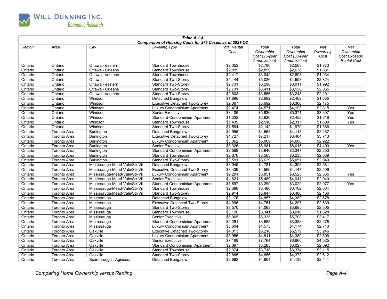

| Table A-1.4<br>Comparison of Housing Costs for 278 Cases, as of 2021-Q2 |                     |                               |                                       |                     |                    |               |                 |                    |  |
|-------------------------------------------------------------------------|---------------------|-------------------------------|---------------------------------------|---------------------|--------------------|---------------|-----------------|--------------------|--|
| Region                                                                  | Area                | City                          | <b>Dwelling Type</b>                  | <b>Total Rental</b> | Total              | Total         | Net             | Net                |  |
|                                                                         |                     |                               |                                       | Cost                | Ownership          | Ownership     | Ownership       | Ownership          |  |
|                                                                         |                     |                               |                                       |                     | Cost (25-year      | Cost (30-year | Cost            | Cost Exceeds       |  |
|                                                                         |                     |                               |                                       |                     | Amortization)      | Amortization) |                 | <b>Rental Cost</b> |  |
| Ontario                                                                 | Ontario             | Ottawa - eastern              | <b>Standard Townhouse</b>             | \$2,352             | \$2,780            | \$2,563       | \$1,773         |                    |  |
| Ontario                                                                 | Ontario             | Ottawa - Orleans              | <b>Standard Townhouse</b>             | \$2,095             | \$2,859            | \$2,638       | \$1,831         |                    |  |
| Ontario                                                                 | Ontario             | Ottawa - southern             | <b>Standard Townhouse</b>             | \$2,417             | \$3,042            | \$2,803       | \$1,934         |                    |  |
| Ontario                                                                 | Ontario             | Ottawa                        | <b>Standard Two-Storey</b>            | \$4,144             | \$5,026            | \$4,553       | \$2,824         |                    |  |
| Ontario                                                                 | Ontario             | Ottawa - eastern              | <b>Standard Two-Storey</b>            | \$2,731             | \$3,290            | \$3,011       | \$1,992         |                    |  |
| Ontario                                                                 | Ontario             | Ottawa - Orleans              | <b>Standard Two-Storey</b>            | \$2,731             | \$3,411            | \$3,120       | \$2,055         |                    |  |
| Ontario                                                                 | Ontario             | Ottawa - southern             | <b>Standard Two-Storey</b>            | \$2,603             | \$3,556            | \$3,243       | \$2,101         |                    |  |
| Ontario                                                                 | Ontario             | Windsor                       | <b>Detached Bungalow</b>              | \$1,896             | \$2,682            | \$2,462       | \$1,655         |                    |  |
| Ontario                                                                 | Ontario             | Windsor                       | <b>Executive Detached Two-Storey</b>  | \$2,367             | \$3,692            | \$3,366       | \$2,175         |                    |  |
| Ontario                                                                 | Ontario             | Windsor                       | Luxury Condominium Apartment          | \$2,474             | \$4,571            | \$4,193       | \$2,815         | Yes                |  |
| Ontario                                                                 | Ontario             | Windsor                       | Senior Executive                      | \$3,106             | \$5,936            | \$5,371       | \$3,307         | Yes                |  |
| Ontario                                                                 | Ontario             | Windsor                       | <b>Standard Condominium Apartment</b> | \$1,332             | \$2,626            | \$2,452       | \$1,819         | Yes                |  |
| Ontario                                                                 | Ontario             | Windsor                       | <b>Standard Townhouse</b>             | \$1,439             | $\sqrt{$2,510}$    | \$2,317       | \$1,609         | Yes                |  |
| Ontario                                                                 | Ontario             | Windsor                       | <b>Standard Two-Storey</b>            | \$1,594             | \$2,142            | \$1,979       | \$1,386         |                    |  |
| Ontario                                                                 | <b>Toronto Area</b> | <b>Burlington</b>             | Detached Bungalow                     | \$2,996             | \$4,563            | \$4,113       | \$2,467         |                    |  |
| Ontario                                                                 | <b>Toronto Area</b> | <b>Burlington</b>             | <b>Executive Detached Two-Storey</b>  | \$4,727             | \$7,217            | \$6,464       | $\sqrt{$3,713}$ |                    |  |
| Ontario                                                                 | <b>Toronto Area</b> | <b>Burlington</b>             | Luxury Condominium Apartment          | \$3,362             | \$5,069            | \$4,608       | \$2,922         |                    |  |
| Ontario                                                                 | <b>Toronto Area</b> | <b>Burlington</b>             | <b>Senior Executive</b>               | \$3,326             | \$8,981            | \$8,015       | \$4,490         | Yes                |  |
| Ontario                                                                 | <b>Toronto Area</b> | <b>Burlington</b>             | <b>Standard Condominium Apartment</b> | \$2,569             | \$3,646            | \$3,347       | \$2,253         |                    |  |
| Ontario                                                                 | <b>Toronto Area</b> | <b>Burlington</b>             | <b>Standard Townhouse</b>             | \$2,676             | \$3,563            | \$3,235       | \$2,039         |                    |  |
| Ontario                                                                 | <b>Toronto Area</b> | <b>Burlington</b>             | <b>Standard Two-Storey</b>            | \$3,591             | \$5,629            | \$5,051       | \$2,940         |                    |  |
| Ontario                                                                 | Toronto Area        | Mississauga-Mead-Vale/Str-Vil | Detached Bungalow                     | \$3,045             | $\sqrt{4,781}$     | \$4,308       | \$2,581         |                    |  |
| Ontario                                                                 | <b>Toronto Area</b> | Mississauga-Mead-Vale/Str-Vil | <b>Executive Detached Two-Storey</b>  | \$3,439             | \$4,596            | \$4,147       | \$2,509         |                    |  |
| Ontario                                                                 | <b>Toronto Area</b> | Mississauga-Mead-Vale/Str-Vil | Luxury Condominium Apartment          | \$2,291             | \$3,851            | \$3,525       | \$2,335         | Yes                |  |
| Ontario                                                                 | <b>Toronto Area</b> | Mississauga-Mead-Vale/Str-Vil | <b>Senior Executive</b>               | \$4,621             | \$5,489            | \$4,941       | \$2,940         |                    |  |
| Ontario                                                                 | <b>Toronto Area</b> | Mississauga-Mead-Vale/Str-Vil | <b>Standard Condominium Apartment</b> | \$1,897             | \$3,290            | \$3,029       | \$2,077         | Yes                |  |
| Ontario                                                                 | <b>Toronto Area</b> | Mississauga-Mead-Vale/Str-Vil | <b>Standard Townhouse</b>             | \$2,398             | \$3,480            | \$3,162       | \$2,004         |                    |  |
| Ontario                                                                 | <b>Toronto Area</b> | Mississauga-Mead-Vale/Str-Vil | <b>Standard Two-Storey</b>            | \$2,914             | \$3,847            | \$3,486       | \$2,166         |                    |  |
| Ontario                                                                 | <b>Toronto Area</b> | Mississauga                   | Detached Bungalow                     | \$3,176             | \$4,857            | \$4,389       | \$2,678         |                    |  |
| Ontario                                                                 | Toronto Area        | Mississauga                   | <b>Executive Detached Two-Storey</b>  | \$4,096             | \$4,751            | \$4,297       | \$2,639         |                    |  |
| Ontario                                                                 | <b>Toronto Area</b> | Mississauga                   | <b>Standard Two-Storey</b>            | \$3,570             | $\frac{1}{64,063}$ | \$3,685       | \$2,305         |                    |  |
| Ontario                                                                 | <b>Toronto Area</b> | Mississauga                   | <b>Standard Townhouse</b>             | \$3,120             | \$3,341            | \$3,016       | \$1,828         |                    |  |
| Ontario                                                                 | Toronto Area        | Mississauga                   | <b>Senior Executive</b>               | \$6,065             | \$6.335            | \$5.708       | \$3,417         |                    |  |
| Ontario                                                                 | <b>Toronto Area</b> | Mississauga                   | <b>Standard Condominium Apartment</b> | \$2,291             | \$3,685            | \$3,383       | \$2,278         |                    |  |
| Ontario                                                                 | <b>Toronto Area</b> | Mississauga                   | Luxury Condominium Apartment          | \$3,604             | \$4,575            | \$4,174       | \$2,710         |                    |  |
| Ontario                                                                 | <b>Toronto Area</b> | Oakville                      | <b>Executive Detached Two-Storey</b>  | \$4,313             | \$6,218            | \$5,579       | \$3,246         |                    |  |
| Ontario                                                                 | <b>Toronto Area</b> | Oakville                      | Luxury Condominium Apartment          | \$3,955             | \$4,811            | \$4,380       | \$2,806         |                    |  |
| Ontario                                                                 | <b>Toronto Area</b> | Oakville                      | Senior Executive                      | \$7,169             | \$7,764            | \$6,960       | \$4,025         |                    |  |
| Ontario                                                                 | <b>Toronto Area</b> | Oakville                      | <b>Standard Condominium Apartment</b> | \$2,397             | \$3,283            | \$3,027       | \$2,092         |                    |  |
| Ontario                                                                 | <b>Toronto Area</b> | Oakville                      | <b>Standard Townhouse</b>             | $\sqrt{$2,374}$     | $\sqrt{$3,718}$    | \$3,374       | \$2,115         |                    |  |
| Ontario                                                                 | <b>Toronto Area</b> | Oakville                      | <b>Standard Two-Storey</b>            | \$2,885             | \$4,856            | \$4,373       | \$2,612         |                    |  |
| Ontario                                                                 | <b>Toronto Area</b> | Scarborough - Agincourt       | Detached Bungalow                     | \$2,662             | \$4,604            | \$4,139       | \$2,441         |                    |  |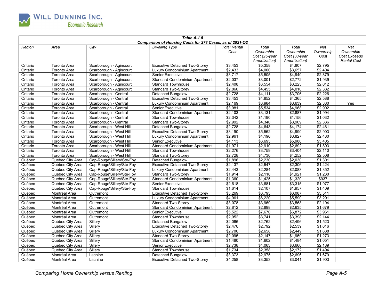

| Comparison of Housing Costs for 278 Cases, as of 2021-Q2<br><b>Total Rental</b><br>Total<br>Total<br>Net<br>City<br><b>Dwelling Type</b><br>Net<br>Region<br>Area<br>Ownership<br>Ownership<br>Ownership<br>Ownership<br>Cost<br>Cost Exceeds<br>Cost (25-year<br>Cost (30-year<br>Cost<br>Amortization)<br><b>Rental Cost</b><br>Amortization)<br>\$2,795<br>\$3,453<br>\$5,358<br>\$4,807<br>Scarborough - Agincourt<br><b>Executive Detached Two-Storey</b><br>Ontario<br>Toronto Area<br>\$2,433<br>\$4,000<br>\$3,657<br>\$2,404<br>Ontario<br>Toronto Area<br>Scarborough - Agincourt<br>Luxury Condominium Apartment<br>Senior Executive<br>\$3,717<br>\$4,940<br>Toronto Area<br>Scarborough - Agincourt<br>\$5,505<br>\$2,879<br>Ontario<br>\$2,772<br>\$1,939<br>\$2,037<br>\$3,001<br>Ontario<br>Toronto Area<br>Scarborough - Agincourt<br>Standard Condominium Apartment<br>\$2,408<br>\$3,554<br>\$3,223<br>\$2,012<br><b>Standard Townhouse</b><br>Ontario<br>Toronto Area<br>Scarborough - Agincourt<br>\$2,382<br>\$2,860<br>\$4,455<br>\$4,010<br>Ontario<br><b>Standard Two-Storey</b><br>Toronto Area<br>Scarborough - Agincourt<br>\$2,728<br>\$4,111<br>\$3,706<br>\$2,226<br>Ontario<br>Toronto Area<br>Scarborough - Central<br>Detached Bungalow<br>\$2,588<br>\$3,453<br>\$4,852<br>\$4,365<br>Ontario<br>Scarborough - Central<br><b>Executive Detached Two-Storey</b><br>Toronto Area |  |
|-------------------------------------------------------------------------------------------------------------------------------------------------------------------------------------------------------------------------------------------------------------------------------------------------------------------------------------------------------------------------------------------------------------------------------------------------------------------------------------------------------------------------------------------------------------------------------------------------------------------------------------------------------------------------------------------------------------------------------------------------------------------------------------------------------------------------------------------------------------------------------------------------------------------------------------------------------------------------------------------------------------------------------------------------------------------------------------------------------------------------------------------------------------------------------------------------------------------------------------------------------------------------------------------------------------------------------------------------------------------------------------------------------------------|--|
|                                                                                                                                                                                                                                                                                                                                                                                                                                                                                                                                                                                                                                                                                                                                                                                                                                                                                                                                                                                                                                                                                                                                                                                                                                                                                                                                                                                                                   |  |
|                                                                                                                                                                                                                                                                                                                                                                                                                                                                                                                                                                                                                                                                                                                                                                                                                                                                                                                                                                                                                                                                                                                                                                                                                                                                                                                                                                                                                   |  |
|                                                                                                                                                                                                                                                                                                                                                                                                                                                                                                                                                                                                                                                                                                                                                                                                                                                                                                                                                                                                                                                                                                                                                                                                                                                                                                                                                                                                                   |  |
|                                                                                                                                                                                                                                                                                                                                                                                                                                                                                                                                                                                                                                                                                                                                                                                                                                                                                                                                                                                                                                                                                                                                                                                                                                                                                                                                                                                                                   |  |
|                                                                                                                                                                                                                                                                                                                                                                                                                                                                                                                                                                                                                                                                                                                                                                                                                                                                                                                                                                                                                                                                                                                                                                                                                                                                                                                                                                                                                   |  |
|                                                                                                                                                                                                                                                                                                                                                                                                                                                                                                                                                                                                                                                                                                                                                                                                                                                                                                                                                                                                                                                                                                                                                                                                                                                                                                                                                                                                                   |  |
|                                                                                                                                                                                                                                                                                                                                                                                                                                                                                                                                                                                                                                                                                                                                                                                                                                                                                                                                                                                                                                                                                                                                                                                                                                                                                                                                                                                                                   |  |
|                                                                                                                                                                                                                                                                                                                                                                                                                                                                                                                                                                                                                                                                                                                                                                                                                                                                                                                                                                                                                                                                                                                                                                                                                                                                                                                                                                                                                   |  |
|                                                                                                                                                                                                                                                                                                                                                                                                                                                                                                                                                                                                                                                                                                                                                                                                                                                                                                                                                                                                                                                                                                                                                                                                                                                                                                                                                                                                                   |  |
|                                                                                                                                                                                                                                                                                                                                                                                                                                                                                                                                                                                                                                                                                                                                                                                                                                                                                                                                                                                                                                                                                                                                                                                                                                                                                                                                                                                                                   |  |
|                                                                                                                                                                                                                                                                                                                                                                                                                                                                                                                                                                                                                                                                                                                                                                                                                                                                                                                                                                                                                                                                                                                                                                                                                                                                                                                                                                                                                   |  |
|                                                                                                                                                                                                                                                                                                                                                                                                                                                                                                                                                                                                                                                                                                                                                                                                                                                                                                                                                                                                                                                                                                                                                                                                                                                                                                                                                                                                                   |  |
|                                                                                                                                                                                                                                                                                                                                                                                                                                                                                                                                                                                                                                                                                                                                                                                                                                                                                                                                                                                                                                                                                                                                                                                                                                                                                                                                                                                                                   |  |
| \$2,169<br>\$3,984<br>\$3,639<br>\$2,380<br>Ontario<br><b>Toronto Area</b><br>Scarborough - Central<br>Luxury Condominium Apartment<br>Yes                                                                                                                                                                                                                                                                                                                                                                                                                                                                                                                                                                                                                                                                                                                                                                                                                                                                                                                                                                                                                                                                                                                                                                                                                                                                        |  |
| \$3,981<br>\$5,534<br>\$4,968<br>\$2,902<br><b>Senior Executive</b><br>Ontario<br>Toronto Area<br>Scarborough - Central                                                                                                                                                                                                                                                                                                                                                                                                                                                                                                                                                                                                                                                                                                                                                                                                                                                                                                                                                                                                                                                                                                                                                                                                                                                                                           |  |
| \$2,103<br>\$2,887<br>\$1,994<br>Ontario<br>Scarborough - Central<br>Standard Condominium Apartment<br>\$3,131<br>Toronto Area                                                                                                                                                                                                                                                                                                                                                                                                                                                                                                                                                                                                                                                                                                                                                                                                                                                                                                                                                                                                                                                                                                                                                                                                                                                                                    |  |
| \$2,342<br>\$1,190<br>\$1,156<br>\$1,032<br>Scarborough - Central<br>Ontario<br>Toronto Area<br><b>Standard Townhouse</b>                                                                                                                                                                                                                                                                                                                                                                                                                                                                                                                                                                                                                                                                                                                                                                                                                                                                                                                                                                                                                                                                                                                                                                                                                                                                                         |  |
| \$3,909<br>\$2,336<br>\$2,992<br>\$4,340<br><b>Standard Two-Storey</b><br>Ontario<br><b>Toronto Area</b><br>Scarborough - Central                                                                                                                                                                                                                                                                                                                                                                                                                                                                                                                                                                                                                                                                                                                                                                                                                                                                                                                                                                                                                                                                                                                                                                                                                                                                                 |  |
| \$2,728<br>\$4,643<br>\$4,174<br>\$2,461<br>Ontario<br><b>Toronto Area</b><br>Scarborough - West Hill<br>Detached Bungalow                                                                                                                                                                                                                                                                                                                                                                                                                                                                                                                                                                                                                                                                                                                                                                                                                                                                                                                                                                                                                                                                                                                                                                                                                                                                                        |  |
| \$2,903<br>\$3,190<br>\$5,562<br>\$4,990<br><b>Executive Detached Two-Storey</b><br>Ontario<br><b>Toronto Area</b><br>Scarborough - West Hill                                                                                                                                                                                                                                                                                                                                                                                                                                                                                                                                                                                                                                                                                                                                                                                                                                                                                                                                                                                                                                                                                                                                                                                                                                                                     |  |
| \$2,480<br>\$2,961<br>\$4,196<br>\$3,827<br>Ontario<br><b>Toronto Area</b><br>Scarborough - West Hill<br>Luxury Condominium Apartment                                                                                                                                                                                                                                                                                                                                                                                                                                                                                                                                                                                                                                                                                                                                                                                                                                                                                                                                                                                                                                                                                                                                                                                                                                                                             |  |
| \$5,986<br>\$3,405<br>\$6,693<br>Ontario<br>Senior Executive<br>\$4,113<br>Toronto Area<br>Scarborough - West Hill                                                                                                                                                                                                                                                                                                                                                                                                                                                                                                                                                                                                                                                                                                                                                                                                                                                                                                                                                                                                                                                                                                                                                                                                                                                                                                |  |
| Standard Condominium Apartment<br>\$1,971<br>\$2,910<br>\$2,692<br>\$1,893<br>Ontario<br>Toronto Area<br>Scarborough - West Hill                                                                                                                                                                                                                                                                                                                                                                                                                                                                                                                                                                                                                                                                                                                                                                                                                                                                                                                                                                                                                                                                                                                                                                                                                                                                                  |  |
| \$2,276<br>\$3,759<br>\$3,404<br>\$2,110<br>Ontario<br>Toronto Area<br>Scarborough - West Hill<br><b>Standard Townhouse</b>                                                                                                                                                                                                                                                                                                                                                                                                                                                                                                                                                                                                                                                                                                                                                                                                                                                                                                                                                                                                                                                                                                                                                                                                                                                                                       |  |
| \$2,508<br>\$2,728<br>\$4,730<br>\$4,252<br>Ontario<br><b>Toronto Area</b><br>Scarborough - West Hill<br><b>Standard Two-Storey</b>                                                                                                                                                                                                                                                                                                                                                                                                                                                                                                                                                                                                                                                                                                                                                                                                                                                                                                                                                                                                                                                                                                                                                                                                                                                                               |  |
| \$2,030<br>\$1,301<br>\$1,896<br>\$2,230<br>Québec<br>Québec City Area<br>Cap-Rouge\Sillery\Ste-Foy<br>Detached Bungalow                                                                                                                                                                                                                                                                                                                                                                                                                                                                                                                                                                                                                                                                                                                                                                                                                                                                                                                                                                                                                                                                                                                                                                                                                                                                                          |  |
| \$2,137<br>\$2,547<br>\$2,306<br>\$1,424<br>Québec<br>Québec City Area<br>Cap-Rouge\Sillery\Ste-Foy<br><b>Executive Detached Two-Storey</b>                                                                                                                                                                                                                                                                                                                                                                                                                                                                                                                                                                                                                                                                                                                                                                                                                                                                                                                                                                                                                                                                                                                                                                                                                                                                       |  |
| \$2,443<br>\$2,284<br>\$2,083<br>\$1,352<br>Québec<br>Québec City Area<br>Cap-Rouge\Sillery\Ste-Foy<br>Luxury Condominium Apartment                                                                                                                                                                                                                                                                                                                                                                                                                                                                                                                                                                                                                                                                                                                                                                                                                                                                                                                                                                                                                                                                                                                                                                                                                                                                               |  |
| \$1,914<br>\$1,921<br>\$1,230<br>Québec<br>\$2,110<br>Québec City Area<br>Cap-Rouge\Sillery\Ste-Foy<br><b>Standard Two-Storey</b>                                                                                                                                                                                                                                                                                                                                                                                                                                                                                                                                                                                                                                                                                                                                                                                                                                                                                                                                                                                                                                                                                                                                                                                                                                                                                 |  |
| Standard Condominium Apartment<br>\$1,360<br>\$1,320<br>\$937<br>Québec<br>Cap-Rouge\Sillery\Ste-Foy<br>\$1,425<br>Québec City Area                                                                                                                                                                                                                                                                                                                                                                                                                                                                                                                                                                                                                                                                                                                                                                                                                                                                                                                                                                                                                                                                                                                                                                                                                                                                               |  |
| \$1,977<br>\$2,618<br>\$3,315<br>Québec<br>\$3,681<br>Québec City Area<br>Cap-Rouge\Sillery\Ste-Foy<br><b>Senior Executive</b>                                                                                                                                                                                                                                                                                                                                                                                                                                                                                                                                                                                                                                                                                                                                                                                                                                                                                                                                                                                                                                                                                                                                                                                                                                                                                    |  |
| \$1,957<br>\$1,409<br>Québec<br>Cap-Rouge\Sillery\Ste-Foy<br>\$1,614<br>\$2,107<br>Québec City Area<br><b>Standard Townhouse</b>                                                                                                                                                                                                                                                                                                                                                                                                                                                                                                                                                                                                                                                                                                                                                                                                                                                                                                                                                                                                                                                                                                                                                                                                                                                                                  |  |
| \$3,511<br>\$5,269<br>\$6,793<br>\$6,087<br>Québec<br><b>Executive Detached Two-Storey</b><br>Montréal Area<br>Outremont                                                                                                                                                                                                                                                                                                                                                                                                                                                                                                                                                                                                                                                                                                                                                                                                                                                                                                                                                                                                                                                                                                                                                                                                                                                                                          |  |
| \$4,961<br>\$6,220<br>\$5,590<br>\$3,291<br>Québec<br>Montréal Area<br>Outremont<br>Luxury Condominium Apartment                                                                                                                                                                                                                                                                                                                                                                                                                                                                                                                                                                                                                                                                                                                                                                                                                                                                                                                                                                                                                                                                                                                                                                                                                                                                                                  |  |
| \$3,078<br>\$3,969<br>\$3,568<br>\$2,104<br>Québec<br>Montréal Area<br><b>Standard Two-Storey</b><br>Outremont                                                                                                                                                                                                                                                                                                                                                                                                                                                                                                                                                                                                                                                                                                                                                                                                                                                                                                                                                                                                                                                                                                                                                                                                                                                                                                    |  |
| \$1,679<br>Québec<br>\$2,812<br>32,898<br>\$2,635<br>Montréal Area<br>Outremont<br>Standard Condominium Apartment                                                                                                                                                                                                                                                                                                                                                                                                                                                                                                                                                                                                                                                                                                                                                                                                                                                                                                                                                                                                                                                                                                                                                                                                                                                                                                 |  |
| \$5,522<br>\$6,872<br>\$3,961<br>Québec<br>Outremont<br>Senior Executive<br>\$7,670<br>Montréal Area                                                                                                                                                                                                                                                                                                                                                                                                                                                                                                                                                                                                                                                                                                                                                                                                                                                                                                                                                                                                                                                                                                                                                                                                                                                                                                              |  |
| \$2,952<br>\$3,741<br>\$3,398<br>\$2,144<br>Québec<br>Outremont<br>Montréal Area<br><b>Standard Townhouse</b>                                                                                                                                                                                                                                                                                                                                                                                                                                                                                                                                                                                                                                                                                                                                                                                                                                                                                                                                                                                                                                                                                                                                                                                                                                                                                                     |  |
| \$2,066<br>\$2,496<br>\$1,523<br>Québec<br>Sillerv<br>Detached Bungalow<br>\$2,762<br>Québec City Area                                                                                                                                                                                                                                                                                                                                                                                                                                                                                                                                                                                                                                                                                                                                                                                                                                                                                                                                                                                                                                                                                                                                                                                                                                                                                                            |  |
| \$2,539<br>\$1,616<br>\$2,792<br>Québec<br>Sillerv<br>\$2,476<br>Québec City Area<br><b>Executive Detached Two-Storey</b>                                                                                                                                                                                                                                                                                                                                                                                                                                                                                                                                                                                                                                                                                                                                                                                                                                                                                                                                                                                                                                                                                                                                                                                                                                                                                         |  |
| \$1,688<br>\$2,706<br>\$2,658<br>\$2,449<br>Québec<br>Québec City Area<br>Sillery<br>Luxury Condominium Apartment                                                                                                                                                                                                                                                                                                                                                                                                                                                                                                                                                                                                                                                                                                                                                                                                                                                                                                                                                                                                                                                                                                                                                                                                                                                                                                 |  |
| \$2,095<br>\$2,147<br>\$1,959<br>\$1,273<br>Sillery<br>Québec<br>Québec City Area<br><b>Standard Two-Storey</b>                                                                                                                                                                                                                                                                                                                                                                                                                                                                                                                                                                                                                                                                                                                                                                                                                                                                                                                                                                                                                                                                                                                                                                                                                                                                                                   |  |
| \$1,484<br>\$1,051<br>Québec<br>Sillery<br><b>Standard Condominium Apartment</b><br>\$1,480<br>\$1,602<br>Québec City Area                                                                                                                                                                                                                                                                                                                                                                                                                                                                                                                                                                                                                                                                                                                                                                                                                                                                                                                                                                                                                                                                                                                                                                                                                                                                                        |  |
| \$2,738<br>\$3,660<br>\$2,189<br>Québec<br>Sillery<br>\$4,063<br>Québec City Area<br><b>Senior Executive</b>                                                                                                                                                                                                                                                                                                                                                                                                                                                                                                                                                                                                                                                                                                                                                                                                                                                                                                                                                                                                                                                                                                                                                                                                                                                                                                      |  |
| \$1,494<br>Québec<br>Sillery<br><b>Standard Townhouse</b><br>\$1,734<br>\$2,358<br>\$2.172<br>Québec City Area                                                                                                                                                                                                                                                                                                                                                                                                                                                                                                                                                                                                                                                                                                                                                                                                                                                                                                                                                                                                                                                                                                                                                                                                                                                                                                    |  |
| \$3,373<br>\$2,975<br>\$2,696<br>\$1,679<br>Québec<br>Montréal Area<br>Lachine<br>Detached Bungalow                                                                                                                                                                                                                                                                                                                                                                                                                                                                                                                                                                                                                                                                                                                                                                                                                                                                                                                                                                                                                                                                                                                                                                                                                                                                                                               |  |
| \$4,258<br>\$3,353<br>\$3,041<br>\$1,903<br>Québec<br>Montréal Area<br>Lachine<br><b>Executive Detached Two-Storey</b>                                                                                                                                                                                                                                                                                                                                                                                                                                                                                                                                                                                                                                                                                                                                                                                                                                                                                                                                                                                                                                                                                                                                                                                                                                                                                            |  |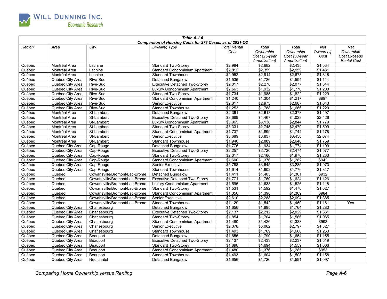

| Table A-1.6<br>Comparison of Housing Costs for 278 Cases, as of 2021-Q2 |                                      |                               |                                       |                     |                            |                            |                    |                    |  |
|-------------------------------------------------------------------------|--------------------------------------|-------------------------------|---------------------------------------|---------------------|----------------------------|----------------------------|--------------------|--------------------|--|
|                                                                         |                                      |                               |                                       |                     |                            |                            |                    |                    |  |
| Region                                                                  | Area                                 | City                          | <b>Dwelling Type</b>                  | <b>Total Rental</b> | Total                      | Total                      | Net                | Net<br>Ownership   |  |
|                                                                         |                                      |                               |                                       | Cost                | Ownership<br>Cost (25-year | Ownership<br>Cost (30-year | Ownership<br>Cost  | Cost Exceeds       |  |
|                                                                         |                                      |                               |                                       |                     | Amortization)              | Amortization)              |                    | <b>Rental Cost</b> |  |
| Québec                                                                  | Montréal Area                        | Lachine                       | <b>Standard Two-Storey</b>            | \$2,994             | \$2,682                    | \$2,435                    | \$1,534            |                    |  |
| Québec                                                                  | Montréal Area                        | Lachine                       | <b>Standard Condominium Apartment</b> | \$2,812             | \$2,359                    | \$2,159                    | \$1,431            |                    |  |
| Québec                                                                  | Montréal Area                        | Lachine                       | <b>Standard Townhouse</b>             | \$2,952             | \$2,914                    | \$2,678                    | \$1,818            |                    |  |
| Québec                                                                  | Québec City Area                     | Rive-Sud                      | Detached Bungalow                     | $\overline{$1,535}$ | $\overline{1,726}$         | \$1,594                    | \$1,111            |                    |  |
| Québec                                                                  | Québec City Area                     | Rive-Sud                      | <b>Executive Detached Two-Storey</b>  | \$2,017             | \$2,278                    | \$2,077                    | \$1,344            |                    |  |
| Québec                                                                  | Québec City Area                     | Rive-Sud                      | Luxury Condominium Apartment          | \$2,563             | \$1,932                    | \$1,776                    | \$1,203            |                    |  |
| Québec                                                                  | Québec City Area                     | Rive-Sud                      | <b>Standard Two-Storey</b>            | \$1,734             | \$1,985                    | \$1,822                    | \$1,229            |                    |  |
| Québec                                                                  | Québec City Area                     | Rive-Sud                      | Standard Condominium Apartment        | \$1,240             | \$1,304                    | \$1,217                    | \$897              |                    |  |
| Québec                                                                  | Québec City Area                     | Rive-Sud                      | <b>Senior Executive</b>               | \$2,317             | \$2,973                    | \$2,687                    | \$1,643            |                    |  |
| Québec                                                                  | Québec City Area                     | Rive-Sud                      | <b>Standard Townhouse</b>             | \$1,253             | \$1.788                    | \$1,666                    | \$1,220            |                    |  |
| Québec                                                                  | Montréal Area                        | St-Lambert                    | Detached Bungalow                     | \$2,361             | \$2,613                    | \$2,373                    | \$1,497            |                    |  |
| Québec                                                                  | Montréal Area                        | St-Lambert                    | <b>Executive Detached Two-Storey</b>  | \$3,689             | \$4,467                    | \$4,028                    | \$2,426            |                    |  |
| Québec                                                                  | Montréal Area                        | St-Lambert                    | Luxury Condominium Apartment          | $\frac{1}{1}3,065$  | $\frac{1}{136}$            | \$2,844                    | \$1,779            |                    |  |
| Québec                                                                  | Montréal Area                        | St-Lambert                    | <b>Standard Two-Storey</b>            | \$3,331             | \$2,745                    | \$2,479                    | \$1,509            |                    |  |
| Québec                                                                  | Montréal Area                        | St-Lambert                    | <b>Standard Condominium Apartment</b> | \$1,737             | \$1.899                    | \$1.744                    | \$1,178            |                    |  |
| Québec                                                                  |                                      | St-Lambert                    |                                       | \$3,689             |                            | \$3,458                    | \$2,074            |                    |  |
|                                                                         | Montréal Area                        |                               | <b>Senior Executive</b>               |                     | \$3,837                    | \$2,646                    | \$1,759            |                    |  |
| Québec                                                                  | Montréal Area                        | St-Lambert                    | <b>Standard Townhouse</b>             | \$1,940             | \$2,889                    |                            |                    |                    |  |
| Québec                                                                  | Québec City Area                     | Cap-Rouge                     | Detached Bungalow                     | \$1,776             | \$1,934                    | \$1,774<br>\$2,474         | \$1,190<br>\$1,577 |                    |  |
| Québec                                                                  | Québec City Area<br>Québec City Area | Cap-Rouge                     | <b>Executive Detached Two-Storey</b>  | \$2,257<br>\$2,017  | \$2,720<br>\$2,166         | \$1,976                    | \$1,283            |                    |  |
| Québec                                                                  |                                      | Cap-Rouge<br>Cap-Rouge        | <b>Standard Two-Storey</b>            | \$1,600             | \$1,376                    | \$1,282                    | \$942              |                    |  |
| Québec                                                                  | Québec City Area                     |                               | <b>Standard Condominium Apartment</b> |                     |                            |                            | \$1,973            |                    |  |
| Québec                                                                  | Québec City Area                     | Cap-Rouge                     | <b>Senior Executive</b>               | \$5,788             | 3,645                      | 3,285<br>$\sqrt{$1,776}$   |                    |                    |  |
| Québec                                                                  | Québec City Area                     | Cap-Rouge                     | <b>Standard Townhouse</b>             | \$1,614             | \$1,902                    |                            | \$1,317<br>\$932   |                    |  |
| Québec                                                                  | Québec                               | Cowansville/Bromont/Lac-Brome | <b>Detached Bungalow</b>              | \$1,411             | \$1,403                    | \$1,301                    |                    |                    |  |
| Québec                                                                  | Québec                               | Cowansville/Bromont/Lac-Brome | <b>Executive Detached Two-Storey</b>  | \$1,771             | \$1,760                    | \$1,624                    | \$1,126            |                    |  |
| Québec                                                                  | Québec                               | Cowansville/Bromont/Lac-Brome | Luxury Condominium Apartment          | \$1,596             | \$1,638                    | \$1,526                    | \$1,118            |                    |  |
| Québec                                                                  | Québec                               | Cowansville/Bromont/Lac-Brome | <b>Standard Two-Storey</b>            | \$1,531             | \$1,592                    | \$1,470                    | \$1,027<br>\$984   |                    |  |
| Québec                                                                  | Québec                               | Cowansville/Bromont/Lac-Brome | Standard Condominium Apartment        | \$1,356             | \$1,398                    | \$1,309                    |                    |                    |  |
| Québec                                                                  | Québec                               | Cowansville/Bromont/Lac-Brome | <b>Senior Executive</b>               | \$2,610             | \$2,288                    | \$2,094                    | \$1,385            |                    |  |
| Québec                                                                  | Québec                               | Cowansville/Bromont/Lac-Brome | <b>Standard Townhouse</b>             | \$1,129             | \$1,542                    | \$1,460                    | \$1,161            | Yes                |  |
| Québec                                                                  | Québec City Area                     | Charlesbourg                  | Detached Bungalow                     | \$1,656             | $\sqrt{$1,895}$            | \$1,764                    | \$1,283            |                    |  |
| Québec                                                                  | Québec City Area                     | Charlesbourg                  | <b>Executive Detached Two-Storey</b>  | \$2,137             | \$2,212                    | \$2,029                    | \$1,361            |                    |  |
| Québec                                                                  | Québec City Area                     | Charlesbourg                  | <b>Standard Two-Storey</b>            | \$1,854             | \$1.704                    | \$1,566                    | \$1,065            |                    |  |
| Québec                                                                  | Québec City Area                     | Charlesbourg                  | <b>Standard Condominium Apartment</b> | \$1,480             | \$1,426                    | \$1,333                    | \$993              |                    |  |
| Québec                                                                  | Québec City Area                     | Charlesbourg                  | <b>Senior Executive</b>               | \$2,378             | \$3,062                    | \$2,797                    | \$1,827            |                    |  |
| Québec                                                                  | Québec City Area                     | Charlesbourg                  | <b>Standard Townhouse</b>             | \$1,493             | \$1,769                    | \$1,660                    | \$1,263            |                    |  |
| Québec                                                                  | Québec City Area                     | Beauport                      | Detached Bungalow                     | \$1,656             | \$1,790                    | \$1,654                    | \$1.155            |                    |  |
| Québec                                                                  | Québec City Area                     | Beauport                      | <b>Executive Detached Two-Storey</b>  | \$2,137             | \$2,433                    | $\sqrt{$2,237}$            | \$1,519            |                    |  |
| Québec                                                                  | Québec City Area                     | Beauport                      | <b>Standard Two-Storey</b>            | \$1,896             | \$1,694                    | \$1,559                    | \$1,066            |                    |  |
| Québec                                                                  | Québec City Area                     | Beauport                      | <b>Standard Condominium Apartment</b> | \$1,480             | \$1,376                    | \$1,285                    | \$953              |                    |  |
| Québec                                                                  | Québec City Area                     | Beauport                      | <b>Standard Townhouse</b>             | \$1,493             | \$1,604                    | \$1,508                    | \$1,158            |                    |  |
| Québec                                                                  | Québec City Area                     | Neufchatel                    | Detached Bungalow                     | \$1,656             | \$1,726                    | \$1,591                    | \$1,097            |                    |  |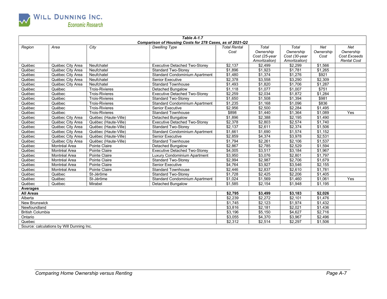

|                  |                                                                            |                       | Table A-1.7                                              |                     |               |                |           |                    |
|------------------|----------------------------------------------------------------------------|-----------------------|----------------------------------------------------------|---------------------|---------------|----------------|-----------|--------------------|
|                  |                                                                            |                       | Comparison of Housing Costs for 278 Cases, as of 2021-Q2 |                     |               |                |           |                    |
| Region           | Area                                                                       | City                  | <b>Dwelling Type</b>                                     | <b>Total Rental</b> | Total         | Total          | Net       | Net                |
|                  |                                                                            |                       |                                                          | Cost                | Ownership     | Ownership      | Ownership | Ownership          |
|                  |                                                                            |                       |                                                          |                     | Cost (25-year | Cost (30-year  | Cost      | Cost Exceeds       |
|                  |                                                                            |                       |                                                          |                     | Amortization) | Amortization)  |           | <b>Rental Cost</b> |
| Québec           | Québec City Area                                                           | Neufchatel            | <b>Executive Detached Two-Storey</b>                     | \$2,137             | \$2,499       | \$2,299        | \$1,566   |                    |
| Québec           | Québec City Area                                                           | Neufchatel            | Standard Two-Storey                                      | $\overline{$1,896}$ | \$1,923       | \$1,781        | \$1,265   |                    |
| Québec           | Québec City Area                                                           | Neufchatel            | <b>Standard Condominium Apartment</b>                    | \$1,480             | \$1,374       | \$1,276        | \$921     |                    |
| Québec           | Québec City Area                                                           | Neufchatel            | <b>Senior Executive</b>                                  | $\sqrt{$2,378}$     | \$3,558       | \$3,290        | \$2,309   |                    |
| Québec           | Québec City Area                                                           | Neufchatel            | <b>Standard Townhouse</b>                                | \$1,493             | \$1,820       | \$1,706        | \$1.287   |                    |
| Québec           | Québec                                                                     | <b>Trois-Rivieres</b> | Detached Bungalow                                        | \$1,118             | \$1,077       | \$1,007        | \$751     |                    |
| Québec           | Québec                                                                     | <b>Trois-Rivieres</b> | <b>Executive Detached Two-Storey</b>                     | \$2,259             | \$2,034       | \$1,872        | \$1,284   |                    |
| Québec           | Québec                                                                     | <b>Trois-Rivieres</b> | <b>Standard Two-Storev</b>                               | \$1.650             | \$1,508       | \$1,394        | \$981     |                    |
| Québec           | Québec                                                                     | <b>Trois-Rivieres</b> | <b>Standard Condominium Apartment</b>                    | \$1,235             | \$1,168       | \$1,096        | \$836     |                    |
| Québec           | Québec                                                                     | <b>Trois-Rivieres</b> | <b>Senior Executive</b>                                  | \$2,956             | \$2,500       | \$2,284        | \$1,495   |                    |
| Québec           | Québec                                                                     | <b>Trois-Rivieres</b> | Standard Townhouse                                       | \$898               | \$1,440       | \$1,364        | \$1,089   | Yes                |
| Québec           | Québec City Area                                                           | Québec (Haute-Ville)  | Detached Bungalow                                        | \$1,896             | \$2,388       | \$2,195        | \$1,490   |                    |
| Québec           | Québec City Area                                                           | Québec (Haute-Ville)  | <b>Executive Detached Two-Storey</b>                     | \$2,378             | \$2,803       | \$2,574        | \$1,740   |                    |
| Québec           | Québec City Area                                                           | Québec (Haute-Ville)  | <b>Standard Two-Storey</b>                               | \$2.137             | \$2,611       | \$2,374        | \$1,506   |                    |
| Québec           | Québec City Area<br>Québec (Haute-Ville)<br>Standard Condominium Apartment |                       |                                                          |                     | \$1,690       | \$1,574        | \$1,152   |                    |
| Québec           | Québec City Area<br>Québec (Haute-Ville)<br>Senior Executive               |                       |                                                          |                     | \$4,374       | \$3,978        | \$2,531   |                    |
| Québec           | Québec City Area                                                           | Québec (Haute-Ville)  | <b>Standard Townhouse</b>                                | \$1,794             | \$2,261       | \$2,106        | \$1,537   |                    |
| Québec           | Montréal Area                                                              | Pointe Claire         | <b>Detached Bungalow</b>                                 | \$2,867             | \$2,785       | $\sqrt{2,529}$ | \$1,594   |                    |
| Québec           | Montréal Area                                                              | Pointe Claire         | <b>Executive Detached Two-Storey</b>                     | \$4,005             | \$3,517       | \$3,184        | \$1,967   |                    |
| Québec           | Montréal Area                                                              | Pointe Claire         | Luxury Condominium Apartment                             | \$3,950             | \$3,076       | \$2,801        | \$1,797   |                    |
| Québec           | Montréal Area                                                              | Pointe Claire         | <b>Standard Two-Storey</b>                               | \$2,994             | \$2,987       | \$2,706        | \$1,679   |                    |
| Québec           | Montréal Area                                                              | Pointe Claire         | <b>Senior Executive</b>                                  | \$4,764             | \$3,927       | \$3,546        | \$2,155   |                    |
| Québec           | Montréal Area                                                              | Pointe Claire         | <b>Standard Townhouse</b>                                | \$2,446             | \$2.837       | \$2,610        | \$1,781   |                    |
| Québec           | Québec                                                                     | St-Jérôme             | <b>Standard Two-Storey</b>                               | \$1,728             | \$2,425       | \$2,206        | \$1,405   |                    |
| Québec           | Québec                                                                     | St-Jérôme             | <b>Standard Condominium Apartment</b>                    | \$1,024             | \$1,569       | \$1,460        | \$1,061   | Yes                |
| Québec           | Québec                                                                     | Mirabel               | Detached Bungalow                                        | \$1,585             | \$2,154       | \$1,948        | \$1,195   |                    |
| <b>Averages</b>  |                                                                            |                       |                                                          |                     |               |                |           |                    |
| <b>All Areas</b> |                                                                            |                       |                                                          | \$2,795             | \$3,499       | \$3,183        | \$2,026   |                    |
| Alberta          |                                                                            |                       |                                                          | \$2,239             | \$2,272       | \$2,101        | \$1,476   |                    |
| New Brunswick    |                                                                            |                       |                                                          | \$1,745             | \$2,123       | \$1,974        | \$1,432   |                    |
| Newfoundland     |                                                                            |                       | \$3,816                                                  | \$2,181             | \$2,021       | \$1,436        |           |                    |
|                  | <b>British Columbia</b>                                                    |                       |                                                          | \$3.196             | \$5.150       | \$4,627        | \$2,716   |                    |
| Ontario          |                                                                            |                       |                                                          |                     | \$4,370       | \$3,967        | \$2,496   |                    |
| Quebec           |                                                                            | \$2,312               | \$2,514                                                  | \$2,297             | \$1.506       |                |           |                    |
|                  | Source: calculations by Will Dunning Inc.                                  |                       |                                                          |                     |               |                |           |                    |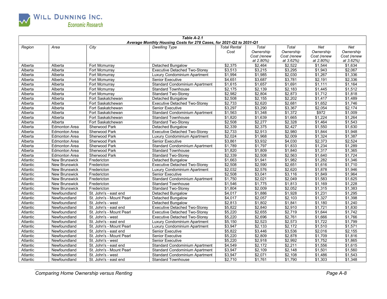

| Table A-2.1<br>Average Monthly Housing Costs for 278 Cases, for 2021-Q2 to 2031-Q1 |                      |                          |                                       |                     |                 |             |                 |                    |  |  |
|------------------------------------------------------------------------------------|----------------------|--------------------------|---------------------------------------|---------------------|-----------------|-------------|-----------------|--------------------|--|--|
| Region                                                                             | Area                 | City                     | <b>Dwelling Type</b>                  | <b>Total Rental</b> | Total           | Total       | Net             | Net                |  |  |
|                                                                                    |                      |                          |                                       | Cost                | Ownership       | Ownership   | Ownership       | Ownership          |  |  |
|                                                                                    |                      |                          |                                       |                     | Cost (renew     | Cost (renew | Cost (renew     | Cost (renew        |  |  |
|                                                                                    |                      |                          |                                       |                     | at 2.80%)       | at 3.62%)   | at 2.80%)       | at 3.62%)          |  |  |
| Alberta                                                                            | Alberta              | Fort Mcmurray            | Detached Bungalow                     | \$2,375             | \$2,464         | \$2,522     | \$1,544         | \$1,634            |  |  |
| Alberta                                                                            | Alberta              | Fort Mcmurray            | <b>Executive Detached Two-Storey</b>  | \$3,513             | \$3,215         | \$3,295     | \$1,943         | \$2,067            |  |  |
| Alberta                                                                            | Alberta              | Fort Mcmurray            | <b>Luxury Condominium Apartment</b>   | \$1,994             | \$1,985         | \$2,030     | \$1,267         | \$1,336            |  |  |
| Alberta                                                                            | Alberta              | Fort Mcmurray            | <b>Senior Executive</b>               | \$4,651             | \$3,687         | \$3,781     | \$2,191         | \$2,336            |  |  |
| Alberta                                                                            | Alberta              | Fort Mcmurray            | <b>Standard Condominium Apartment</b> | \$1,615             | \$1,657         | \$1,691     | \$1,111         | \$1,164            |  |  |
| Alberta                                                                            | Alberta              | Fort Mcmurray            | <b>Standard Townhouse</b>             | \$2.175             | \$2.139         | \$2.183     | \$1,445         | \$1.512            |  |  |
| Alberta                                                                            | Alberta              | Fort Mcmurray            | <b>Standard Two-Storey</b>            | \$2,982             | \$2,804         | \$2,873     | \$1,712         | \$1,818            |  |  |
| Alberta                                                                            | Alberta              | Fort Saskatchewan        | Detached Bungalow                     | \$2,508             | \$2,155         | \$2,202     | \$1,417         | \$1,489            |  |  |
| Alberta                                                                            | Alberta              | Fort Saskatchewan        | <b>Executive Detached Two-Storev</b>  | \$2,733             | \$2,620         | \$2,681     | \$1,652         | \$1,746            |  |  |
| Alberta                                                                            | Alberta              | Fort Saskatchewan        | <b>Senior Executive</b>               | \$3,297             | \$3,290         | \$3,367     | \$2,054         | \$2,174            |  |  |
| Alberta                                                                            | Alberta              | Fort Saskatchewan        | <b>Standard Condominium Apartment</b> | \$1,563             | \$1,348         | \$1,372     | \$972           | \$1,009            |  |  |
| Alberta                                                                            | Alberta              | Fort Saskatchewan        | <b>Standard Townhouse</b>             | \$1,820             | \$1,639         | \$1,665     | \$1,224         | \$1,264            |  |  |
| Alberta                                                                            | Alberta              | Fort Saskatchewan        | <b>Standard Two-Storey</b>            | \$2,508             | \$2,277         | \$2,328     | $\sqrt{$1,464}$ | \$1,543            |  |  |
| Alberta                                                                            | <b>Edmonton Area</b> | Sherwood Park            | Detached Bungalow                     | \$2,339             | \$2,375         | \$2,427     | \$1,550         | \$1,630            |  |  |
| Alberta                                                                            | <b>Edmonton Area</b> | Sherwood Park            | <b>Executive Detached Two-Storey</b>  | \$2,733             | \$2,913         | \$2,980     | \$1,844         | \$1.948            |  |  |
| Alberta                                                                            | <b>Edmonton Area</b> | Sherwood Park            | Luxury Condominium Apartment          | \$2,024             | \$1,968         | \$2,009     | \$1,324         | \$1,387            |  |  |
| Alberta                                                                            | <b>Edmonton Area</b> | Sherwood Park            | <b>Senior Executive</b>               | \$3,861             | \$3,932         | \$4,030     | \$2,373         | \$2,524            |  |  |
| Alberta                                                                            | <b>Edmonton Area</b> | Sherwood Park            | <b>Standard Condominium Apartment</b> | \$1,789             | \$1,797         | \$1,833     | \$1,234         | \$1,289            |  |  |
| Alberta                                                                            | <b>Edmonton Area</b> | Sherwood Park            | <b>Standard Townhouse</b>             | \$1,820             | \$1,809         | \$1,840     | \$1,317         | \$1,365            |  |  |
| Alberta                                                                            | <b>Edmonton Area</b> | Sherwood Park            | <b>Standard Two-Storey</b>            | \$2,339             | \$2,508         | \$2,563     | \$1,640         | \$1,724            |  |  |
| Atlantic                                                                           | New Brunswick        | Fredericton              | <b>Detached Bungalow</b>              | \$1,663             | \$1,941         | \$1,982     | \$1,282         | \$1,346            |  |  |
| Atlantic                                                                           | <b>New Brunswick</b> | Fredericton              | <b>Executive Detached Two-Storey</b>  | \$2,508             | \$2,590         | \$2,651     | \$1,616         | \$1.710            |  |  |
| Atlantic                                                                           | <b>New Brunswick</b> | Fredericton              | Luxury Condominium Apartment          | \$2,032             | \$2,576         | \$2,620     | \$1,878         | \$1,946            |  |  |
| Atlantic                                                                           | <b>New Brunswick</b> | Fredericton              | Senior Executive                      | \$2,508             | \$3,041         | \$3,116     | \$1,849         | \$1.964            |  |  |
| Atlantic                                                                           | <b>New Brunswick</b> | Fredericton              | <b>Standard Condominium Apartment</b> | \$1,750             | \$2,021         | \$2,049     | \$1,583         | \$1,625            |  |  |
| Atlantic                                                                           | <b>New Brunswick</b> | Fredericton              | <b>Standard Townhouse</b>             | \$1,546             | \$1,775         | \$1,813     | $\sqrt{$1,169}$ | \$1,228            |  |  |
| Atlantic                                                                           | New Brunswick        | Fredericton              | <b>Standard Two-Storey</b>            | \$1,804             | \$2,009         | \$2,052     | \$1,315         | \$1,383            |  |  |
| Atlantic                                                                           | Newfoundland         | St. John's - east end    | <b>Detached Bungalow</b>              | \$4,017             | \$1,886         | \$1,928     | \$1,231         | \$1,295            |  |  |
| Atlantic                                                                           | Newfoundland         | St. John's - Mount Pearl | Detached Bungalow                     | \$4,017             | \$2,057         | \$2,103     | \$1,327         | \$1,398            |  |  |
| Atlantic                                                                           | Newfoundland         | St. John's - west        | Detached Bungalow                     | \$2,813             | $\sqrt{31,802}$ | \$1,841     | \$1,180         | \$1,240            |  |  |
| Atlantic                                                                           | Newfoundland         | St. John's - east end    | <b>Executive Detached Two-Storey</b>  | \$5,822             | \$2,840         | \$2,910     | \$1,721         | \$1,830            |  |  |
| Atlantic                                                                           | Newfoundland         | St. John's - Mount Pearl | <b>Executive Detached Two-Storey</b>  | \$5,220             | \$2,655         | \$2,719     | \$1,644         | \$1,742            |  |  |
| Atlantic                                                                           | Newfoundland         | St. John's - west        | <b>Executive Detached Two-Storey</b>  | \$5,220             | \$2,696         | \$2,761     | \$1,666         | \$1,766            |  |  |
| Atlantic                                                                           | Newfoundland         | St. John's - east end    | Luxury Condominium Apartment          | \$5,150             | \$2,523         | \$2,573     | \$1,722         | \$1,799            |  |  |
| Atlantic                                                                           | Newfoundland         | St. John's - Mount Pearl | Luxury Condominium Apartment          | \$3,947             | \$2,133         | \$2,172     | \$1,510         | \$1,571            |  |  |
| Atlantic                                                                           | Newfoundland         | St. John's - east end    | <b>Senior Executive</b>               | \$5,822             | \$3,446         | \$3,536     | \$2,016         | \$2,155<br>\$1.816 |  |  |
| Atlantic                                                                           | Newfoundland         | St. John's - Mount Pearl | Senior Executive                      | \$5,220             | \$2,809         | \$2,878     | \$1,709         |                    |  |  |
| Atlantic                                                                           | Newfoundland         | St. John's - west        | <b>Senior Executive</b>               | \$5,220             | \$2,918         | \$2,992     | \$1,752         | \$1,865            |  |  |
| Atlantic                                                                           | Newfoundland         | St. John's - east end    | <b>Standard Condominium Apartment</b> | \$4,549             | \$2,172         | \$2,211     | \$1,556         | \$1,615            |  |  |
| Atlantic                                                                           | Newfoundland         | St. John's - Mount Pearl | <b>Standard Condominium Apartment</b> | \$3,947             | \$2,109         | \$2,148     | \$1,501         | \$1,560            |  |  |
| Atlantic                                                                           | Newfoundland         | St. John's - west        | Standard Condominium Apartment        | \$3,947             | \$2,071         | \$2,108     | \$1,486         | \$1,543            |  |  |
| Atlantic                                                                           | Newfoundland         | St. John's - east end    | <b>Standard Townhouse</b>             | \$2,710             | \$1,761         | \$1,790     | \$1,303         | \$1,348            |  |  |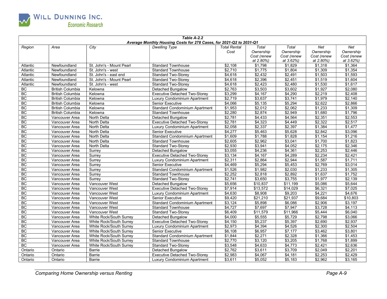

| Table A-2.2<br>Average Monthly Housing Costs for 278 Cases, for 2021-Q2 to 2031-Q1 |                         |                                |                                       |                     |                     |             |             |             |  |
|------------------------------------------------------------------------------------|-------------------------|--------------------------------|---------------------------------------|---------------------|---------------------|-------------|-------------|-------------|--|
| Region                                                                             | Area                    | City                           | <b>Dwelling Type</b>                  | <b>Total Rental</b> | Total               | Total       | Net         | Net         |  |
|                                                                                    |                         |                                |                                       | Cost                | Ownership           | Ownership   | Ownership   | Ownership   |  |
|                                                                                    |                         |                                |                                       |                     | Cost (renew         | Cost (renew | Cost (renew | Cost (renew |  |
|                                                                                    |                         |                                |                                       |                     | at 2.80%)           | at 3.62%)   | at 2.80%)   | at 3.62%)   |  |
| Atlantic                                                                           | Newfoundland            | St. John's - Mount Pearl       | <b>Standard Townhouse</b>             | \$2,108             | \$1,798             | \$1,829     | \$1,318     | \$1,364     |  |
| Atlantic                                                                           | Newfoundland            | St. John's - west              | <b>Standard Townhouse</b>             | \$2,710             | \$1,775             | \$1,804     | \$1,309     | \$1,354     |  |
| Atlantic                                                                           | Newfoundland            | St. John's - east end          | <b>Standard Two-Storey</b>            | \$4,618             | \$2,432             | \$2,491     | \$1,503     | \$1,593     |  |
| Atlantic                                                                           | Newfoundland            | St. John's - Mount Pearl       | <b>Standard Two-Storey</b>            | \$4,618             | \$2,396             | \$2,451     | \$1,519     | \$1,604     |  |
| Atlantic                                                                           | Newfoundland            | St. John's - west              | <b>Standard Two-Storey</b>            | \$4,618             | \$2,423             | \$2,480     | \$1,530     | \$1,617     |  |
| BC                                                                                 | <b>British Columbia</b> | Kelowna                        | Detached Bungalow                     | \$2,763             | \$3,503             | \$3,602     | \$1,927     | \$2,080     |  |
| <b>BC</b>                                                                          | <b>British Columbia</b> | Kelowna                        | <b>Executive Detached Two-Storey</b>  | \$3,299             | \$4,167             | \$4,290     | \$2,219     | \$2,408     |  |
| BC                                                                                 | <b>British Columbia</b> | Kelowna                        | Luxury Condominium Apartment          | \$2,719             | \$3,637             | \$3,741     | \$1,979     | \$2,140     |  |
| <b>BC</b>                                                                          | <b>British Columbia</b> | Kelowna                        | Senior Executive                      | \$4,066             | \$5,135             | \$5,294     | \$2,622     | \$2,866     |  |
| BC                                                                                 | <b>British Columbia</b> | Kelowna                        | <b>Standard Condominium Apartment</b> | \$1,953             | \$2.012             | \$2.062     | \$1,233     | \$1.309     |  |
| <b>BC</b>                                                                          | <b>British Columbia</b> | Kelowna                        | <b>Standard Townhouse</b>             | \$2,280             | \$2,874             | \$2,949     | \$1,680     | \$1,796     |  |
| <b>BC</b>                                                                          | Vancouver Area          | North Delta                    | Detached Bungalow                     | \$2,781             | \$4,433             | \$4,564     | \$2,351     | \$2,553     |  |
| <b>BC</b>                                                                          | Vancouver Area          | <b>North Delta</b>             | <b>Executive Detached Two-Storey</b>  | \$2,781             | \$4,323             | \$4,449     | \$2,322     | \$2.517     |  |
| BC                                                                                 | Vancouver Area          | <b>North Delta</b>             | Luxury Condominium Apartment          | \$2,058             | \$2,337             | \$2,397     | \$1,384     | \$1.477     |  |
| <b>BC</b>                                                                          | Vancouver Area          | North Delta                    | <b>Senior Executive</b>               | \$4,277             | \$5.463             | \$5.628     | \$2.842     | \$3.096     |  |
| <b>BC</b>                                                                          | Vancouver Area          | North Delta                    | <b>Standard Condominium Apartment</b> | \$1,609             | \$1,788             | \$1,828     | \$1,154     | \$1,216     |  |
| <b>BC</b>                                                                          | Vancouver Area          | <b>North Delta</b>             | <b>Standard Townhouse</b>             | \$2,605             | \$2,962             | \$3,041     | \$1,700     | \$1,823     |  |
| <b>BC</b>                                                                          | Vancouver Area          | North Delta                    | <b>Standard Two-Storev</b>            | $\sqrt{$2,930}$     | \$3,941             | \$4,052     | \$2,175     | \$2,346     |  |
| BC                                                                                 | Vancouver Area          | Surrey                         | <b>Detached Bungalow</b>              | \$3,055             | \$4,236             | \$4,361     | \$2,253     | \$2,446     |  |
| BC                                                                                 | Vancouver Area          | Surrey                         | <b>Executive Detached Two-Storey</b>  | \$3,134             | \$4,167             | \$4,289     | \$2,234     | \$2,421     |  |
| <b>BC</b>                                                                          | Vancouver Area          | Surrey                         | Luxury Condominium Apartment          | \$2,311             | \$2,864             | \$2,944     | \$1,587     | \$1,711     |  |
| <b>BC</b>                                                                          | Vancouver Area          | Surrey                         | Senior Executive                      | \$4,469             | \$5,294             | \$5,453     | \$2,769     | \$3,014     |  |
| <b>BC</b>                                                                          | Vancouver Area          | Surrey                         | Standard Condominium Apartment        | \$1,526             | \$1,982             | \$2,030     | \$1,233     | \$1,305     |  |
| <b>BC</b>                                                                          | Vancouver Area          | Surrey                         | <b>Standard Townhouse</b>             | \$2,252             | \$2,818             | \$2,892     | \$1,637     | \$1,752     |  |
| <b>BC</b>                                                                          | Vancouver Area          | Surrey                         | <b>Standard Two-Storey</b>            | \$2,741             | \$3,650             | \$3,755     | \$1,977     | \$2,139     |  |
| <b>BC</b>                                                                          | Vancouver Area          | Vancouver West                 | Detached Bungalow                     | \$5,656             | \$10,837            | \$11,199    | \$5,086     | \$5,644     |  |
| <b>BC</b>                                                                          | Vancouver Area          | Vancouver West                 | <b>Executive Detached Two-Storey</b>  | \$7,914             | \$13,572            | \$14,029    | \$6,321     | \$7,025     |  |
| BC                                                                                 | Vancouver Area          | Vancouver West                 | Luxury Condominium Apartment          | \$4,630             | \$8,908             | \$9,203     | \$4,221     | \$4,676     |  |
| <b>BC</b>                                                                          | Vancouver Area          | Vancouver West                 | <b>Senior Executive</b>               | \$9,420             | \$21,210            | \$21,937    | \$9,684     | \$10,803    |  |
| <b>BC</b>                                                                          | Vancouver Area          | Vancouver West                 | <b>Standard Condominium Apartment</b> | \$3,124             | \$5,898             | \$6,086     | \$2,906     | \$3,197     |  |
| BC                                                                                 | Vancouver Area          | Vancouver West                 | <b>Standard Townhouse</b>             | $\sqrt{$4,727}$     | $\frac{1}{157,697}$ | \$7,947     | \$3,728     | \$4,113     |  |
| BC                                                                                 | Vancouver Area          | Vancouver West                 | <b>Standard Two-Storey</b>            | $\frac{1}{6,409}$   | \$11,579            | \$11,966    | \$5,444     | \$6,040     |  |
| <b>BC</b>                                                                          | Vancouver Area          | White Rock/South Surrey        | <b>Detached Bungalow</b>              | \$4.000             | \$5.555             | \$5.729     | \$2.798     | \$3.066     |  |
| <b>BC</b>                                                                          | Vancouver Area          | White Rock/South Surrey        | <b>Executive Detached Two-Storey</b>  | \$4,150             | \$5,237             | \$5,397     | \$2,690     | \$2,937     |  |
| BC                                                                                 | Vancouver Area          | White Rock/South Surrey        | Luxury Condominium Apartment          | \$2,973             | \$4,394             | \$4,526     | \$2,300     | \$2.504     |  |
| BC                                                                                 | Vancouver Area          | <b>White Rock/South Surrey</b> | <b>Senior Executive</b>               | \$6,108             | \$6,957             | \$7,177     | \$3,462     | \$3,801     |  |
| BC                                                                                 | Vancouver Area          | White Rock/South Surrey        | <b>Standard Condominium Apartment</b> | \$1,844             | \$2,271             | \$2,328     | \$1,366     | \$1,453     |  |
| <b>BC</b>                                                                          | Vancouver Area          | White Rock/South Surrey        | <b>Standard Townhouse</b>             | \$2,770             | \$3,120             | \$3,205     | \$1,768     | \$1,899     |  |
| <b>BC</b>                                                                          | Vancouver Area          | White Rock/South Surrey        | <b>Standard Two-Storey</b>            | \$3,548             | \$4,633             | \$4,773     | \$2,421     | \$2,636     |  |
| Ontario                                                                            | Ontario                 | Barrie                         | <b>Detached Bungalow</b>              | \$2,762             | \$3,611             | \$3,709     | \$2,049     | \$2,201     |  |
| Ontario                                                                            | Ontario                 | Barrie                         | <b>Executive Detached Two-Storey</b>  | \$2,983             | \$4,067             | \$4,181     | \$2,253     | \$2,429     |  |
| Ontario                                                                            | Ontario                 | Barrie                         | Luxury Condominium Apartment          | \$3,611             | \$5,052             | \$5,183     | \$2,962     | \$3,165     |  |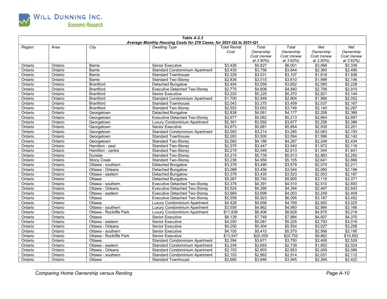

| Table A-2.3<br>Average Monthly Housing Costs for 278 Cases, for 2021-Q2 to 2031-Q1 |         |                         |                                       |                             |                                                |                                                |                                              |                                                     |  |  |
|------------------------------------------------------------------------------------|---------|-------------------------|---------------------------------------|-----------------------------|------------------------------------------------|------------------------------------------------|----------------------------------------------|-----------------------------------------------------|--|--|
| Region                                                                             | Area    | City                    | <b>Dwelling Type</b>                  | <b>Total Rental</b><br>Cost | Total<br>Ownership<br>Cost (renew<br>at 2.80%) | Total<br>Ownership<br>Cost (renew<br>at 3.62%) | Net<br>Ownership<br>Cost (renew<br>at 2.80%) | <b>Net</b><br>Ownership<br>Cost (renew<br>at 3.62%) |  |  |
| Ontario                                                                            | Ontario | Barrie                  | <b>Senior Executive</b>               | \$3,426                     | \$5,827                                        | \$6,001                                        | \$3,068                                      | \$3,336                                             |  |  |
| Ontario                                                                            | Ontario | <b>Barrie</b>           | <b>Standard Condominium Apartment</b> | \$2,430                     | \$3,756                                        | $\sqrt{3,844}$                                 | \$2,360                                      | \$2,495                                             |  |  |
| Ontario                                                                            | Ontario | <b>Barrie</b>           | <b>Standard Townhouse</b>             | \$2,329                     | \$3,031                                        | \$3,107                                        | \$1,818                                      | \$1,936                                             |  |  |
| Ontario                                                                            | Ontario | Barrie                  | <b>Standard Two-Storey</b>            | \$2,836                     | \$3,515                                        | \$3,610                                        | \$1,998                                      | \$2,146                                             |  |  |
| Ontario                                                                            | Ontario | <b>Brantford</b>        | Detached Bungalow                     | \$2,404                     | \$3,559                                        | \$3,652                                        | \$2,085                                      | \$2,228                                             |  |  |
| Ontario                                                                            | Ontario | <b>Brantford</b>        | <b>Executive Detached Two-Storey</b>  | \$2,775                     | \$4,808                                        | \$4,940                                        | \$2,706                                      | \$2,910                                             |  |  |
| Ontario                                                                            | Ontario | <b>Brantford</b>        | <b>Senior Executive</b>               | \$3,220                     | \$5,225                                        | \$5,370                                        | \$2,921                                      | \$3,144                                             |  |  |
| Ontario                                                                            | Ontario | <b>Brantford</b>        | <b>Standard Condominium Apartment</b> | \$1,700                     | \$2,848                                        | \$2,904                                        | \$1,966                                      | \$2,052                                             |  |  |
| Ontario                                                                            | Ontario | <b>Brantford</b>        | <b>Standard Townhouse</b>             | \$2,043                     | \$3,375                                        | \$3,459                                        | \$2,037                                      | \$2,167                                             |  |  |
| Ontario                                                                            | Ontario | <b>Brantford</b>        | <b>Standard Two-Storev</b>            | \$2.552                     | \$3.653                                        | \$3.748                                        | $\sqrt{2,140}$                               | \$2.287                                             |  |  |
| Ontario                                                                            | Ontario | Georgetown              | <b>Detached Bungalow</b>              | \$2,838                     | \$4,061                                        | \$4,177                                        | \$2,208                                      | \$2,388                                             |  |  |
| Ontario                                                                            | Ontario | Georgetown              | <b>Executive Detached Two-Storey</b>  | \$2,977                     | \$5.062                                        | \$5,213                                        | \$2,664                                      | \$2.897                                             |  |  |
| Ontario                                                                            | Ontario | Georgetown              | Luxury Condominium Apartment          | \$2,301                     | \$3,592                                        | \$3,677                                        | \$2,256                                      | \$2,386                                             |  |  |
| Ontario                                                                            | Ontario | Georgetown              | Senior Executive                      | \$3,673                     | \$5,681                                        | \$5,854                                        | \$2,935                                      | \$3,201                                             |  |  |
| Ontario                                                                            | Ontario | Georgetown              | <b>Standard Condominium Apartment</b> | \$2,093                     | \$3,214                                        | \$3,285                                        | $\frac{1}{2,083}$                            | $\sqrt{$2,193}$                                     |  |  |
| Ontario                                                                            | Ontario | Georgetown              | <b>Standard Townhouse</b>             | \$2,283                     | \$3,500                                        | \$3,594                                        | \$1,996                                      | \$2,142                                             |  |  |
| Ontario                                                                            | Ontario | Georgetown              | <b>Standard Two-Storey</b>            | \$2,560                     | \$4,166                                        | \$4,287                                        | \$2,248                                      | \$2,434                                             |  |  |
| Ontario                                                                            | Ontario | Hamilton - east         | <b>Standard Two-Storey</b>            | \$2,575                     | \$3,447                                        | \$3,540                                        | \$1,972                                      | \$2,116                                             |  |  |
| Ontario                                                                            | Ontario | Hamilton - centre       | <b>Standard Two-Storey</b>            | \$2,219                     | \$2,549                                        | \$2,613                                        | \$1,544                                      | \$1,641                                             |  |  |
| Ontario                                                                            | Ontario | Dundas                  | Standard Two-Storey                   | \$3,210                     | \$5,739                                        | \$5,913                                        | \$2,983                                      | \$3,250                                             |  |  |
| Ontario                                                                            | Ontario | <b>Stony Creek</b>      | <b>Standard Two-Storey</b>            | \$3,238                     | \$4,959                                        | \$5,105                                        | \$2,641                                      | \$2,866                                             |  |  |
| Ontario                                                                            | Ontario | Ottawa - southern       | Detached Bungalow                     | \$3,379                     | \$3,490                                        | \$3,579                                        | \$2,074                                      | \$2,211                                             |  |  |
| Ontario                                                                            | Ontario | Ottawa - Orleans        | Detached Bungalow                     | \$3,088                     | \$3,456                                        | \$3,544                                        | \$2,060                                      | \$2,196                                             |  |  |
| Ontario                                                                            | Ontario | Ottawa - eastern        | Detached Bungalow                     | \$3,379                     | \$3,435                                        | \$3,523                                        | \$2,053                                      | \$2,187                                             |  |  |
| Ontario                                                                            | Ontario | Ottawa                  | Detached Bungalow                     | \$5,267                     | \$5,740                                        | \$5,905                                        | \$3,116                                      | \$3,371                                             |  |  |
| Ontario                                                                            | Ontario | Ottawa - southern       | <b>Executive Detached Two-Storey</b>  | \$3,379                     | \$4,391                                        | \$4,510                                        | \$2,510                                      | \$2,693                                             |  |  |
| Ontario                                                                            | Ontario | Ottawa - Orleans        | <b>Executive Detached Two-Storey</b>  | \$3,524                     | \$4,280                                        | \$4,394                                        | \$2,467                                      | \$2,643                                             |  |  |
| Ontario                                                                            | Ontario | Ottawa - eastern        | <b>Executive Detached Two-Storey</b>  | \$3,669                     | \$3,899                                        | \$4,003                                        | \$2,249                                      | \$2,409                                             |  |  |
| Ontario                                                                            | Ontario | Ottawa                  | <b>Executive Detached Two-Storey</b>  | \$5,558                     | \$5,923                                        | \$6,095                                        | \$3,187                                      | \$3,452                                             |  |  |
| Ontario                                                                            | Ontario | Ottawa                  | Luxury Condominium Apartment          | \$4,428                     | \$4,656                                        | \$4,769                                        | \$2,850                                      | \$3,025                                             |  |  |
| Ontario                                                                            | Ontario | Ottawa - southern       | <b>Luxury Condominium Apartment</b>   | \$3,556                     | $\frac{1}{64,862}$                             | \$4,980                                        | \$2,984                                      | \$3,166                                             |  |  |
| Ontario                                                                            | Ontario | Ottawa - Rockliffe Park | Luxury Condominium Apartment          | \$11,836                    | \$8,406                                        | \$8,628                                        | \$4,875                                      | \$5,218                                             |  |  |
| Ontario                                                                            | Ontario | Ottawa                  | Senior Executive                      | \$6.139                     | \$7.748                                        | \$7.984                                        | \$4.007                                      | \$4,370                                             |  |  |
| Ontario                                                                            | Ontario | Ottawa - eastern        | Senior Executive                      | \$4,250                     | \$5,081                                        | \$5,225                                        | \$2,793                                      | \$3,016                                             |  |  |
| Ontario                                                                            | Ontario | Ottawa - Orleans        | <b>Senior Executive</b>               | \$4,250                     | \$5,404                                        | \$5,554                                        | \$3.027                                      | \$3,258                                             |  |  |
| Ontario                                                                            | Ontario | Ottawa - southern       | <b>Senior Executive</b>               | \$4,105                     | \$5,415                                        | \$5,570                                        | \$2,956                                      | \$3,195                                             |  |  |
| Ontario                                                                            | Ontario | Ottawa - Rockliffe Park | <b>Senior Executive</b>               | \$13,547                    | \$20,059                                       | \$20,702                                       | \$9,862                                      | \$10,852                                            |  |  |
| Ontario                                                                            | Ontario | Ottawa                  | <b>Standard Condominium Apartment</b> | \$2,394                     | \$3,671                                        | \$3,750                                        | \$2,406                                      | \$2,529                                             |  |  |
| Ontario                                                                            | Ontario | Ottawa - eastern        | <b>Standard Condominium Apartment</b> | \$2,249                     | \$2,693                                        | \$2,739                                        | \$1,952                                      | \$2,024                                             |  |  |
| Ontario                                                                            | Ontario | Ottawa - Orleans        | <b>Standard Condominium Apartment</b> | \$2,103                     | \$2,803                                        | \$2,853                                        | \$2,009                                      | \$2,086                                             |  |  |
| Ontario                                                                            | Ontario | Ottawa - southern       | <b>Standard Condominium Apartment</b> | \$2,103                     | \$2,862                                        | \$2,914                                        | \$2,031                                      | \$2,112                                             |  |  |
| Ontario                                                                            | Ontario | Ottawa                  | <b>Standard Townhouse</b>             | \$2.660                     | \$3,846                                        | \$3,945                                        | \$2,269                                      | \$2.422                                             |  |  |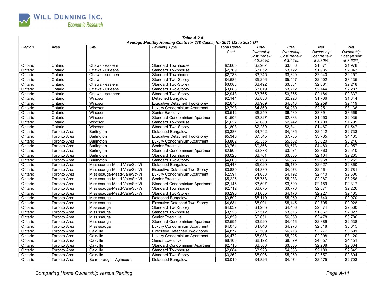

| Table A-2.4<br>Average Monthly Housing Costs for 278 Cases, for 2021-Q2 to 2031-Q1 |                     |                               |                                       |                             |                                                |                                                |                                              |                                              |  |
|------------------------------------------------------------------------------------|---------------------|-------------------------------|---------------------------------------|-----------------------------|------------------------------------------------|------------------------------------------------|----------------------------------------------|----------------------------------------------|--|
| Region                                                                             | Area                | City                          | <b>Dwelling Type</b>                  | <b>Total Rental</b><br>Cost | Total<br>Ownership<br>Cost (renew<br>at 2.80%) | Total<br>Ownership<br>Cost (renew<br>at 3.62%) | Net<br>Ownership<br>Cost (renew<br>at 2.80%) | Net<br>Ownership<br>Cost (renew<br>at 3.62%) |  |
| Ontario                                                                            | Ontario             | Ottawa - eastern              | <b>Standard Townhouse</b>             | \$2,660                     | \$2,967                                        | \$3,036                                        | \$1,871                                      | $\sqrt{51,978}$                              |  |
| Ontario                                                                            | Ontario             | Ottawa - Orleans              | <b>Standard Townhouse</b>             | \$2,369                     | \$3,052                                        | \$3,122                                        | \$1,935                                      | \$2,043                                      |  |
| Ontario                                                                            | Ontario             | Ottawa - southern             | <b>Standard Townhouse</b>             | \$2.733                     | \$3,245                                        | \$3,320                                        | \$2,040                                      | $\sqrt{2,157}$                               |  |
| Ontario                                                                            | Ontario             | Ottawa                        | <b>Standard Two-Storey</b>            | \$4,686                     | \$5,296                                        | \$5,447                                        | \$2,902                                      | \$3,135                                      |  |
| Ontario                                                                            | Ontario             | Ottawa - eastern              | <b>Standard Two-Storey</b>            | \$3,088                     | \$3,492                                        | \$3,581                                        | \$2,081                                      | \$2,218                                      |  |
| Ontario                                                                            | Ontario             | Ottawa - Orleans              | <b>Standard Two-Storey</b>            | \$3,088                     | \$3,619                                        | \$3,712                                        | \$2,144                                      | \$2,287                                      |  |
| Ontario                                                                            | Ontario             | Ottawa - southern             | <b>Standard Two-Storey</b>            | \$2,943                     | \$3,765                                        | \$3,865                                        | \$2,184                                      | \$2,337                                      |  |
| Ontario                                                                            | Ontario             | Windsor                       | <b>Detached Bungalow</b>              | \$2,144                     | \$2,853                                        | \$2,923                                        | \$1,736                                      | \$1,844                                      |  |
| Ontario                                                                            | Ontario             | Windsor                       | <b>Executive Detached Two-Storey</b>  | \$2,676                     | \$3,909                                        | \$4,013                                        | \$2,259                                      | \$2,419                                      |  |
| Ontario                                                                            | Ontario             | Windsor                       | Luxury Condominium Apartment          | \$2,798                     | \$4,860                                        | \$4,980                                        | \$2,951                                      | \$3,136                                      |  |
| Ontario                                                                            | Ontario             | Windsor                       | <b>Senior Executive</b>               | \$3,512                     | \$6,250                                        | \$6,430                                        | \$3,391                                      | \$3,669                                      |  |
| Ontario                                                                            | Ontario             | Windsor                       | <b>Standard Condominium Apartment</b> | \$1,506                     | \$2,827                                        | \$2,883                                        | \$1,950                                      | \$2,035                                      |  |
| Ontario                                                                            | Ontario             | Windsor                       | <b>Standard Townhouse</b>             | \$1,627                     | \$2,680                                        | \$2,742                                        | \$1,700                                      | \$1,795                                      |  |
| Ontario                                                                            | Ontario             | Windsor                       | <b>Standard Two-Storey</b>            | \$1.803                     | \$2,289                                        | \$2.341                                        | \$1,467                                      | \$1,547                                      |  |
| Ontario                                                                            | <b>Toronto Area</b> | <b>Burlington</b>             | <b>Detached Bungalow</b>              | \$3.388                     | \$4.792                                        | \$4.935                                        | \$2.512                                      | \$2.733                                      |  |
| Ontario                                                                            | <b>Toronto Area</b> | <b>Burlington</b>             | <b>Executive Detached Two-Storey</b>  | \$5,345                     | \$7,545                                        | \$7,785                                        | \$3,735                                      | \$4,105                                      |  |
| Ontario                                                                            | <b>Toronto Area</b> | <b>Burlington</b>             | Luxury Condominium Apartment          | \$3,802                     | \$5,355                                        | \$5,502                                        | \$3,020                                      | \$3,246                                      |  |
| Ontario                                                                            | <b>Toronto Area</b> | <b>Burlington</b>             | <b>Senior Executive</b>               | \$3,761                     | \$9,366                                        | \$9,673                                        | \$4,483                                      | \$4,957                                      |  |
| Ontario                                                                            | <b>Toronto Area</b> | <b>Burlington</b>             | <b>Standard Condominium Apartment</b> | \$2,905                     | \$3,878                                        | \$3,974                                        | \$2,363                                      | \$2,510                                      |  |
| Ontario                                                                            | <b>Toronto Area</b> | <b>Burlington</b>             | <b>Standard Townhouse</b>             | \$3,026                     | \$3,761                                        | \$3,865                                        | \$2,104                                      | \$2,265                                      |  |
| Ontario                                                                            | <b>Toronto Area</b> | <b>Burlington</b>             | <b>Standard Two-Storey</b>            | \$4,060                     | \$5,893                                        | \$6,077                                        | \$2,968                                      | \$3,252                                      |  |
| Ontario                                                                            | <b>Toronto Area</b> | Mississauga-Mead-Vale/Str-Vil | Detached Bungalow                     | \$3,443                     | \$5,020                                        | \$5,170                                        | \$2,627                                      | \$2,860                                      |  |
| Ontario                                                                            | <b>Toronto Area</b> | Mississauga-Mead-Vale/Str-Vil | <b>Executive Detached Two-Storey</b>  | \$3,889                     | \$4,830                                        | \$4,973                                        | \$2,561                                      | \$2,781                                      |  |
| Ontario                                                                            | <b>Toronto Area</b> | Mississauga-Mead-Vale/Str-Vil | Luxury Condominium Apartment          | \$2,591                     | \$4,088                                        | \$4,192                                        | \$2,440                                      | \$2,600                                      |  |
| Ontario                                                                            | Toronto Area        | Mississauga-Mead-Vale/Str-Vil | <b>Senior Executive</b>               | \$5,225                     | \$5,758                                        | \$5,933                                        | \$2,987                                      | \$3,256                                      |  |
| Ontario                                                                            | <b>Toronto Area</b> | Mississauga-Mead-Vale/Str-Vil | <b>Standard Condominium Apartment</b> | \$2,145                     | \$3.507                                        | \$3,590                                        | \$2,189                                      | \$2.317                                      |  |
| Ontario                                                                            | <b>Toronto Area</b> | Mississauga-Mead-Vale/Str-Vil | <b>Standard Townhouse</b>             | \$2,712                     | \$3,675                                        | \$3,776                                        | \$2,071                                      | \$2,226                                      |  |
| Ontario                                                                            | <b>Toronto Area</b> | Mississauga-Mead-Vale/Str-Vil | <b>Standard Two-Storey</b>            | \$3,295                     | \$4,055                                        | \$4,170                                        | \$2,227                                      | \$2,405                                      |  |
| Ontario                                                                            | <b>Toronto Area</b> | Mississauga                   | <b>Detached Bungalow</b>              | \$3,592                     | \$5,110                                        | \$5,259                                        | \$2,740                                      | \$2,970                                      |  |
| Ontario                                                                            | <b>Toronto Area</b> | Mississauga                   | <b>Executive Detached Two-Storey</b>  | \$4,631                     | \$5,001                                        | \$5,145                                        | \$2,705                                      | \$2,928                                      |  |
| Ontario                                                                            | <b>Toronto Area</b> | Mississauga                   | <b>Standard Two-Storey</b>            | \$4,037                     | \$4,285                                        | \$4,406                                        | \$2,374                                      | \$2,560                                      |  |
| Ontario                                                                            | <b>Toronto Area</b> | Mississauga                   | <b>Standard Townhouse</b>             | \$3,528                     | \$3,512                                        | \$3,616                                        | \$1,867                                      | \$2,027                                      |  |
| Ontario                                                                            | <b>Toronto Area</b> | Mississauga                   | Senior Executive                      | \$6,859                     | \$6,651                                        | \$6,850                                        | \$3,478                                      | \$3,786                                      |  |
| Ontario                                                                            | <b>Toronto Area</b> | Mississauga                   | <b>Standard Condominium Apartment</b> | \$2,591                     | \$3,920                                        | \$4,016                                        | \$2,389                                      | \$2,538                                      |  |
| Ontario                                                                            | <b>Toronto Area</b> | Mississauga                   | Luxury Condominium Apartment          | \$4,076                     | \$4,846                                        | \$4,973                                        | \$2,818                                      | \$3,015                                      |  |
| Ontario                                                                            | Toronto Area        | Oakville                      | <b>Executive Detached Two-Storey</b>  | \$4,877                     | \$6,509                                        | \$6,713                                        | \$3,277                                      | \$3,591                                      |  |
| Ontario                                                                            | <b>Toronto Area</b> | Oakville                      | Luxury Condominium Apartment          | \$4,472                     | \$5,088                                        | \$5,225                                        | \$2,908                                      | \$3,120                                      |  |
| Ontario                                                                            | <b>Toronto Area</b> | Oakville                      | <b>Senior Executive</b>               | \$8,106                     | \$8,122                                        | \$8,379                                        | \$4,057                                      | \$4,451                                      |  |
| Ontario                                                                            | <b>Toronto Area</b> | Oakville                      | <b>Standard Condominium Apartment</b> | \$2,710                     | \$3,503                                        | \$3,585                                        | \$2,208                                      | \$2,334                                      |  |
| Ontario                                                                            | <b>Toronto Area</b> | Oakville                      | <b>Standard Townhouse</b>             | \$2.684                     | \$3.923                                        | \$4.033                                        | \$2.180                                      | \$2.349                                      |  |
| Ontario                                                                            | Toronto Area        | Oakville                      | <b>Standard Two-Storey</b>            | \$3,262                     | \$5,096                                        | \$5,250                                        | \$2,657                                      | \$2,894                                      |  |
| Ontario                                                                            | <b>Toronto Area</b> | Scarborough - Agincourt       | Detached Bungalow                     | \$3,010                     | \$4,826                                        | \$4,974                                        | \$2,475                                      | \$2,703                                      |  |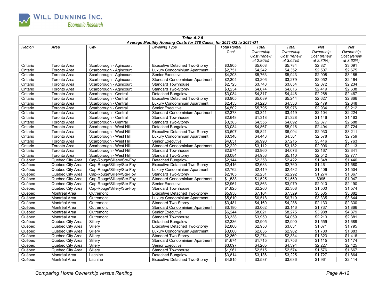

| Table A-2.5<br>Average Monthly Housing Costs for 278 Cases, for 2021-Q2 to 2031-Q1 |                     |                           |                                       |                     |             |                 |                 |             |  |
|------------------------------------------------------------------------------------|---------------------|---------------------------|---------------------------------------|---------------------|-------------|-----------------|-----------------|-------------|--|
| Region                                                                             | Area                | City                      | <b>Dwelling Type</b>                  | <b>Total Rental</b> | Total       | Total           | <b>Net</b>      | Net         |  |
|                                                                                    |                     |                           |                                       | Cost                | Ownership   | Ownership       | Ownership       | Ownership   |  |
|                                                                                    |                     |                           |                                       |                     | Cost (renew | Cost (renew     | Cost (renew     | Cost (renew |  |
|                                                                                    |                     |                           |                                       |                     | at 2.80%)   | at 3.62%)       | at 2.80%)       | at 3.62%)   |  |
| Ontario                                                                            | <b>Toronto Area</b> | Scarborough - Agincourt   | <b>Executive Detached Two-Storey</b>  | \$3,905             | \$5,608     | \$5,784         | \$2,821         | \$3,091     |  |
| Ontario                                                                            | <b>Toronto Area</b> | Scarborough - Agincourt   | Luxury Condominium Apartment          | \$2,751             | \$4,242     | \$4,352         | \$2,507         | \$2,675     |  |
| Ontario                                                                            | <b>Toronto Area</b> | Scarborough - Agincourt   | <b>Senior Executive</b>               | \$4,203             | \$5,763     | \$5,943         | \$2,908         | \$3,185     |  |
| Ontario                                                                            | Toronto Area        | Scarborough - Agincourt   | <b>Standard Condominium Apartment</b> | \$2,304             | \$3,206     | 3,279           | \$2,052         | \$2,164     |  |
| Ontario                                                                            | Toronto Area        | Scarborough - Agincourt   | <b>Standard Townhouse</b>             | \$2,723             | \$3,748     | \$3,854         | \$2,072         | \$2,234     |  |
| Ontario                                                                            | <b>Toronto Area</b> | Scarborough - Agincourt   | <b>Standard Two-Storey</b>            | \$3.234             | \$4.674     | \$4.816         | \$2.419         | \$2.638     |  |
| Ontario                                                                            | <b>Toronto Area</b> | Scarborough - Central     | Detached Bungalow                     | \$3,084             | \$4,317     | \$4,446         | \$2,268         | \$2,467     |  |
| Ontario                                                                            | <b>Toronto Area</b> | Scarborough - Central     | <b>Executive Detached Two-Storey</b>  | \$3,905             | \$5,089     | \$5,244         | \$2,627         | \$2,866     |  |
| Ontario                                                                            | <b>Toronto Area</b> | Scarborough - Central     | Luxury Condominium Apartment          | \$2,453             | \$4,223     | \$4,333         | \$2,479         | \$2,648     |  |
| Ontario                                                                            | <b>Toronto Area</b> | Scarborough - Central     | <b>Senior Executive</b>               | \$4,502             | \$5,795     | \$5,976         | \$2,934         | \$3,212     |  |
| Ontario                                                                            | <b>Toronto Area</b> | Scarborough - Central     | <b>Standard Condominium Apartment</b> | \$2,378             | \$3,341     | \$3,419         | \$2,104         | \$2,224     |  |
| Ontario                                                                            | Toronto Area        | Scarborough - Central     | <b>Standard Townhouse</b>             | \$2,648             | \$1,318     | \$1,328         | \$1,146         | \$1,163     |  |
| Ontario                                                                            | <b>Toronto Area</b> | Scarborough - Central     | <b>Standard Two-Storey</b>            | \$3,383             | \$4,555     | \$4,692         | \$2,377         | \$2,588     |  |
| Ontario                                                                            | <b>Toronto Area</b> | Scarborough - West Hill   | <b>Detached Bungalow</b>              | \$3,084             | \$4,867     | \$5,016         | \$2,494         | \$2,724     |  |
| Ontario                                                                            | <b>Toronto Area</b> | Scarborough - West Hill   | <b>Executive Detached Two-Storey</b>  | \$3,607             | \$5,821     | \$6,004         | \$2,930         | \$3,211     |  |
| Ontario                                                                            | Toronto Area        | Scarborough - West Hill   | <b>Luxury Condominium Apartment</b>   | \$3,348             | \$4,443     | \$4,561         | \$2,578         | \$2,759     |  |
| Ontario                                                                            | <b>Toronto Area</b> | Scarborough - West Hill   | Senior Executive                      | \$4,651             | \$6,990     | $\sqrt{$7,215}$ | \$3,416         | \$3,763     |  |
| Ontario                                                                            | <b>Toronto Area</b> | Scarborough - West Hill   | <b>Standard Condominium Apartment</b> | \$2,229             | \$3,112     | \$3,182         | \$2,006         | \$2,113     |  |
| Ontario                                                                            | Toronto Area        | Scarborough - West Hill   | <b>Standard Townhouse</b>             | \$2,574             | \$3,960     | \$4,073         | \$2,167         | \$2,341     |  |
| Ontario                                                                            | Toronto Area        | Scarborough - West Hill   | <b>Standard Two-Storey</b>            | \$3,084             | \$4,958     | \$5,110         | \$2,542         | \$2,777     |  |
| Québec                                                                             | Québec City Area    | Cap-Rouge\Sillery\Ste-Foy | <b>Detached Bungalow</b>              | \$2,144             | \$2,358     | \$2.422         | \$1,348         | \$1,446     |  |
| Québec                                                                             | Québec City Area    | Cap-Rouge\Sillery\Ste-Foy | <b>Executive Detached Two-Storey</b>  | \$2,416             | \$2,683     | \$2.760         | \$1,461         | \$1,580     |  |
| Québec                                                                             | Québec City Area    | Cap-Rouge\Sillery\Ste-Foy | Luxury Condominium Apartment          | \$2,762             | \$2,419     | \$2.482         | \$1,406         | \$1,504     |  |
| Québec                                                                             | Québec City Area    | Cap-Rouge\Sillery\Ste-Foy | <b>Standard Two-Storey</b>            | \$2,165             | \$2,231     | \$2,292         | $\sqrt{$1,274}$ | \$1.367     |  |
| Québec                                                                             | Québec City Area    | Cap-Rouge\Sillery\Ste-Foy | <b>Standard Condominium Apartment</b> | \$1,538             | \$1,525     | \$1,559         | \$995           | \$1,047     |  |
| Québec                                                                             | Québec City Area    | Cap-Rouge\Sillery\Ste-Foy | <b>Senior Executive</b>               | \$2,961             | \$3,863     | \$3,979         | \$2,010         | \$2,190     |  |
| Québec                                                                             | Québec City Area    | Cap-Rouge\Sillery\Ste-Foy | <b>Standard Townhouse</b>             | \$1,825             | \$2,260     | \$2,308         | \$1,500         | \$1,574     |  |
| Québec                                                                             | Montréal Area       | Outremont                 | <b>Executive Detached Two-Storey</b>  | \$5,958             | \$7,104     | \$7,329         | \$3,535         | \$3,882     |  |
| Québec                                                                             | Montréal Area       | Outremont                 | Luxury Condominium Apartment          | \$5,610             | \$6,518     | \$6,719         | \$3,335         | \$3,644     |  |
| Québec                                                                             | Montréal Area       | Outremont                 | <b>Standard Two-Storey</b>            | \$3,481             | \$4,160     | \$4,288         | \$2,133         | \$2,330     |  |
| Québec                                                                             | Montréal Area       | Outremont                 | <b>Standard Condominium Apartment</b> | \$3,180             | \$3,062     | \$3,146         | \$1,737         | \$1,866     |  |
| Québec                                                                             | Montréal Area       | Outremont                 | Senior Executive                      | \$6,244             | \$8,021     | \$8,275         | \$3,988         | \$4,379     |  |
| Québec                                                                             | Montréal Area       | Outremont                 | <b>Standard Townhouse</b>             | \$3,338             | \$3,950     | \$4,059         | \$2,213         | \$2,381     |  |
| Québec                                                                             | Québec City Area    | Sillery                   | Detached Bungalow                     | \$2,336             | \$2,905     | \$2,990         | \$1,559         | \$1,689     |  |
| Québec                                                                             | Québec City Area    | Sillery                   | <b>Executive Detached Two-Storey</b>  | \$2,800             | \$2,950     | \$3,031         | \$1,671         | \$1,795     |  |
| Québec                                                                             | Québec City Area    | Sillerv                   | Luxury Condominium Apartment          | \$3,060             | \$2,835     | \$2,902         | \$1,780         | \$1,883     |  |
| Québec                                                                             | Québec City Area    | Sillery                   | Standard Two-Storey                   | \$2,369             | \$2,274     | \$2,334         | \$1,323         | \$1,416     |  |
| Québec                                                                             | Québec City Area    | Sillery                   | <b>Standard Condominium Apartment</b> | \$1,674             | \$1,715     | \$1,753         | \$1,115         | \$1,174     |  |
| Québec                                                                             | Québec City Area    | Sillery                   | <b>Senior Executive</b>               | \$3,097             | \$4,265     | \$4,394         | \$2,227         | \$2,425     |  |
| Québec                                                                             | Québec City Area    | Sillery                   | <b>Standard Townhouse</b>             | \$1,961             | \$2,515     | \$2,574         | \$1,576         | \$1,667     |  |
| Québec                                                                             | Montréal Area       | Lachine                   | Detached Bungalow                     | \$3,814             | \$3,136     | \$3,225         | \$1,727         | \$1,864     |  |
| Québec                                                                             | Montréal Area       | Lachine                   | <b>Executive Detached Two-Storey</b>  | \$4,815             | \$3,537     | \$3,636         | \$1,961         | \$2,114     |  |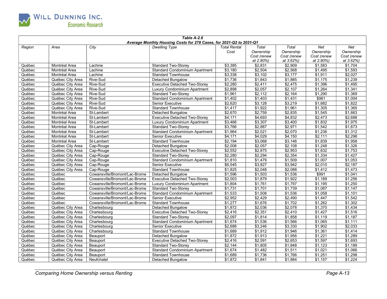

| Table A-2.6<br>Average Monthly Housing Costs for 278 Cases, for 2021-Q2 to 2031-Q1 |                  |                               |                                       |                             |                                                |                                                |                                              |                                              |  |  |  |
|------------------------------------------------------------------------------------|------------------|-------------------------------|---------------------------------------|-----------------------------|------------------------------------------------|------------------------------------------------|----------------------------------------------|----------------------------------------------|--|--|--|
| Region                                                                             | Area             | City                          | <b>Dwelling Type</b>                  | <b>Total Rental</b><br>Cost | Total<br>Ownership<br>Cost (renew<br>at 2.80%) | Total<br>Ownership<br>Cost (renew<br>at 3.62%) | Net<br>Ownership<br>Cost (renew<br>at 2.80%) | Net<br>Ownership<br>Cost (renew<br>at 3.62%) |  |  |  |
| Québec                                                                             | Montréal Area    | Lachine                       | <b>Standard Two-Storey</b>            | \$3,385                     | \$2,831                                        | \$2,909                                        | \$1,583                                      | \$1,704                                      |  |  |  |
| Québec                                                                             | Montréal Area    | Lachine                       | Standard Condominium Apartment        | \$3,180                     | \$2,504                                        | \$2,568                                        | \$1,495                                      | \$1,593                                      |  |  |  |
| Québec                                                                             | Montréal Area    | Lachine                       | <b>Standard Townhouse</b>             | \$3,338                     | \$3,102                                        | \$3,177                                        | \$1.911                                      | \$2.027                                      |  |  |  |
| Québec                                                                             | Québec City Area | Rive-Sud                      | <b>Detached Bungalow</b>              | \$1,736                     | \$1,843                                        | \$1,885                                        | \$1,175                                      | \$1,239                                      |  |  |  |
| Québec                                                                             | Québec City Area | Rive-Sud                      | <b>Executive Detached Two-Storey</b>  | \$2,280                     | \$2,411                                        | \$2,475                                        | \$1,396                                      | \$1,495                                      |  |  |  |
| Québec                                                                             | Québec City Area | Rive-Sud                      | Luxury Condominium Apartment          | \$2,898                     | \$2,057                                        | \$2,107                                        | \$1,264                                      | \$1,341                                      |  |  |  |
| Québec                                                                             | Québec City Area | Rive-Sud                      | <b>Standard Two-Storey</b>            | \$1,961                     | \$2,112                                        | \$2,164                                        | \$1,290                                      | \$1,369                                      |  |  |  |
| Québec                                                                             | Québec City Area | Rive-Sud                      | <b>Standard Condominium Apartment</b> | \$1,402                     | \$1,403                                        | \$1,431                                        | \$961                                        | \$1,004                                      |  |  |  |
| Québec                                                                             | Québec City Area | Rive-Sud                      | <b>Senior Executive</b>               | \$2,620                     | \$3,128                                        | \$3,219                                        | \$1,682                                      | \$1,822                                      |  |  |  |
| Québec                                                                             | Québec City Area | Rive-Sud                      | <b>Standard Townhouse</b>             | \$1,417                     | \$1,922                                        | \$1,961                                        | \$1,305                                      | \$1,365                                      |  |  |  |
| Québec                                                                             | Montréal Area    | St-Lambert                    | <b>Detached Bungalow</b>              | \$2,670                     | \$2,759                                        | \$2,835                                        | \$1,545                                      | \$1,663                                      |  |  |  |
| Québec                                                                             | Montréal Area    | St-Lambert                    | <b>Executive Detached Two-Storey</b>  | \$4,171                     | \$4,693                                        | \$4,832                                        | \$2,473                                      | \$2,688                                      |  |  |  |
| Québec                                                                             | Montréal Area    | St-Lambert                    | Luxury Condominium Apartment          | \$3,466                     | \$3,307                                        | \$3,400                                        | \$1,832                                      | \$1,975                                      |  |  |  |
| Québec                                                                             | Montréal Area    | St-Lambert                    | <b>Standard Two-Storey</b>            | \$3,766                     | \$2,887                                        | \$2,971                                        | \$1,542                                      | \$1,673                                      |  |  |  |
| Québec                                                                             | Montréal Area    | St-Lambert                    | <b>Standard Condominium Apartment</b> | \$1,964                     | \$2.021                                        | \$2.070                                        | \$1.236                                      | \$1.312                                      |  |  |  |
| Québec                                                                             | Montréal Area    | St-Lambert                    | <b>Senior Executive</b>               | \$4,171                     | \$4,029                                        | \$4,150                                        | \$2,111                                      | \$2,298                                      |  |  |  |
| Québec                                                                             | Montréal Area    | St-Lambert                    | <b>Standard Townhouse</b>             | \$2,194                     | \$3,068                                        | \$3,146                                        | \$1,839                                      | \$1,958                                      |  |  |  |
| Québec                                                                             | Québec City Area | Cap-Rouge                     | Detached Bungalow                     | \$2,008                     | \$2,057                                        | \$2,108                                        | $\sqrt{$1,248}$                              | \$1,326                                      |  |  |  |
| Québec                                                                             | Québec City Area | Cap-Rouge                     | <b>Executive Detached Two-Storey</b>  | \$2,552                     | \$2,875                                        | \$2,953                                        | \$1,632                                      | \$1,753                                      |  |  |  |
| Québec                                                                             | Québec City Area | Cap-Rouge                     | <b>Standard Two-Storey</b>            | \$2,280                     | \$2,294                                        | \$2,354                                        | \$1,334                                      | \$1,427                                      |  |  |  |
| Québec                                                                             | Québec City Area | Cap-Rouge                     | <b>Standard Condominium Apartment</b> | \$1,810                     | \$1,479                                        | \$1,509                                        | \$1,007                                      | \$1,053                                      |  |  |  |
| Québec                                                                             | Québec City Area | Cap-Rouge                     | <b>Senior Executive</b>               | \$6,545                     | \$3,827                                        | \$3,942                                        | \$2,010                                      | \$2,187                                      |  |  |  |
| Québec                                                                             | Québec City Area | Cap-Rouge                     | <b>Standard Townhouse</b>             | \$1,825                     | \$2,048                                        | \$2,088                                        | \$1,412                                      | \$1,473                                      |  |  |  |
| Québec                                                                             | Québec           | Cowansville/Bromont/Lac-Brome | Detached Bungalow                     | \$1,596                     | \$1,503                                        | \$1,536                                        | \$991                                        | \$1,041                                      |  |  |  |
| Québec                                                                             | Québec           | Cowansville/Bromont/Lac-Brome | <b>Executive Detached Two-Storey</b>  | \$2,003                     | \$1,879                                        | \$1,922                                        | \$1,189                                      | \$1,256                                      |  |  |  |
| Québec                                                                             | Québec           | Cowansville/Bromont/Lac-Brome | Luxury Condominium Apartment          | \$1.804                     | \$1.761                                        | \$1.797                                        | \$1.195                                      | \$1,250                                      |  |  |  |
| Québec                                                                             | Québec           | Cowansville/Bromont/Lac-Brome | <b>Standard Two-Storey</b>            | \$1,731                     | \$1,701                                        | \$1,739                                        | \$1,087                                      | \$1,147                                      |  |  |  |
| Québec                                                                             | Québec           | Cowansville/Bromont/Lac-Brome | <b>Standard Condominium Apartment</b> | \$1,533                     | \$1,508                                        | \$1,536                                        | \$1.058                                      | \$1,101                                      |  |  |  |
| Québec                                                                             | Québec           | Cowansville/Bromont/Lac-Brome | <b>Senior Executive</b>               | \$2,952                     | \$2,429                                        | \$2,490                                        | \$1,447                                      | \$1,542                                      |  |  |  |
| Québec                                                                             | Québec           | Cowansville/Bromont/Lac-Brome | <b>Standard Townhouse</b>             | \$1,277                     | \$1,676                                        | \$1,702                                        | \$1,262                                      | \$1,302                                      |  |  |  |
| Québec                                                                             | Québec City Area | Charlesbourg                  | <b>Detached Bungalow</b>              | \$1,872                     | \$2,036                                        | \$2,078                                        | \$1,370                                      | \$1,434                                      |  |  |  |
| Québec                                                                             | Québec City Area | Charlesbourg                  | <b>Executive Detached Two-Storey</b>  | \$2,416                     | \$2,351                                        | \$2,410                                        | \$1,427                                      | \$1,516                                      |  |  |  |
| Québec                                                                             | Québec City Area | Charlesbourg                  | Standard Two-Storey                   | \$2,097                     | \$1,814                                        | \$1,858                                        | \$1,119                                      | \$1,187                                      |  |  |  |
| Québec                                                                             | Québec City Area | Charlesbourg                  | <b>Standard Condominium Apartment</b> | \$1,674                     | \$1,536                                        | \$1,566                                        | \$1,065                                      | \$1,111                                      |  |  |  |
| Québec                                                                             | Québec City Area | Charlesbourg                  | <b>Senior Executive</b>               | \$2,688                     | \$3,246                                        | \$3,330                                        | \$1,902                                      | \$2,033                                      |  |  |  |
| Québec                                                                             | Québec City Area | Charlesbourg                  | <b>Standard Townhouse</b>             | \$1,689                     | \$1,912                                        | \$1,946                                        | \$1,361                                      | \$1,414                                      |  |  |  |
| Québec                                                                             | Québec City Area | Beauport                      | Detached Bungalow                     | \$1,872                     | \$1,913                                        | \$1,956                                        | \$1,221                                      | \$1,289                                      |  |  |  |
| Québec                                                                             | Québec City Area | Beauport                      | <b>Executive Detached Two-Storey</b>  | \$2,416                     | \$2,591                                        | \$2,653                                        | \$1,597                                      | \$1,693                                      |  |  |  |
| Québec                                                                             | Québec City Area | Beauport                      | <b>Standard Two-Storey</b>            | \$2,144                     | \$1,805                                        | \$1,848                                        | \$1,123                                      | \$1,189                                      |  |  |  |
| Québec                                                                             | Québec City Area | Beauport                      | <b>Standard Condominium Apartment</b> | \$1,674                     | \$1,482                                        | \$1,511                                        | \$1,021                                      | \$1,066                                      |  |  |  |
| Québec                                                                             | Québec City Area | Beauport                      | <b>Standard Townhouse</b>             | \$1,689                     | \$1,736                                        | \$1,766                                        | \$1,251                                      | \$1,298                                      |  |  |  |
| Québec                                                                             | Québec City Area | Neufchatel                    | Detached Bungalow                     | \$1,872                     | \$1,841                                        | \$1,884                                        | \$1,157                                      | \$1,224                                      |  |  |  |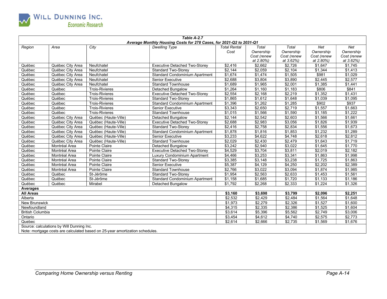

|                         |                                           |                                                                              | Table A-2.7                                                         |                     |             |                   |                 |             |
|-------------------------|-------------------------------------------|------------------------------------------------------------------------------|---------------------------------------------------------------------|---------------------|-------------|-------------------|-----------------|-------------|
|                         |                                           |                                                                              | Average Monthly Housing Costs for 278 Cases, for 2021-Q2 to 2031-Q1 |                     |             |                   |                 |             |
| Region                  | Area                                      | City                                                                         | <b>Dwelling Type</b>                                                | <b>Total Rental</b> | Total       | Total             | Net             | Net         |
|                         |                                           |                                                                              |                                                                     | Cost                | Ownership   | Ownership         | Ownership       | Ownership   |
|                         |                                           |                                                                              |                                                                     |                     | Cost (renew | Cost (renew       | Cost (renew     | Cost (renew |
|                         |                                           |                                                                              |                                                                     |                     | at 2.80%)   | at 3.62%)         | at 2.80%)       | at 3.62%)   |
| Québec                  | Québec City Area                          | Neufchatel                                                                   | <b>Executive Detached Two-Storey</b>                                | \$2,416             | \$2,662     | \$2,726           | \$1,647         | \$1,745     |
| Québec                  | Québec City Area                          | Neufchatel                                                                   | <b>Standard Two-Storev</b>                                          | \$2,144             | \$2,059     | \$2,104           | \$1,344         | \$1,413     |
| Québec                  | Québec City Area                          | Neufchatel                                                                   | Standard Condominium Apartment                                      | \$1,674             | \$1,474     | $\frac{1}{1,505}$ | \$981           | \$1,029     |
| Québec                  | Québec City Area                          | Neufchatel                                                                   | <b>Senior Executive</b>                                             | \$2,688             | \$3,804     | \$3,890           | \$2,445         | \$2,577     |
| Québec                  | Québec City Area                          | Neufchatel                                                                   | <b>Standard Townhouse</b>                                           | \$1,689             | \$1,965     | \$2,001           | \$1,385         | \$1,441     |
| Québec                  | Québec                                    | <b>Trois-Rivieres</b>                                                        | Detached Bungalow                                                   | \$1,264             | \$1,160     | \$1,183           | \$806           | \$841       |
| Québec                  | Québec                                    | <b>Trois-Rivieres</b>                                                        | <b>Executive Detached Two-Storey</b>                                | \$2,554             | \$2,168     | \$2,219           | \$1,352         | \$1,431     |
| Québec                  | Québec                                    | <b>Trois-Rivieres</b>                                                        | <b>Standard Two-Storey</b>                                          | \$1,865             | \$1,612     | \$1,648           | \$1,039         | \$1,095     |
| Québec                  | Québec                                    | <b>Trois-Rivieres</b>                                                        | <b>Standard Condominium Apartment</b>                               | \$1,396             | \$1,262     | \$1,285           | \$902           | \$937       |
| Québec                  | Québec                                    | <b>Trois-Rivieres</b>                                                        | <b>Senior Executive</b>                                             | \$3,343             | \$2,650     | \$2,719           | \$1,557         | \$1,663     |
| Québec                  | Québec                                    | <b>Trois-Rivieres</b>                                                        | <b>Standard Townhouse</b>                                           | \$1,015             | \$1,566     | \$1,590           | \$1,185         | \$1,222     |
| Québec                  | Québec City Area                          | Québec (Haute-Ville)                                                         | <b>Detached Bungalow</b>                                            | \$2,144             | \$2,542     | \$2,603           | \$1,566         | \$1,661     |
| Québec                  | Québec City Area                          | Québec (Haute-Ville)                                                         | <b>Executive Detached Two-Storey</b>                                | \$2,688             | \$2,983     | \$3,056           | \$1,826         | \$1,939     |
| Québec                  | Québec City Area                          | Québec (Haute-Ville)                                                         | <b>Standard Two-Storev</b>                                          | \$2,416             | \$2,758     | \$2,834           | \$1,556         | \$1,673     |
| Québec                  | Québec City Area                          | Québec (Haute-Ville)                                                         | <b>Standard Condominium Apartment</b>                               | \$1,878             | \$1,816     | \$1,853           | \$1.232         | \$1,289     |
| Québec                  | Québec City Area                          | Québec (Haute-Ville)                                                         | Senior Executive                                                    | \$3,233             | \$4,622     | \$4,748           | \$2,618         | \$2,812     |
| Québec                  | Québec City Area                          | Québec (Haute-Ville)                                                         | <b>Standard Townhouse</b>                                           | \$2,029             | \$2,430     | \$2,479           | \$1,643         | \$1,719     |
| Québec                  | Montréal Area                             | Pointe Claire                                                                | <b>Detached Bungalow</b>                                            | \$3,242             | \$2,940     | \$3,022           | \$1,645         | \$1,770     |
| Québec                  | Montréal Area                             | Pointe Claire                                                                | <b>Executive Detached Two-Storey</b>                                | \$4,529             | \$3,704     | \$3,811           | \$2,019         | \$2,182     |
| Québec                  | Montréal Area                             | Pointe Claire                                                                | Luxury Condominium Apartment                                        | \$4,466             | \$3,253     | \$3,341           | \$1,863         | \$1,998     |
| Québec                  | Montréal Area                             | Pointe Claire                                                                | <b>Standard Two-Storev</b>                                          | \$3,385             | \$3,148     | \$3,238           | \$1,725         | \$1,863     |
| Québec                  | Montréal Area                             | Pointe Claire                                                                | Senior Executive                                                    | \$5,387             | \$4,129     | \$4,250           | \$2,202         | \$2,389     |
| Québec                  | Montréal Area                             | Pointe Claire                                                                | <b>Standard Townhouse</b>                                           | \$2,766             | \$3,022     | \$3,094           | \$1,874         | \$1,985     |
| Québec                  | Québec                                    | St-Jérôme                                                                    | <b>Standard Two-Storey</b>                                          | \$1,954             | \$2,563     | \$2,633           | \$1,453         | \$1,561     |
| Québec                  | Québec                                    | St-Jérôme                                                                    | <b>Standard Condominium Apartment</b>                               | \$1,158             | \$1,685     | \$1,720           | \$1,133         | \$1,186     |
| Québec                  | Québec                                    | Mirabel                                                                      | <b>Detached Bungalow</b>                                            | \$1,792             | \$2,268     | \$2,333           | \$1,224         | \$1,326     |
| <b>Averages</b>         |                                           |                                                                              |                                                                     |                     |             |                   |                 |             |
| <b>All Areas</b>        |                                           |                                                                              |                                                                     | \$3,160             | \$3,698     | \$3,799           | \$2,096         | \$2,251     |
| Alberta                 |                                           |                                                                              |                                                                     | \$2,532             | \$2,429     | \$2,484           | \$1,564         | \$1,648     |
| New Brunswick           |                                           |                                                                              |                                                                     | \$1,973             | \$2,279     | \$2,326           | \$1,527         | \$1,600     |
| Newfoundland            |                                           |                                                                              |                                                                     | \$4,315             | \$2,335     | \$2,386           | \$1,525         | \$1,604     |
| <b>British Columbia</b> |                                           |                                                                              |                                                                     | \$3,614             | \$5,396     | \$5,562           | $\sqrt{$2,749}$ | \$3,006     |
| Ontario                 |                                           |                                                                              |                                                                     | \$3,454             | \$4,612     | \$4,740           | \$2,575         | \$2,773     |
| Quebec                  |                                           |                                                                              |                                                                     | \$2,614             | \$2,666     | \$2,735           | \$1,569         | \$1,676     |
|                         | Source: calculations by Will Dunning Inc. |                                                                              |                                                                     |                     |             |                   |                 |             |
|                         |                                           | Note: mortgage costs are calculated based on 25-year amortization schedules. |                                                                     |                     |             |                   |                 |             |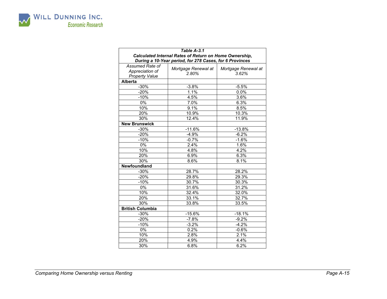

|                         | Table A-3.1                                             |                     |
|-------------------------|---------------------------------------------------------|---------------------|
|                         | Calculated Internal Rates of Return on Home Ownership,  |                     |
|                         | During a 10-Year period, for 278 Cases, for 6 Provinces |                     |
| Assumed Rate of         |                                                         |                     |
| Appreciation of         | Mortgage Renewal at                                     | Mortgage Renewal at |
| <b>Property Value</b>   | 2.80%                                                   | 3.62%               |
| <b>Alberta</b>          |                                                         |                     |
| $-30%$                  | $-3.8%$                                                 | $-5.5%$             |
| $-20%$                  | 1.1%                                                    | 0.0%                |
| $-10%$                  | 4.5%                                                    | 3.6%                |
| $0\%$                   | 7.0%                                                    | 6.3%                |
| 10%                     | 9.1%                                                    | 8.5%                |
| 20%                     | 10.9%                                                   | 10.3%               |
| 30%                     | 12.4%                                                   | 11.9%               |
| <b>New Brunswick</b>    |                                                         |                     |
| $-30%$                  | $-11.6%$                                                | $-13.8%$            |
| $-20%$                  | $-4.9%$                                                 | $-6.2%$             |
| $-10%$                  | $-0.7%$                                                 | $-1.6%$             |
| 0%                      | 2.4%                                                    | 1.6%                |
| 10%                     | 4.8%                                                    | 4.2%                |
| 20%                     | 6.9%                                                    | 6.3%                |
| 30%                     | 8.6%                                                    | 8.1%                |
| Newfoundland            |                                                         |                     |
| $-30%$                  | 28.7%                                                   | 28.2%               |
| $-20%$                  | 29.8%                                                   | 29.3%               |
| $-10%$                  | 30.7%                                                   | 30.3%               |
| 0%                      | 31.6%                                                   | 31.2%               |
| 10%                     | 32.4%                                                   | 32.0%               |
| 20%                     | 33.1%                                                   | 32.7%               |
| 30%                     | 33.8%                                                   | 33.5%               |
| <b>British Columbia</b> |                                                         |                     |
| $-30%$                  | $-15.6%$                                                | $-18.1%$            |
| $-20%$                  | $-7.8%$                                                 | $-9.2%$             |
| $-10%$                  | $-3.2%$                                                 | $-4.2%$             |
| $0\%$                   | 0.2%                                                    | $-0.6\%$            |
| 10%                     | 2.8%                                                    | 2.1%                |
| 20%                     | 4.9%                                                    | 4.4%                |
| 30%                     | 6.8%                                                    | 6.2%                |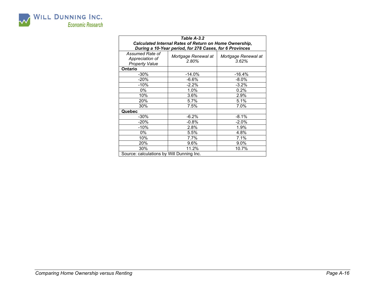

| Table A-3.2<br>Calculated Internal Rates of Return on Home Ownership,<br>During a 10-Year period, for 278 Cases, for 6 Provinces |                              |                              |  |  |  |  |  |  |  |  |
|----------------------------------------------------------------------------------------------------------------------------------|------------------------------|------------------------------|--|--|--|--|--|--|--|--|
| Assumed Rate of<br>Appreciation of<br><b>Property Value</b>                                                                      | Mortgage Renewal at<br>2.80% | Mortgage Renewal at<br>3.62% |  |  |  |  |  |  |  |  |
| Ontario                                                                                                                          |                              |                              |  |  |  |  |  |  |  |  |
| -30%                                                                                                                             | $-14.0%$                     | $-16.4%$                     |  |  |  |  |  |  |  |  |
| $-20%$                                                                                                                           | $-6.6%$                      | $-8.0\%$                     |  |  |  |  |  |  |  |  |
| $-10%$                                                                                                                           | $-2.2%$                      | $-3.2%$                      |  |  |  |  |  |  |  |  |
| 0%                                                                                                                               | 1.0%                         | 0.2%                         |  |  |  |  |  |  |  |  |
| 10%                                                                                                                              | 3.6%                         | 2.9%                         |  |  |  |  |  |  |  |  |
| 20%                                                                                                                              | 5.7%                         | 5.1%                         |  |  |  |  |  |  |  |  |
| 30%                                                                                                                              | 7.5%                         | 7.0%                         |  |  |  |  |  |  |  |  |
| Quebec                                                                                                                           |                              |                              |  |  |  |  |  |  |  |  |
| -30%                                                                                                                             | $-6.2%$                      | $-8.1%$                      |  |  |  |  |  |  |  |  |
| $-20%$                                                                                                                           | $-0.8%$                      | $-2.0%$                      |  |  |  |  |  |  |  |  |
| $-10%$                                                                                                                           | 2.8%                         | 1.9%                         |  |  |  |  |  |  |  |  |
| 0%                                                                                                                               | 5.5%                         | 4.8%                         |  |  |  |  |  |  |  |  |
| 10%                                                                                                                              | 7.7%                         | 7.1%                         |  |  |  |  |  |  |  |  |
| 20%                                                                                                                              | 9.6%                         | 9.0%                         |  |  |  |  |  |  |  |  |
| 30%                                                                                                                              | 11.2%                        | 10.7%                        |  |  |  |  |  |  |  |  |
| Source: calculations by Will Dunning Inc.                                                                                        |                              |                              |  |  |  |  |  |  |  |  |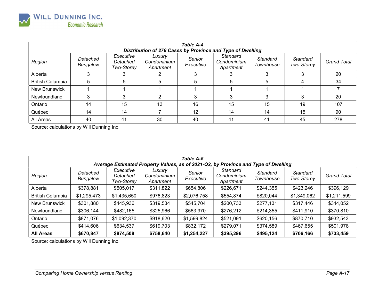

| Table A-4<br>Distribution of 278 Cases by Province and Type of Dwelling |                             |                                            |                                    |                     |                                      |                       |                        |                    |  |  |  |  |
|-------------------------------------------------------------------------|-----------------------------|--------------------------------------------|------------------------------------|---------------------|--------------------------------------|-----------------------|------------------------|--------------------|--|--|--|--|
| Region                                                                  | Detached<br><b>Bungalow</b> | Executive<br>Detached<br><b>Two-Storey</b> | Luxury<br>Condominium<br>Apartment | Senior<br>Executive | Standard<br>Condominium<br>Apartment | Standard<br>Townhouse | Standard<br>Two-Storey | <b>Grand Total</b> |  |  |  |  |
| Alberta                                                                 | 3                           | 3                                          |                                    | 3                   | 3                                    | 3                     | 3                      | 20                 |  |  |  |  |
| <b>British Columbia</b>                                                 | 5                           | 5                                          | 5                                  | 5                   | 5                                    | 5                     | 4                      | 34                 |  |  |  |  |
| <b>New Brunswick</b>                                                    |                             |                                            |                                    |                     |                                      |                       |                        |                    |  |  |  |  |
| Newfoundland                                                            | 3                           |                                            |                                    | 3                   | 3                                    |                       | 3                      | 20                 |  |  |  |  |
| Ontario                                                                 | 14                          | 15                                         | 13                                 | 16                  | 15                                   | 15                    | 19                     | 107                |  |  |  |  |
| Québec                                                                  | 14                          | 14                                         |                                    | 12                  | 14                                   | 14                    | 15                     | 90                 |  |  |  |  |
| All Areas                                                               | 40                          | 41                                         | 30                                 | 40                  | 41                                   | 41                    | 45                     | 278                |  |  |  |  |
| Source: calculations by Will Dunning Inc.                               |                             |                                            |                                    |                     |                                      |                       |                        |                    |  |  |  |  |

| <b>Table A-5</b><br>Average Estimated Property Values, as of 2021-Q2, by Province and Type of Dwelling |                      |                                     |                                    |                     |                                      |                       |                        |                    |  |  |  |  |
|--------------------------------------------------------------------------------------------------------|----------------------|-------------------------------------|------------------------------------|---------------------|--------------------------------------|-----------------------|------------------------|--------------------|--|--|--|--|
| Region                                                                                                 | Detached<br>Bungalow | Executive<br>Detached<br>Two-Storey | Luxury<br>Condominium<br>Apartment | Senior<br>Executive | Standard<br>Condominium<br>Apartment | Standard<br>Townhouse | Standard<br>Two-Storey | <b>Grand Total</b> |  |  |  |  |
| Alberta                                                                                                | \$378,881            | \$505,017                           | \$311,822                          | \$654,806           | \$226,671                            | \$244,355             | \$423,246              | \$396,129          |  |  |  |  |
| <b>British Columbia</b>                                                                                | \$1,295,473          | \$1,435,650                         | \$976,823                          | \$2,076,758         | \$554,874                            | \$820,044             | \$1,349,062            | \$1,211,599        |  |  |  |  |
| <b>New Brunswick</b>                                                                                   | \$301,880            | \$445,936                           | \$319,534                          | \$545,704           | \$200,733                            | \$277,131             | \$317,446              | \$344,052          |  |  |  |  |
| Newfoundland                                                                                           | \$306,144            | \$482,165                           | \$325,966                          | \$563,970           | \$276,212                            | \$214,355             | \$411,910              | \$370,810          |  |  |  |  |
| Ontario                                                                                                | \$871,076            | \$1,092,370                         | \$918,620                          | \$1,599,824         | \$521,091                            | \$620,156             | \$870,710              | \$932,543          |  |  |  |  |
| Québec                                                                                                 | \$414,606            | \$634,537                           | \$619,703                          | \$832,172           | \$279,071                            | \$374,589             | \$467,655              | \$501,978          |  |  |  |  |
| <b>All Areas</b>                                                                                       | \$670,847            | \$874,508                           | \$758,640                          | \$1,254,227         | \$395,296                            | \$495,124             | \$706,166              | \$733,459          |  |  |  |  |
| Source: calculations by Will Dunning Inc.                                                              |                      |                                     |                                    |                     |                                      |                       |                        |                    |  |  |  |  |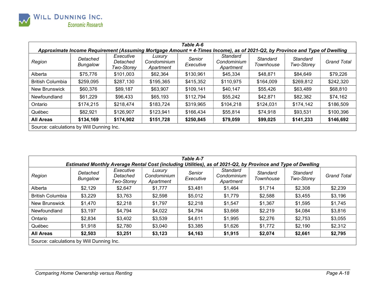

| Table A-6                                                                                                                   |                      |                                     |                                    |                     |                                      |                       |                        |                    |  |  |  |  |
|-----------------------------------------------------------------------------------------------------------------------------|----------------------|-------------------------------------|------------------------------------|---------------------|--------------------------------------|-----------------------|------------------------|--------------------|--|--|--|--|
| Approximate Income Requirement (Assuming Mortgage Amount = 4-Times Income), as of 2021-Q2, by Province and Type of Dwelling |                      |                                     |                                    |                     |                                      |                       |                        |                    |  |  |  |  |
| Region                                                                                                                      | Detached<br>Bungalow | Executive<br>Detached<br>Two-Storey | Luxury<br>Condominium<br>Apartment | Senior<br>Executive | Standard<br>Condominium<br>Apartment | Standard<br>Townhouse | Standard<br>Two-Storey | <b>Grand Total</b> |  |  |  |  |
| Alberta                                                                                                                     | \$75,776             | \$101,003                           | \$62,364                           | \$130,961           | \$45,334                             | \$48,871              | \$84,649               | \$79,226           |  |  |  |  |
| <b>British Columbia</b>                                                                                                     | \$259,095            | \$287,130                           | \$195,365                          | \$415,352           | \$110,975                            | \$164,009             | \$269,812              | \$242,320          |  |  |  |  |
| New Brunswick                                                                                                               | \$60,376             | \$89,187                            | \$63,907                           | \$109,141           | \$40,147                             | \$55,426              | \$63,489               | \$68,810           |  |  |  |  |
| Newfoundland                                                                                                                | \$61,229             | \$96,433                            | \$65,193                           | \$112,794           | \$55,242                             | \$42,871              | \$82,382               | \$74,162           |  |  |  |  |
| Ontario                                                                                                                     | \$174,215            | \$218.474                           | \$183,724                          | \$319,965           | \$104,218                            | \$124,031             | \$174,142              | \$186,509          |  |  |  |  |
| Québec                                                                                                                      | \$82,921             | \$126,907                           | \$123,941                          | \$166,434           | \$55,814                             | \$74,918              | \$93,531               | \$100,396          |  |  |  |  |
| <b>All Areas</b>                                                                                                            | \$134,169            | \$174,902                           | \$151,728                          | \$250,845           | \$79,059                             | \$99,025              | \$141,233              | \$146,692          |  |  |  |  |
| Source: calculations by Will Dunning Inc.                                                                                   |                      |                                     |                                    |                     |                                      |                       |                        |                    |  |  |  |  |

| Table A-7<br>Estimated Monthly Average Rental Cost (including Utilities), as of 2021-Q2, by Province and Type of Dwelling |                             |                                     |                                    |                     |                                      |                              |                        |                    |  |  |  |  |
|---------------------------------------------------------------------------------------------------------------------------|-----------------------------|-------------------------------------|------------------------------------|---------------------|--------------------------------------|------------------------------|------------------------|--------------------|--|--|--|--|
| Region                                                                                                                    | Detached<br><b>Bungalow</b> | Executive<br>Detached<br>Two-Storey | Luxury<br>Condominium<br>Apartment | Senior<br>Executive | Standard<br>Condominium<br>Apartment | <b>Standard</b><br>Townhouse | Standard<br>Two-Storey | <b>Grand Total</b> |  |  |  |  |
| Alberta                                                                                                                   | \$2,129                     | \$2,647                             | \$1,777                            | \$3,481             | \$1,464                              | \$1,714                      | \$2,308                | \$2,239            |  |  |  |  |
| <b>British Columbia</b>                                                                                                   | \$3,229                     | \$3,763                             | \$2,598                            | \$5,012             | \$1,779                              | \$2,588                      | \$3,455                | \$3,196            |  |  |  |  |
| New Brunswick                                                                                                             | \$1,470                     | \$2,218                             | \$1,797                            | \$2,218             | \$1,547                              | \$1,367                      | \$1,595                | \$1,745            |  |  |  |  |
| Newfoundland                                                                                                              | \$3,197                     | \$4,794                             | \$4,022                            | \$4,794             | \$3,668                              | \$2,219                      | \$4,084                | \$3,816            |  |  |  |  |
| Ontario                                                                                                                   | \$2,834                     | \$3,402                             | \$3,539                            | \$4,611             | \$1,995                              | \$2,276                      | \$2,753                | \$3,055            |  |  |  |  |
| Québec                                                                                                                    | \$1,918                     | \$2,780                             | \$3,040                            | \$3,385             | \$1,626                              | \$1,772                      | \$2,190                | \$2,312            |  |  |  |  |
| <b>All Areas</b>                                                                                                          | \$2,503                     | \$3,251                             | \$3,123                            | \$4,163             | \$1,915                              | \$2,074                      | \$2,661                | \$2,795            |  |  |  |  |
| Source: calculations by Will Dunning Inc.                                                                                 |                             |                                     |                                    |                     |                                      |                              |                        |                    |  |  |  |  |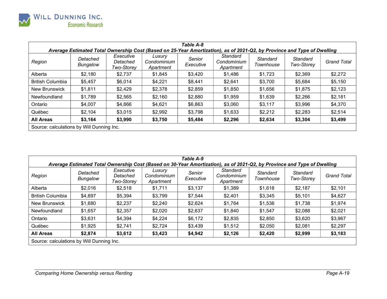

| Table A-8                                                                                                               |                             |                                     |                                    |                     |                                      |                       |                        |                    |  |  |  |  |
|-------------------------------------------------------------------------------------------------------------------------|-----------------------------|-------------------------------------|------------------------------------|---------------------|--------------------------------------|-----------------------|------------------------|--------------------|--|--|--|--|
| Average Estimated Total Ownership Cost (Based on 25-Year Amortization), as of 2021-Q2, by Province and Type of Dwelling |                             |                                     |                                    |                     |                                      |                       |                        |                    |  |  |  |  |
| Region                                                                                                                  | Detached<br><b>Bungalow</b> | Executive<br>Detached<br>Two-Storey | Luxury<br>Condominium<br>Apartment | Senior<br>Executive | Standard<br>Condominium<br>Apartment | Standard<br>Townhouse | Standard<br>Two-Storey | <b>Grand Total</b> |  |  |  |  |
| Alberta                                                                                                                 | \$2,180                     | \$2,737                             | \$1,845                            | \$3,420             | \$1,486                              | \$1,723               | \$2,369                | \$2,272            |  |  |  |  |
| <b>British Columbia</b>                                                                                                 | \$5,457                     | \$6,014                             | \$4,221                            | \$8,441             | \$2,641                              | \$3,700               | \$5,684                | \$5,150            |  |  |  |  |
| New Brunswick                                                                                                           | \$1,811                     | \$2,429                             | \$2,378                            | \$2,859             | \$1,850                              | \$1,656               | \$1,875                | \$2,123            |  |  |  |  |
| Newfoundland                                                                                                            | \$1,789                     | \$2,565                             | \$2,160                            | \$2,880             | \$1,959                              | \$1,639               | \$2,266                | \$2,181            |  |  |  |  |
| Ontario                                                                                                                 | \$4,007                     | \$4,866                             | \$4,621                            | \$6,863             | \$3,060                              | \$3,117               | \$3,996                | \$4,370            |  |  |  |  |
| Québec                                                                                                                  | \$2,104                     | \$3,015                             | \$2,992                            | \$3,798             | \$1,633                              | \$2,212               | \$2,283                | \$2,514            |  |  |  |  |
| <b>All Areas</b>                                                                                                        | \$3,164                     | \$3,990                             | \$3,750                            | \$5,484             | \$2,296                              | \$2,634               | \$3,304                | \$3,499            |  |  |  |  |
| Source: calculations by Will Dunning Inc.                                                                               |                             |                                     |                                    |                     |                                      |                       |                        |                    |  |  |  |  |

| Table A-9<br>Average Estimated Total Ownership Cost (Based on 30-Year Amortization), as of 2021-Q2, by Province and Type of Dwelling |                             |                                     |                                    |                     |                                      |                       |                        |                    |  |  |  |  |  |
|--------------------------------------------------------------------------------------------------------------------------------------|-----------------------------|-------------------------------------|------------------------------------|---------------------|--------------------------------------|-----------------------|------------------------|--------------------|--|--|--|--|--|
| Region                                                                                                                               | Detached<br><b>Bungalow</b> | Executive<br>Detached<br>Two-Storey | Luxury<br>Condominium<br>Apartment | Senior<br>Executive | Standard<br>Condominium<br>Apartment | Standard<br>Townhouse | Standard<br>Two-Storey | <b>Grand Total</b> |  |  |  |  |  |
| Alberta                                                                                                                              | \$2,016                     | \$2,518                             | \$1,711                            | \$3,137             | \$1,389                              | \$1,618               | \$2,187                | \$2,101            |  |  |  |  |  |
| <b>British Columbia</b>                                                                                                              | \$4,897                     | \$5,394                             | \$3,799                            | \$7,544             | \$2,401                              | \$3,345               | \$5,101                | \$4,627            |  |  |  |  |  |
| <b>New Brunswick</b>                                                                                                                 | \$1,680                     | \$2,237                             | \$2,240                            | \$2,624             | \$1,764                              | \$1,536               | \$1,738                | \$1,974            |  |  |  |  |  |
| Newfoundland                                                                                                                         | \$1,657                     | \$2,357                             | \$2,020                            | \$2,637             | \$1,840                              | \$1,547               | \$2,088                | \$2,021            |  |  |  |  |  |
| Ontario                                                                                                                              | \$3,631                     | \$4,394                             | \$4,224                            | \$6,172             | \$2,835                              | \$2,850               | \$3,620                | \$3,967            |  |  |  |  |  |
| Québec                                                                                                                               | \$1,925                     | \$2,741                             | \$2,724                            | \$3,439             | \$1,512                              | \$2,050               | \$2,081                | \$2,297            |  |  |  |  |  |
| <b>All Areas</b>                                                                                                                     | \$2,874                     | \$3,612                             | \$3,423                            | \$4,942             | \$2,126                              | \$2,420               | \$2,999                | \$3,183            |  |  |  |  |  |
| Source: calculations by Will Dunning Inc.                                                                                            |                             |                                     |                                    |                     |                                      |                       |                        |                    |  |  |  |  |  |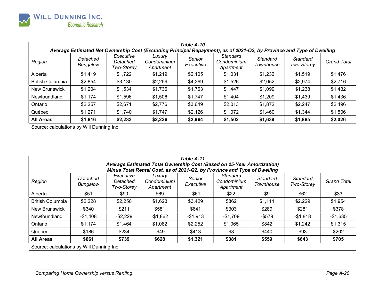

| <b>Table A-10</b>                                                                                                     |                             |                                            |                                    |                     |                                      |                       |                        |                    |  |  |  |  |
|-----------------------------------------------------------------------------------------------------------------------|-----------------------------|--------------------------------------------|------------------------------------|---------------------|--------------------------------------|-----------------------|------------------------|--------------------|--|--|--|--|
| Average Estimated Net Ownership Cost (Excluding Principal Repayment), as of 2021-Q2, by Province and Type of Dwelling |                             |                                            |                                    |                     |                                      |                       |                        |                    |  |  |  |  |
| Region                                                                                                                | Detached<br><b>Bungalow</b> | Executive<br>Detached<br><b>Two-Storey</b> | Luxury<br>Condominium<br>Apartment | Senior<br>Executive | Standard<br>Condominium<br>Apartment | Standard<br>Townhouse | Standard<br>Two-Storey | <b>Grand Total</b> |  |  |  |  |
| Alberta                                                                                                               | \$1,419                     | \$1,722                                    | \$1,219                            | \$2,105             | \$1,031                              | \$1,232               | \$1,519                | \$1,476            |  |  |  |  |
| <b>British Columbia</b>                                                                                               | \$2,854                     | \$3,130                                    | \$2,259                            | \$4,269             | \$1,526                              | \$2,052               | \$2,974                | \$2,716            |  |  |  |  |
| New Brunswick                                                                                                         | \$1,204                     | \$1,534                                    | \$1,736                            | \$1,763             | \$1,447                              | \$1,099               | \$1,238                | \$1,432            |  |  |  |  |
| Newfoundland                                                                                                          | \$1,174                     | \$1,596                                    | \$1,506                            | \$1,747             | \$1,404                              | \$1,209               | \$1,439                | \$1,436            |  |  |  |  |
| Ontario                                                                                                               | \$2,257                     | \$2,671                                    | \$2,776                            | \$3,649             | \$2,013                              | \$1,872               | \$2,247                | \$2,496            |  |  |  |  |
| Québec                                                                                                                | \$1,271                     | \$1,740                                    | \$1,747                            | \$2,126             | \$1,072                              | \$1,460               | \$1,344                | \$1,506            |  |  |  |  |
| <b>All Areas</b>                                                                                                      | \$1,816                     | \$2,233                                    | \$2,226                            | \$2,964             | \$1,502                              | \$1,639               | \$1,885                | \$2,026            |  |  |  |  |
| Source: calculations by Will Dunning Inc.                                                                             |                             |                                            |                                    |                     |                                      |                       |                        |                    |  |  |  |  |

| Table A-11<br>Average Estimated Total Ownership Cost (Based on 25-Year Amortization)<br>Minus Total Rental Cost, as of 2021-Q2, by Province and Type of Dwelling |                             |                                     |                                    |                     |                                      |                       |                        |                    |  |  |  |  |
|------------------------------------------------------------------------------------------------------------------------------------------------------------------|-----------------------------|-------------------------------------|------------------------------------|---------------------|--------------------------------------|-----------------------|------------------------|--------------------|--|--|--|--|
| Region                                                                                                                                                           | Detached<br><b>Bungalow</b> | Executive<br>Detached<br>Two-Storey | Luxury<br>Condominium<br>Apartment | Senior<br>Executive | Standard<br>Condominium<br>Apartment | Standard<br>Townhouse | Standard<br>Two-Storey | <b>Grand Total</b> |  |  |  |  |
| Alberta                                                                                                                                                          | \$51                        | \$90                                | \$69                               | $-$ \$61            | \$22                                 | \$9                   | \$62                   | \$33               |  |  |  |  |
| <b>British Columbia</b>                                                                                                                                          | \$2,228                     | \$2,250                             | \$1,623                            | \$3,429             | \$862                                | \$1,111               | \$2,229                | \$1,954            |  |  |  |  |
| <b>New Brunswick</b>                                                                                                                                             | \$340                       | \$211                               | \$581                              | \$641               | \$303                                | \$289                 | \$281                  | \$378              |  |  |  |  |
| Newfoundland                                                                                                                                                     | -\$1,408                    | $-$ \$2,229                         | -\$1,862                           | $-$1,913$           | -\$1,709                             | $-$ \$579             | $-$1,818$              | $-$1,635$          |  |  |  |  |
| Ontario                                                                                                                                                          | \$1,174                     | \$1,464                             | \$1,082                            | \$2,252             | \$1,065                              | \$842                 | \$1,242                | \$1,315            |  |  |  |  |
| Québec                                                                                                                                                           | \$186                       | \$234                               | $-$ \$49                           | \$413               | \$8                                  | \$440                 | \$93                   | \$202              |  |  |  |  |
| <b>All Areas</b>                                                                                                                                                 | \$661                       | \$739                               | \$628                              | \$1,321             | \$381                                | \$559                 | \$643                  | \$705              |  |  |  |  |
| Source: calculations by Will Dunning Inc.                                                                                                                        |                             |                                     |                                    |                     |                                      |                       |                        |                    |  |  |  |  |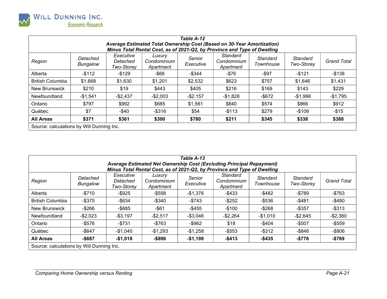

| <b>Table A-12</b>                                                                                                                                  |                      |                                            |                                    |                     |                                      |                       |                        |                    |         |           |           |       |           |
|----------------------------------------------------------------------------------------------------------------------------------------------------|----------------------|--------------------------------------------|------------------------------------|---------------------|--------------------------------------|-----------------------|------------------------|--------------------|---------|-----------|-----------|-------|-----------|
| Average Estimated Total Ownership Cost (Based on 30-Year Amortization)<br>Minus Total Rental Cost, as of 2021-Q2, by Province and Type of Dwelling |                      |                                            |                                    |                     |                                      |                       |                        |                    |         |           |           |       |           |
| Region                                                                                                                                             | Detached<br>Bungalow | Executive<br>Detached<br><b>Two-Storey</b> | Luxury<br>Condominium<br>Apartment | Senior<br>Executive | Standard<br>Condominium<br>Apartment | Standard<br>Townhouse | Standard<br>Two-Storey | <b>Grand Total</b> |         |           |           |       |           |
|                                                                                                                                                    |                      |                                            |                                    |                     |                                      |                       |                        |                    | Alberta | $-$ \$112 | $-$ \$129 | -\$66 | $-$ \$344 |
| <b>British Columbia</b>                                                                                                                            | \$1,668              | \$1,630                                    | \$1,201                            | \$2,532             | \$623                                | \$757                 | \$1,646                | \$1,431            |         |           |           |       |           |
| <b>New Brunswick</b>                                                                                                                               | \$210                | \$19                                       | \$443                              | \$405               | \$216                                | \$169                 | \$143                  | \$229              |         |           |           |       |           |
| Newfoundland                                                                                                                                       | $-$1,541$            | $-$ \$2,437                                | $-$2,003$                          | $-$2,157$           | $-$1,828$                            | $-$ \$672             | $-$1,996$              | $-$1,795$          |         |           |           |       |           |
| Ontario                                                                                                                                            | \$797                | \$992                                      | \$685                              | \$1,561             | \$840                                | \$574                 | \$866                  | \$912              |         |           |           |       |           |
| Québec                                                                                                                                             | \$7                  | $-$ \$40                                   | $-$ \$316                          | \$54                | $-$ \$113                            | \$279                 | $-$109$                | $-$15$             |         |           |           |       |           |
| <b>All Areas</b>                                                                                                                                   | \$371                | \$361                                      | \$300                              | \$780               | \$211                                | \$345                 | \$338                  | \$388              |         |           |           |       |           |
| Source: calculations by Will Dunning Inc.                                                                                                          |                      |                                            |                                    |                     |                                      |                       |                        |                    |         |           |           |       |           |

| Table A-13<br>Average Estimated Net Ownership Cost (Excluding Principal Repayment)<br>Minus Total Rental Cost, as of 2021-Q2, by Province and Type of Dwelling |                             |                                     |                                    |                     |                                      |                       |                        |                    |  |  |  |  |
|----------------------------------------------------------------------------------------------------------------------------------------------------------------|-----------------------------|-------------------------------------|------------------------------------|---------------------|--------------------------------------|-----------------------|------------------------|--------------------|--|--|--|--|
| Region                                                                                                                                                         | Detached<br><b>Bungalow</b> | Executive<br>Detached<br>Two-Storey | Luxury<br>Condominium<br>Apartment | Senior<br>Executive | Standard<br>Condominium<br>Apartment | Standard<br>Townhouse | Standard<br>Two-Storey | <b>Grand Total</b> |  |  |  |  |
| Alberta                                                                                                                                                        | $-$ \$710                   | $-$ \$925                           | $-$ \$558                          | $-$1,376$           | $-$ \$433                            | -\$482                | $-$789$                | $-$763$            |  |  |  |  |
| <b>British Columbia</b>                                                                                                                                        | $-$ \$375                   | -\$634                              | $-$ \$340                          | $-$ \$743           | $-$ \$252                            | $-$ \$536             | $-$ \$481              | $-$ \$480          |  |  |  |  |
| <b>New Brunswick</b>                                                                                                                                           | $-$266$                     | $-$ \$685                           | $-$ \$61                           | $-$ \$455           | $-$100$                              | $-$ \$268             | $-$ \$357              | $-$ \$313          |  |  |  |  |
| Newfoundland                                                                                                                                                   | $-$2,023$                   | $-$ \$3,197                         | $-$2,517$                          | $-$ \$3,046         | $-$ \$2,264                          | $-$1,010$             | $-$ \$2,645            | $-$2,380$          |  |  |  |  |
| Ontario                                                                                                                                                        | -\$576                      | $-$ \$731                           | $-$763$                            | $-$ \$962           | \$18                                 | -\$404                | $-$ \$507              | $-$ \$559          |  |  |  |  |
| Québec                                                                                                                                                         | $-$ \$647                   | -\$1.040                            | $-$1,293$                          | $-$1,258$           | $-$ \$553                            | $-$ \$312             | $-$ \$846              | $-$ \$806          |  |  |  |  |
| <b>All Areas</b>                                                                                                                                               | $-$ \$687                   | $-$1,018$                           | $-$ \$896                          | $-$1,198$           | $-$413$                              | $-$435$               | $-$776$                | $-$769$            |  |  |  |  |
| Source: calculations by Will Dunning Inc.                                                                                                                      |                             |                                     |                                    |                     |                                      |                       |                        |                    |  |  |  |  |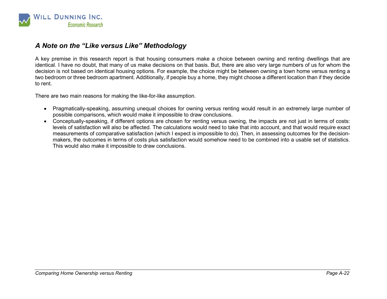

## A Note on the "Like versus Like" Methodology

A key premise in this research report is that housing consumers make a choice between owning and renting dwellings that are identical. I have no doubt, that many of us make decisions on that basis. But, there are also very large numbers of us for whom the decision is not based on identical housing options. For example, the choice might be between owning a town home versus renting a two bedroom or three bedroom apartment. Additionally, if people buy a home, they might choose a different location than if they decide to rent.

There are two main reasons for making the like-for-like assumption.

- Pragmatically-speaking, assuming unequal choices for owning versus renting would result in an extremely large number of possible comparisons, which would make it impossible to draw conclusions.
- Conceptually-speaking, if different options are chosen for renting versus owning, the impacts are not just in terms of costs: levels of satisfaction will also be affected. The calculations would need to take that into account, and that would require exact measurements of comparative satisfaction (which I expect is impossible to do). Then, in assessing outcomes for the decisionmakers, the outcomes in terms of costs plus satisfaction would somehow need to be combined into a usable set of statistics. This would also make it impossible to draw conclusions.